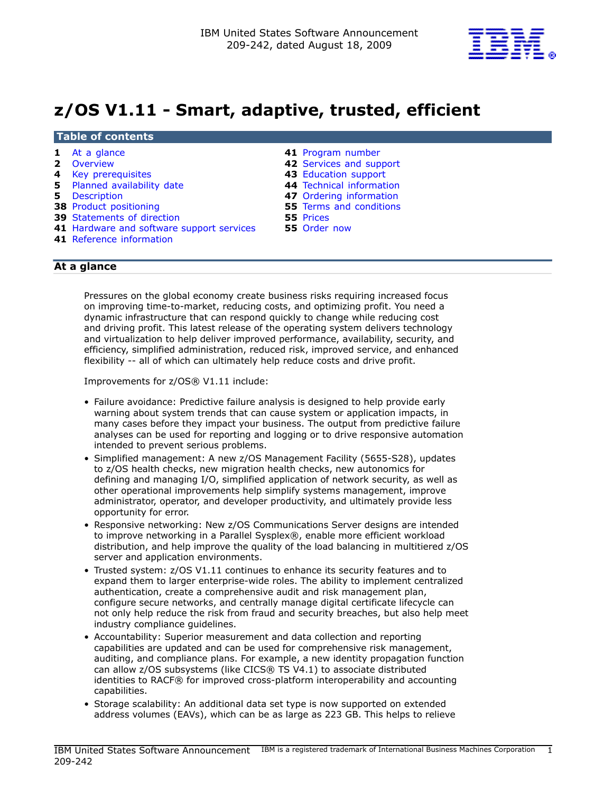

# z/OS V1.11 - Smart, adaptive, trusted, efficient

## Table of contents

- 
- 
- 
- **5** [Planned availability date](#page-4-0) **44** Technical information
- 
- **38 [Product positioning](#page-37-0) The Conditions S5 Terms and conditions**
- 39 [Statements of direction](#page-38-0) 55 Prices
- 41 [Hardware and software support services](#page-40-1) 55 Order now
- 41 Reference information
- 1 [At a glance](#page-0-0) **41** Program number
- 2 [Overview](#page-1-0) 42 [Services and support](#page-41-0)
- 4 [Key prerequisites](#page-3-0) 43 [Education support](#page-42-0) 
	-
- 5 [Description](#page-4-1) 47 [Ordering information](#page-46-0) 
	-
	-
	-

## <span id="page-0-0"></span>At a glance

Pressures on the global economy create business risks requiring increased focus on improving time-to-market, reducing costs, and optimizing profit. You need a dynamic infrastructure that can respond quickly to change while reducing cost and driving profit. This latest release of the operating system delivers technology and virtualization to help deliver improved performance, availability, security, and efficiency, simplified administration, reduced risk, improved service, and enhanced flexibility -- all of which can ultimately help reduce costs and drive profit.

Improvements for z/OS® V1.11 include:

- Failure avoidance: Predictive failure analysis is designed to help provide early warning about system trends that can cause system or application impacts, in many cases before they impact your business. The output from predictive failure analyses can be used for reporting and logging or to drive responsive automation intended to prevent serious problems.
- Simplified management: A new z/OS Management Facility (5655-S28), updates to z/OS health checks, new migration health checks, new autonomics for defining and managing I/O, simplified application of network security, as well as other operational improvements help simplify systems management, improve administrator, operator, and developer productivity, and ultimately provide less opportunity for error.
- Responsive networking: New z/OS Communications Server designs are intended to improve networking in a Parallel Sysplex®, enable more efficient workload distribution, and help improve the quality of the load balancing in multitiered z/OS server and application environments.
- Trusted system: z/OS V1.11 continues to enhance its security features and to expand them to larger enterprise-wide roles. The ability to implement centralized authentication, create a comprehensive audit and risk management plan, configure secure networks, and centrally manage digital certificate lifecycle can not only help reduce the risk from fraud and security breaches, but also help meet industry compliance guidelines.
- Accountability: Superior measurement and data collection and reporting capabilities are updated and can be used for comprehensive risk management, auditing, and compliance plans. For example, a new identity propagation function can allow z/OS subsystems (like CICS® TS V4.1) to associate distributed identities to RACF® for improved cross-platform interoperability and accounting capabilities.
- Storage scalability: An additional data set type is now supported on extended address volumes (EAVs), which can be as large as 223 GB. This helps to relieve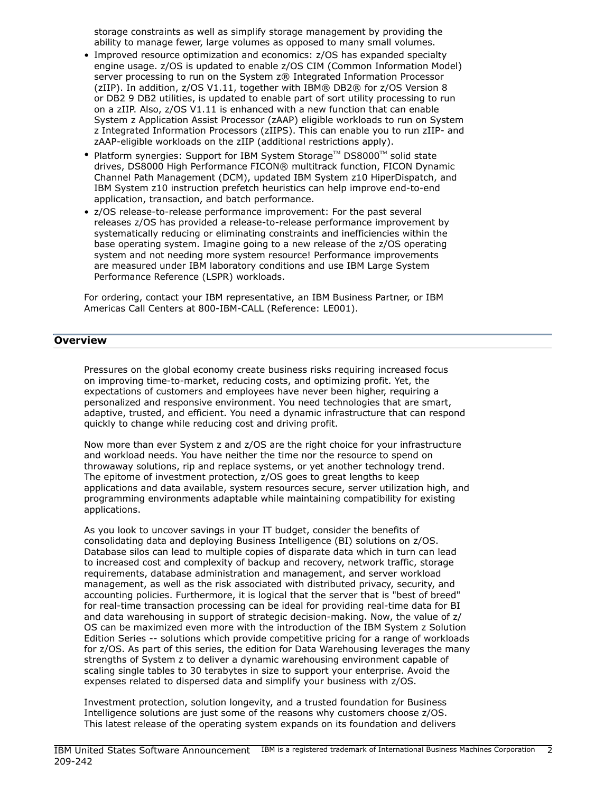storage constraints as well as simplify storage management by providing the ability to manage fewer, large volumes as opposed to many small volumes.

- Improved resource optimization and economics: z/OS has expanded specialty engine usage. z/OS is updated to enable z/OS CIM (Common Information Model) server processing to run on the System z® Integrated Information Processor (zIIP). In addition, z/OS V1.11, together with IBM® DB2® for z/OS Version 8 or DB2 9 DB2 utilities, is updated to enable part of sort utility processing to run on a zIIP. Also, z/OS V1.11 is enhanced with a new function that can enable System z Application Assist Processor (zAAP) eligible workloads to run on System z Integrated Information Processors (zIIPS). This can enable you to run zIIP- and zAAP-eligible workloads on the zIIP (additional restrictions apply).
- Platform synergies: Support for IBM System Storage<sup>TM</sup> DS8000<sup>TM</sup> solid state drives, DS8000 High Performance FICON® multitrack function, FICON Dynamic Channel Path Management (DCM), updated IBM System z10 HiperDispatch, and IBM System z10 instruction prefetch heuristics can help improve end-to-end application, transaction, and batch performance.
- z/OS release-to-release performance improvement: For the past several releases z/OS has provided a release-to-release performance improvement by systematically reducing or eliminating constraints and inefficiencies within the base operating system. Imagine going to a new release of the z/OS operating system and not needing more system resource! Performance improvements are measured under IBM laboratory conditions and use IBM Large System Performance Reference (LSPR) workloads.

For ordering, contact your IBM representative, an IBM Business Partner, or IBM Americas Call Centers at 800-IBM-CALL (Reference: LE001).

## <span id="page-1-0"></span>**Overview**

Pressures on the global economy create business risks requiring increased focus on improving time-to-market, reducing costs, and optimizing profit. Yet, the expectations of customers and employees have never been higher, requiring a personalized and responsive environment. You need technologies that are smart, adaptive, trusted, and efficient. You need a dynamic infrastructure that can respond quickly to change while reducing cost and driving profit.

Now more than ever System z and z/OS are the right choice for your infrastructure and workload needs. You have neither the time nor the resource to spend on throwaway solutions, rip and replace systems, or yet another technology trend. The epitome of investment protection, z/OS goes to great lengths to keep applications and data available, system resources secure, server utilization high, and programming environments adaptable while maintaining compatibility for existing applications.

As you look to uncover savings in your IT budget, consider the benefits of consolidating data and deploying Business Intelligence (BI) solutions on z/OS. Database silos can lead to multiple copies of disparate data which in turn can lead to increased cost and complexity of backup and recovery, network traffic, storage requirements, database administration and management, and server workload management, as well as the risk associated with distributed privacy, security, and accounting policies. Furthermore, it is logical that the server that is "best of breed" for real-time transaction processing can be ideal for providing real-time data for BI and data warehousing in support of strategic decision-making. Now, the value of z/ OS can be maximized even more with the introduction of the IBM System z Solution Edition Series -- solutions which provide competitive pricing for a range of workloads for z/OS. As part of this series, the edition for Data Warehousing leverages the many strengths of System z to deliver a dynamic warehousing environment capable of scaling single tables to 30 terabytes in size to support your enterprise. Avoid the expenses related to dispersed data and simplify your business with z/OS.

Investment protection, solution longevity, and a trusted foundation for Business Intelligence solutions are just some of the reasons why customers choose z/OS. This latest release of the operating system expands on its foundation and delivers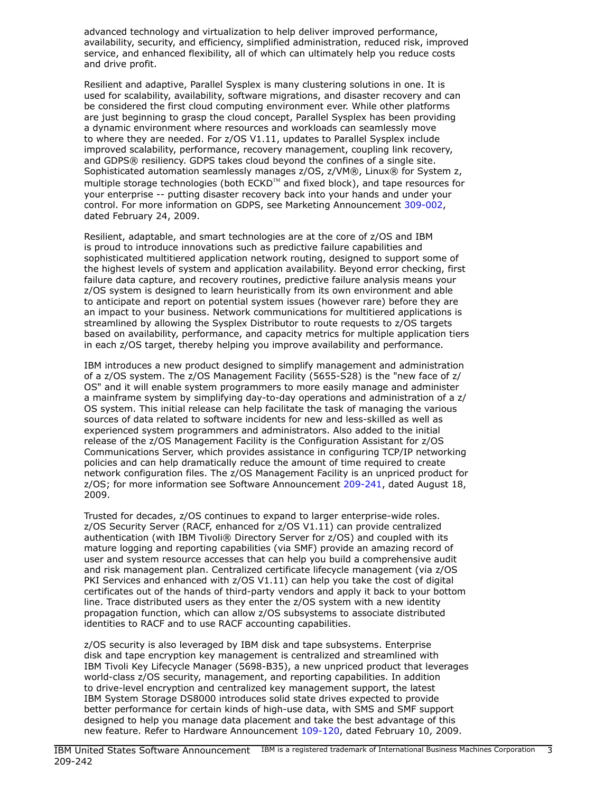advanced technology and virtualization to help deliver improved performance, availability, security, and efficiency, simplified administration, reduced risk, improved service, and enhanced flexibility, all of which can ultimately help you reduce costs and drive profit.

Resilient and adaptive, Parallel Sysplex is many clustering solutions in one. It is used for scalability, availability, software migrations, and disaster recovery and can be considered the first cloud computing environment ever. While other platforms are just beginning to grasp the cloud concept, Parallel Sysplex has been providing a dynamic environment where resources and workloads can seamlessly move to where they are needed. For z/OS V1.11, updates to Parallel Sysplex include improved scalability, performance, recovery management, coupling link recovery, and GDPS® resiliency. GDPS takes cloud beyond the confines of a single site. Sophisticated automation seamlessly manages z/OS, z/VM®, Linux® for System z, multiple storage technologies (both ECKD™ and fixed block), and tape resources for your enterprise -- putting disaster recovery back into your hands and under your control. For more information on GDPS, see Marketing Announcement [309-002](http://www.ibm.com/common/ssi/cgi-bin/ssialias?infotype=an&subtype=ca&appname=gpateam&supplier=897&letternum=ENUS309-002), dated February 24, 2009.

Resilient, adaptable, and smart technologies are at the core of z/OS and IBM is proud to introduce innovations such as predictive failure capabilities and sophisticated multitiered application network routing, designed to support some of the highest levels of system and application availability. Beyond error checking, first failure data capture, and recovery routines, predictive failure analysis means your z/OS system is designed to learn heuristically from its own environment and able to anticipate and report on potential system issues (however rare) before they are an impact to your business. Network communications for multitiered applications is streamlined by allowing the Sysplex Distributor to route requests to z/OS targets based on availability, performance, and capacity metrics for multiple application tiers in each z/OS target, thereby helping you improve availability and performance.

IBM introduces a new product designed to simplify management and administration of a z/OS system. The z/OS Management Facility (5655-S28) is the "new face of z/ OS" and it will enable system programmers to more easily manage and administer a mainframe system by simplifying day-to-day operations and administration of a z/ OS system. This initial release can help facilitate the task of managing the various sources of data related to software incidents for new and less-skilled as well as experienced system programmers and administrators. Also added to the initial release of the z/OS Management Facility is the Configuration Assistant for z/OS Communications Server, which provides assistance in configuring TCP/IP networking policies and can help dramatically reduce the amount of time required to create network configuration files. The z/OS Management Facility is an unpriced product for z/OS; for more information see Software Announcement [209-241,](http://www.ibm.com/common/ssi/cgi-bin/ssialias?infotype=an&subtype=ca&appname=gpateam&supplier=897&letternum=ENUS209-241) dated August 18, 2009.

Trusted for decades, z/OS continues to expand to larger enterprise-wide roles. z/OS Security Server (RACF, enhanced for z/OS V1.11) can provide centralized authentication (with IBM Tivoli® Directory Server for z/OS) and coupled with its mature logging and reporting capabilities (via SMF) provide an amazing record of user and system resource accesses that can help you build a comprehensive audit and risk management plan. Centralized certificate lifecycle management (via z/OS PKI Services and enhanced with z/OS V1.11) can help you take the cost of digital certificates out of the hands of third-party vendors and apply it back to your bottom line. Trace distributed users as they enter the z/OS system with a new identity propagation function, which can allow z/OS subsystems to associate distributed identities to RACF and to use RACF accounting capabilities.

z/OS security is also leveraged by IBM disk and tape subsystems. Enterprise disk and tape encryption key management is centralized and streamlined with IBM Tivoli Key Lifecycle Manager (5698-B35), a new unpriced product that leverages world-class z/OS security, management, and reporting capabilities. In addition to drive-level encryption and centralized key management support, the latest IBM System Storage DS8000 introduces solid state drives expected to provide better performance for certain kinds of high-use data, with SMS and SMF support designed to help you manage data placement and take the best advantage of this new feature. Refer to Hardware Announcement [109-120](http://www.ibm.com/common/ssi/cgi-bin/ssialias?infotype=an&subtype=ca&appname=gpateam&supplier=897&letternum=ENUS109-120), dated February 10, 2009.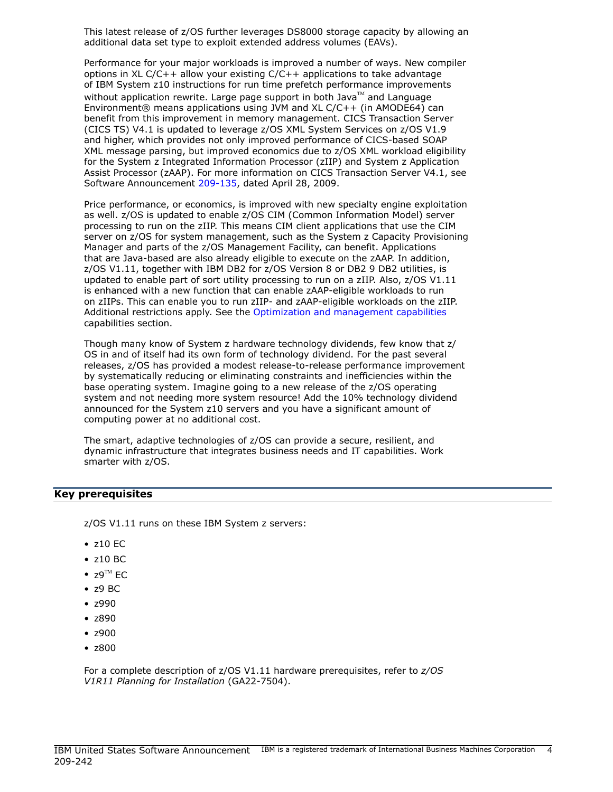This latest release of z/OS further leverages DS8000 storage capacity by allowing an additional data set type to exploit extended address volumes (EAVs).

Performance for your major workloads is improved a number of ways. New compiler options in XL C/C++ allow your existing C/C++ applications to take advantage of IBM System z10 instructions for run time prefetch performance improvements without application rewrite. Large page support in both Java $\mathbb{M}$  and Language Environment<sup>®</sup> means applications using JVM and XL C/C++ (in AMODE64) can benefit from this improvement in memory management. CICS Transaction Server (CICS TS) V4.1 is updated to leverage z/OS XML System Services on z/OS V1.9 and higher, which provides not only improved performance of CICS-based SOAP XML message parsing, but improved economics due to z/OS XML workload eligibility for the System z Integrated Information Processor (zIIP) and System z Application Assist Processor (zAAP). For more information on CICS Transaction Server V4.1, see Software Announcement [209-135,](http://www.ibm.com/common/ssi/cgi-bin/ssialias?infotype=an&subtype=ca&appname=gpateam&supplier=897&letternum=ENUS209-135) dated April 28, 2009.

Price performance, or economics, is improved with new specialty engine exploitation as well. z/OS is updated to enable z/OS CIM (Common Information Model) server processing to run on the zIIP. This means CIM client applications that use the CIM server on z/OS for system management, such as the System z Capacity Provisioning Manager and parts of the z/OS Management Facility, can benefit. Applications that are Java-based are also already eligible to execute on the zAAP. In addition, z/OS V1.11, together with IBM DB2 for z/OS Version 8 or DB2 9 DB2 utilities, is updated to enable part of sort utility processing to run on a zIIP. Also, z/OS V1.11 is enhanced with a new function that can enable zAAP-eligible workloads to run on zIIPs. This can enable you to run zIIP- and zAAP-eligible workloads on the zIIP. Additional restrictions apply. See the [Optimization and management capabilities](#page-28-0) capabilities section.

Though many know of System z hardware technology dividends, few know that z/ OS in and of itself had its own form of technology dividend. For the past several releases, z/OS has provided a modest release-to-release performance improvement by systematically reducing or eliminating constraints and inefficiencies within the base operating system. Imagine going to a new release of the z/OS operating system and not needing more system resource! Add the 10% technology dividend announced for the System z10 servers and you have a significant amount of computing power at no additional cost.

The smart, adaptive technologies of z/OS can provide a secure, resilient, and dynamic infrastructure that integrates business needs and IT capabilities. Work smarter with z/OS.

## <span id="page-3-0"></span>Key prerequisites

z/OS V1.11 runs on these IBM System z servers:

- z10 EC
- z10 BC
- $Z9^{TM}$  EC
- z9 BC
- z990
- z890
- z900
- z800

For a complete description of z/OS V1.11 hardware prerequisites, refer to *z/OS V1R11 Planning for Installation* (GA22-7504).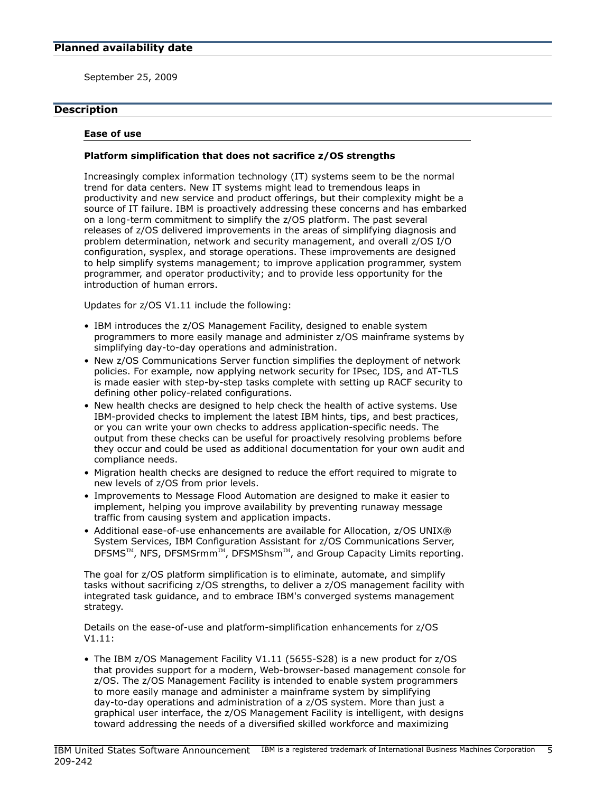<span id="page-4-0"></span>September 25, 2009

## <span id="page-4-1"></span>**Description**

#### <span id="page-4-2"></span>Ease of use

#### Platform simplification that does not sacrifice z/OS strengths

Increasingly complex information technology (IT) systems seem to be the normal trend for data centers. New IT systems might lead to tremendous leaps in productivity and new service and product offerings, but their complexity might be a source of IT failure. IBM is proactively addressing these concerns and has embarked on a long-term commitment to simplify the z/OS platform. The past several releases of z/OS delivered improvements in the areas of simplifying diagnosis and problem determination, network and security management, and overall z/OS I/O configuration, sysplex, and storage operations. These improvements are designed to help simplify systems management; to improve application programmer, system programmer, and operator productivity; and to provide less opportunity for the introduction of human errors.

Updates for z/OS V1.11 include the following:

- IBM introduces the z/OS Management Facility, designed to enable system programmers to more easily manage and administer z/OS mainframe systems by simplifying day-to-day operations and administration.
- New z/OS Communications Server function simplifies the deployment of network policies. For example, now applying network security for IPsec, IDS, and AT-TLS is made easier with step-by-step tasks complete with setting up RACF security to defining other policy-related configurations.
- New health checks are designed to help check the health of active systems. Use IBM-provided checks to implement the latest IBM hints, tips, and best practices, or you can write your own checks to address application-specific needs. The output from these checks can be useful for proactively resolving problems before they occur and could be used as additional documentation for your own audit and compliance needs.
- Migration health checks are designed to reduce the effort required to migrate to new levels of z/OS from prior levels.
- Improvements to Message Flood Automation are designed to make it easier to implement, helping you improve availability by preventing runaway message traffic from causing system and application impacts.
- Additional ease-of-use enhancements are available for Allocation,  $z$ /OS UNIX® System Services, IBM Configuration Assistant for z/OS Communications Server, DFSMS<sup>TM</sup>, NFS, DFSMSrmm<sup>TM</sup>, DFSMShsm<sup>TM</sup>, and Group Capacity Limits reporting.

The goal for z/OS platform simplification is to eliminate, automate, and simplify tasks without sacrificing z/OS strengths, to deliver a z/OS management facility with integrated task guidance, and to embrace IBM's converged systems management strategy.

Details on the ease-of-use and platform-simplification enhancements for z/OS V1.11:

• The IBM z/OS Management Facility V1.11 (5655-S28) is a new product for z/OS that provides support for a modern, Web-browser-based management console for z/OS. The z/OS Management Facility is intended to enable system programmers to more easily manage and administer a mainframe system by simplifying day-to-day operations and administration of a z/OS system. More than just a graphical user interface, the z/OS Management Facility is intelligent, with designs toward addressing the needs of a diversified skilled workforce and maximizing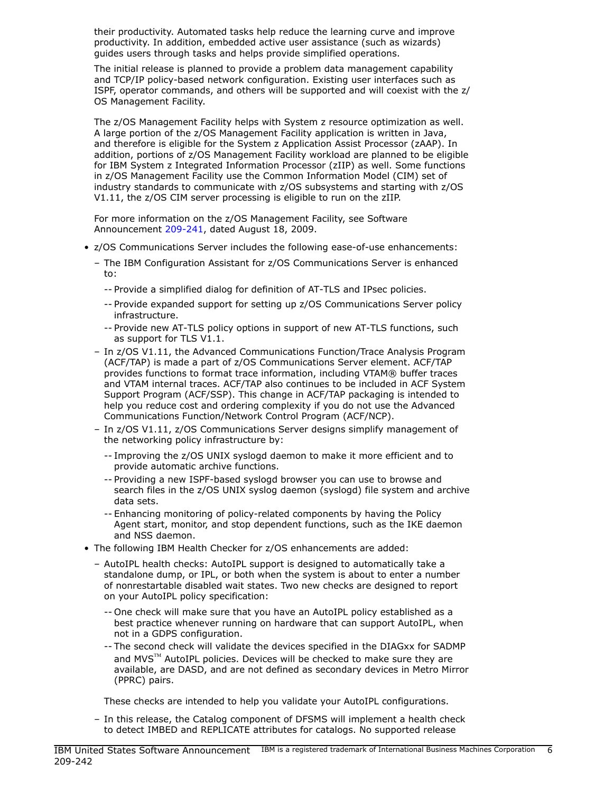their productivity. Automated tasks help reduce the learning curve and improve productivity. In addition, embedded active user assistance (such as wizards) guides users through tasks and helps provide simplified operations.

The initial release is planned to provide a problem data management capability and TCP/IP policy-based network configuration. Existing user interfaces such as ISPF, operator commands, and others will be supported and will coexist with the z/ OS Management Facility.

The z/OS Management Facility helps with System z resource optimization as well. A large portion of the z/OS Management Facility application is written in Java, and therefore is eligible for the System z Application Assist Processor (zAAP). In addition, portions of z/OS Management Facility workload are planned to be eligible for IBM System z Integrated Information Processor (zIIP) as well. Some functions in z/OS Management Facility use the Common Information Model (CIM) set of industry standards to communicate with z/OS subsystems and starting with z/OS V1.11, the z/OS CIM server processing is eligible to run on the zIIP.

For more information on the z/OS Management Facility, see Software Announcement [209-241](http://www.ibm.com/common/ssi/cgi-bin/ssialias?infotype=an&subtype=ca&appname=gpateam&supplier=897&letternum=ENUS209-241), dated August 18, 2009.

- z/OS Communications Server includes the following ease-of-use enhancements:
	- The IBM Configuration Assistant for z/OS Communications Server is enhanced to:
		- -- Provide a simplified dialog for definition of AT-TLS and IPsec policies.
		- -- Provide expanded support for setting up z/OS Communications Server policy infrastructure.
		- -- Provide new AT-TLS policy options in support of new AT-TLS functions, such as support for TLS V1.1.
	- In z/OS V1.11, the Advanced Communications Function/Trace Analysis Program (ACF/TAP) is made a part of z/OS Communications Server element. ACF/TAP provides functions to format trace information, including VTAM® buffer traces and VTAM internal traces. ACF/TAP also continues to be included in ACF System Support Program (ACF/SSP). This change in ACF/TAP packaging is intended to help you reduce cost and ordering complexity if you do not use the Advanced Communications Function/Network Control Program (ACF/NCP).
	- In z/OS V1.11, z/OS Communications Server designs simplify management of the networking policy infrastructure by:
		- -- Improving the z/OS UNIX syslogd daemon to make it more efficient and to provide automatic archive functions.
		- -- Providing a new ISPF-based syslogd browser you can use to browse and search files in the z/OS UNIX syslog daemon (syslogd) file system and archive data sets.
		- -- Enhancing monitoring of policy-related components by having the Policy Agent start, monitor, and stop dependent functions, such as the IKE daemon and NSS daemon.
- The following IBM Health Checker for z/OS enhancements are added:
	- AutoIPL health checks: AutoIPL support is designed to automatically take a standalone dump, or IPL, or both when the system is about to enter a number of nonrestartable disabled wait states. Two new checks are designed to report on your AutoIPL policy specification:
		- -- One check will make sure that you have an AutoIPL policy established as a best practice whenever running on hardware that can support AutoIPL, when not in a GDPS configuration.
		- -- The second check will validate the devices specified in the DIAGxx for SADMP and  $MVS^{TM}$  AutoIPL policies. Devices will be checked to make sure they are available, are DASD, and are not defined as secondary devices in Metro Mirror (PPRC) pairs.

These checks are intended to help you validate your AutoIPL configurations.

– In this release, the Catalog component of DFSMS will implement a health check to detect IMBED and REPLICATE attributes for catalogs. No supported release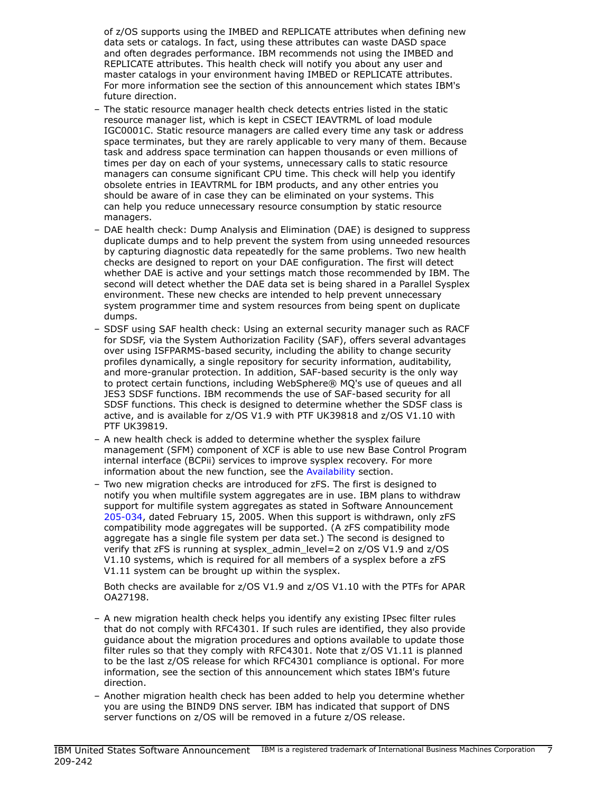of z/OS supports using the IMBED and REPLICATE attributes when defining new data sets or catalogs. In fact, using these attributes can waste DASD space and often degrades performance. IBM recommends not using the IMBED and REPLICATE attributes. This health check will notify you about any user and master catalogs in your environment having IMBED or REPLICATE attributes. For more information see the section of this announcement which states IBM's future direction.

- The static resource manager health check detects entries listed in the static resource manager list, which is kept in CSECT IEAVTRML of load module IGC0001C. Static resource managers are called every time any task or address space terminates, but they are rarely applicable to very many of them. Because task and address space termination can happen thousands or even millions of times per day on each of your systems, unnecessary calls to static resource managers can consume significant CPU time. This check will help you identify obsolete entries in IEAVTRML for IBM products, and any other entries you should be aware of in case they can be eliminated on your systems. This can help you reduce unnecessary resource consumption by static resource managers.
- DAE health check: Dump Analysis and Elimination (DAE) is designed to suppress duplicate dumps and to help prevent the system from using unneeded resources by capturing diagnostic data repeatedly for the same problems. Two new health checks are designed to report on your DAE configuration. The first will detect whether DAE is active and your settings match those recommended by IBM. The second will detect whether the DAE data set is being shared in a Parallel Sysplex environment. These new checks are intended to help prevent unnecessary system programmer time and system resources from being spent on duplicate dumps.
- SDSF using SAF health check: Using an external security manager such as RACF for SDSF, via the System Authorization Facility (SAF), offers several advantages over using ISFPARMS-based security, including the ability to change security profiles dynamically, a single repository for security information, auditability, and more-granular protection. In addition, SAF-based security is the only way to protect certain functions, including WebSphere® MQ's use of queues and all JES3 SDSF functions. IBM recommends the use of SAF-based security for all SDSF functions. This check is designed to determine whether the SDSF class is active, and is available for z/OS V1.9 with PTF UK39818 and z/OS V1.10 with PTF UK39819.
- A new health check is added to determine whether the sysplex failure management (SFM) component of XCF is able to use new Base Control Program internal interface (BCPii) services to improve sysplex recovery. For more information about the new function, see the [Availability](#page-24-0) section.
- Two new migration checks are introduced for zFS. The first is designed to notify you when multifile system aggregates are in use. IBM plans to withdraw support for multifile system aggregates as stated in Software Announcement [205-034](http://www.ibm.com/common/ssi/cgi-bin/ssialias?infotype=an&subtype=ca&appname=gpateam&supplier=897&letternum=ENUS205-034), dated February 15, 2005. When this support is withdrawn, only zFS compatibility mode aggregates will be supported. (A zFS compatibility mode aggregate has a single file system per data set.) The second is designed to verify that zFS is running at sysplex\_admin\_level=2 on z/OS V1.9 and z/OS V1.10 systems, which is required for all members of a sysplex before a zFS V1.11 system can be brought up within the sysplex.

Both checks are available for z/OS V1.9 and z/OS V1.10 with the PTFs for APAR OA27198.

- A new migration health check helps you identify any existing IPsec filter rules that do not comply with RFC4301. If such rules are identified, they also provide guidance about the migration procedures and options available to update those filter rules so that they comply with RFC4301. Note that z/OS V1.11 is planned to be the last z/OS release for which RFC4301 compliance is optional. For more information, see the section of this announcement which states IBM's future direction.
- Another migration health check has been added to help you determine whether you are using the BIND9 DNS server. IBM has indicated that support of DNS server functions on z/OS will be removed in a future z/OS release.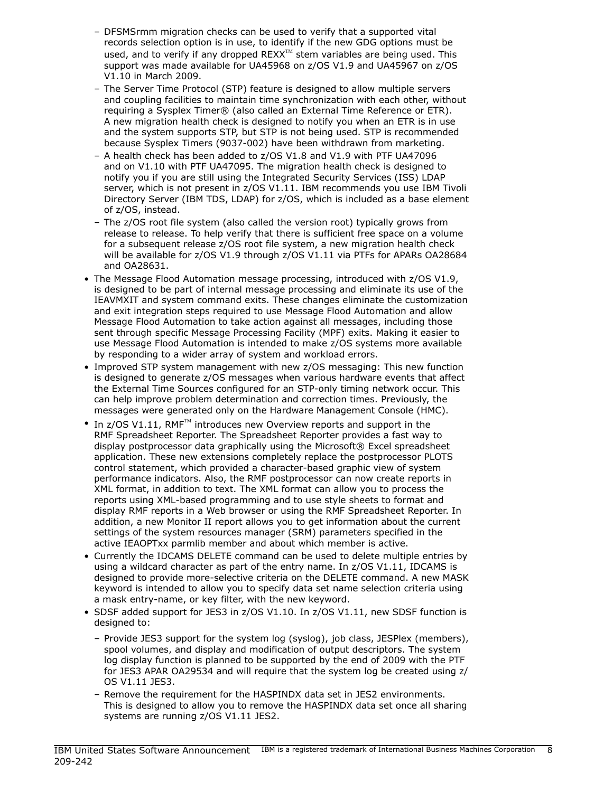- DFSMSrmm migration checks can be used to verify that a supported vital records selection option is in use, to identify if the new GDG options must be used, and to verify if any dropped REXX $^{TM}$  stem variables are being used. This support was made available for UA45968 on z/OS V1.9 and UA45967 on z/OS V1.10 in March 2009.
- The Server Time Protocol (STP) feature is designed to allow multiple servers and coupling facilities to maintain time synchronization with each other, without requiring a Sysplex Timer® (also called an External Time Reference or ETR). A new migration health check is designed to notify you when an ETR is in use and the system supports STP, but STP is not being used. STP is recommended because Sysplex Timers (9037-002) have been withdrawn from marketing.
- A health check has been added to z/OS V1.8 and V1.9 with PTF UA47096 and on V1.10 with PTF UA47095. The migration health check is designed to notify you if you are still using the Integrated Security Services (ISS) LDAP server, which is not present in z/OS V1.11. IBM recommends you use IBM Tivoli Directory Server (IBM TDS, LDAP) for z/OS, which is included as a base element of z/OS, instead.
- The z/OS root file system (also called the version root) typically grows from release to release. To help verify that there is sufficient free space on a volume for a subsequent release z/OS root file system, a new migration health check will be available for z/OS V1.9 through z/OS V1.11 via PTFs for APARs OA28684 and OA28631.
- The Message Flood Automation message processing, introduced with z/OS V1.9, is designed to be part of internal message processing and eliminate its use of the IEAVMXIT and system command exits. These changes eliminate the customization and exit integration steps required to use Message Flood Automation and allow Message Flood Automation to take action against all messages, including those sent through specific Message Processing Facility (MPF) exits. Making it easier to use Message Flood Automation is intended to make z/OS systems more available by responding to a wider array of system and workload errors.
- Improved STP system management with new z/OS messaging: This new function is designed to generate z/OS messages when various hardware events that affect the External Time Sources configured for an STP-only timing network occur. This can help improve problem determination and correction times. Previously, the messages were generated only on the Hardware Management Console (HMC).
- In  $z$ /OS V1.11, RMF<sup>TM</sup> introduces new Overview reports and support in the RMF Spreadsheet Reporter. The Spreadsheet Reporter provides a fast way to display postprocessor data graphically using the Microsoft® Excel spreadsheet application. These new extensions completely replace the postprocessor PLOTS control statement, which provided a character-based graphic view of system performance indicators. Also, the RMF postprocessor can now create reports in XML format, in addition to text. The XML format can allow you to process the reports using XML-based programming and to use style sheets to format and display RMF reports in a Web browser or using the RMF Spreadsheet Reporter. In addition, a new Monitor II report allows you to get information about the current settings of the system resources manager (SRM) parameters specified in the active IEAOPTxx parmlib member and about which member is active.
- Currently the IDCAMS DELETE command can be used to delete multiple entries by using a wildcard character as part of the entry name. In z/OS V1.11, IDCAMS is designed to provide more-selective criteria on the DELETE command. A new MASK keyword is intended to allow you to specify data set name selection criteria using a mask entry-name, or key filter, with the new keyword.
- SDSF added support for JES3 in z/OS V1.10. In z/OS V1.11, new SDSF function is designed to:
	- Provide JES3 support for the system log (syslog), job class, JESPlex (members), spool volumes, and display and modification of output descriptors. The system log display function is planned to be supported by the end of 2009 with the PTF for JES3 APAR OA29534 and will require that the system log be created using z/ OS V1.11 JES3.
	- Remove the requirement for the HASPINDX data set in JES2 environments. This is designed to allow you to remove the HASPINDX data set once all sharing systems are running z/OS V1.11 JES2.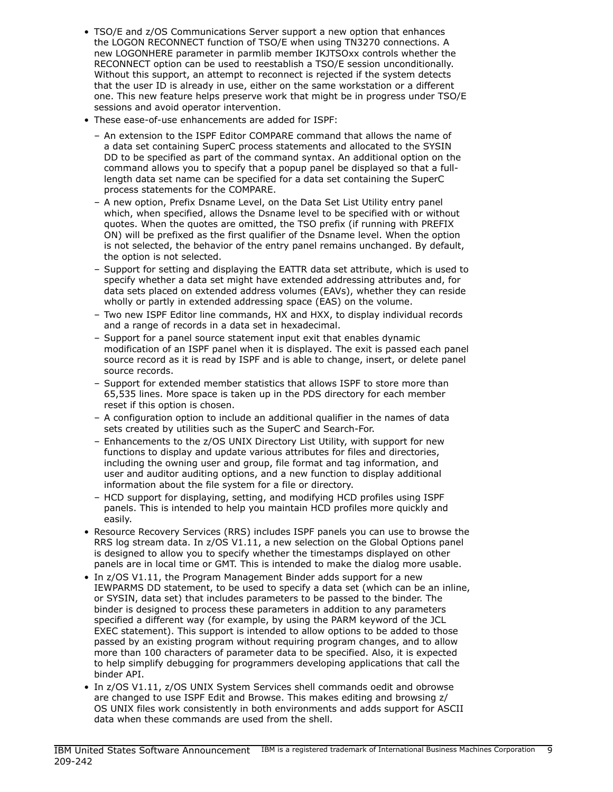- TSO/E and z/OS Communications Server support a new option that enhances the LOGON RECONNECT function of TSO/E when using TN3270 connections. A new LOGONHERE parameter in parmlib member IKJTSOxx controls whether the RECONNECT option can be used to reestablish a TSO/E session unconditionally. Without this support, an attempt to reconnect is rejected if the system detects that the user ID is already in use, either on the same workstation or a different one. This new feature helps preserve work that might be in progress under TSO/E sessions and avoid operator intervention.
- These ease-of-use enhancements are added for ISPF:
	- An extension to the ISPF Editor COMPARE command that allows the name of a data set containing SuperC process statements and allocated to the SYSIN DD to be specified as part of the command syntax. An additional option on the command allows you to specify that a popup panel be displayed so that a fulllength data set name can be specified for a data set containing the SuperC process statements for the COMPARE.
	- A new option, Prefix Dsname Level, on the Data Set List Utility entry panel which, when specified, allows the Dsname level to be specified with or without quotes. When the quotes are omitted, the TSO prefix (if running with PREFIX ON) will be prefixed as the first qualifier of the Dsname level. When the option is not selected, the behavior of the entry panel remains unchanged. By default, the option is not selected.
	- Support for setting and displaying the EATTR data set attribute, which is used to specify whether a data set might have extended addressing attributes and, for data sets placed on extended address volumes (EAVs), whether they can reside wholly or partly in extended addressing space (EAS) on the volume.
	- Two new ISPF Editor line commands, HX and HXX, to display individual records and a range of records in a data set in hexadecimal.
	- Support for a panel source statement input exit that enables dynamic modification of an ISPF panel when it is displayed. The exit is passed each panel source record as it is read by ISPF and is able to change, insert, or delete panel source records.
	- Support for extended member statistics that allows ISPF to store more than 65,535 lines. More space is taken up in the PDS directory for each member reset if this option is chosen.
	- A configuration option to include an additional qualifier in the names of data sets created by utilities such as the SuperC and Search-For.
	- Enhancements to the z/OS UNIX Directory List Utility, with support for new functions to display and update various attributes for files and directories, including the owning user and group, file format and tag information, and user and auditor auditing options, and a new function to display additional information about the file system for a file or directory.
	- HCD support for displaying, setting, and modifying HCD profiles using ISPF panels. This is intended to help you maintain HCD profiles more quickly and easily.
- Resource Recovery Services (RRS) includes ISPF panels you can use to browse the RRS log stream data. In z/OS V1.11, a new selection on the Global Options panel is designed to allow you to specify whether the timestamps displayed on other panels are in local time or GMT. This is intended to make the dialog more usable.
- In z/OS V1.11, the Program Management Binder adds support for a new IEWPARMS DD statement, to be used to specify a data set (which can be an inline, or SYSIN, data set) that includes parameters to be passed to the binder. The binder is designed to process these parameters in addition to any parameters specified a different way (for example, by using the PARM keyword of the JCL EXEC statement). This support is intended to allow options to be added to those passed by an existing program without requiring program changes, and to allow more than 100 characters of parameter data to be specified. Also, it is expected to help simplify debugging for programmers developing applications that call the binder API.
- In z/OS V1.11, z/OS UNIX System Services shell commands oedit and obrowse are changed to use ISPF Edit and Browse. This makes editing and browsing z/ OS UNIX files work consistently in both environments and adds support for ASCII data when these commands are used from the shell.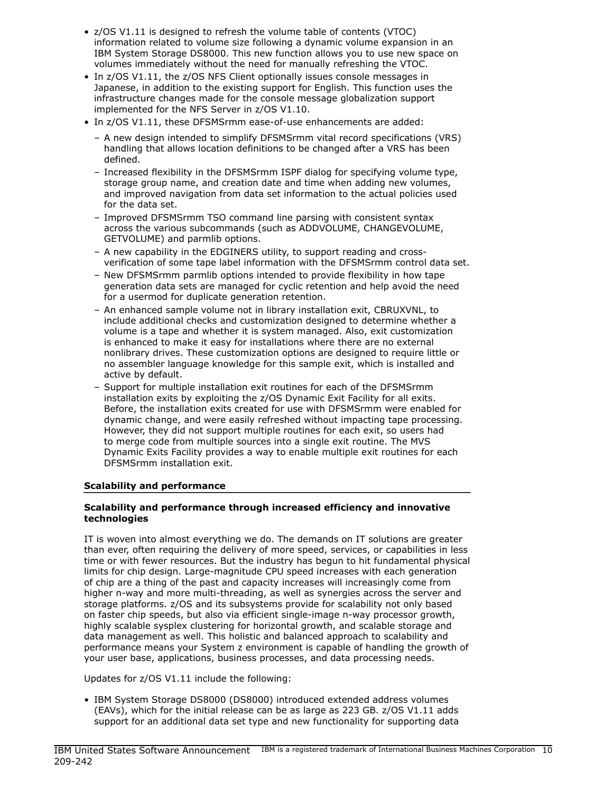- z/OS V1.11 is designed to refresh the volume table of contents (VTOC) information related to volume size following a dynamic volume expansion in an IBM System Storage DS8000. This new function allows you to use new space on volumes immediately without the need for manually refreshing the VTOC.
- In z/OS V1.11, the z/OS NFS Client optionally issues console messages in Japanese, in addition to the existing support for English. This function uses the infrastructure changes made for the console message globalization support implemented for the NFS Server in z/OS V1.10.
- In z/OS V1.11, these DFSMSrmm ease-of-use enhancements are added:
	- A new design intended to simplify DFSMSrmm vital record specifications (VRS) handling that allows location definitions to be changed after a VRS has been defined.
	- Increased flexibility in the DFSMSrmm ISPF dialog for specifying volume type, storage group name, and creation date and time when adding new volumes, and improved navigation from data set information to the actual policies used for the data set.
	- Improved DFSMSrmm TSO command line parsing with consistent syntax across the various subcommands (such as ADDVOLUME, CHANGEVOLUME, GETVOLUME) and parmlib options.
	- A new capability in the EDGINERS utility, to support reading and crossverification of some tape label information with the DFSMSrmm control data set.
	- New DFSMSrmm parmlib options intended to provide flexibility in how tape generation data sets are managed for cyclic retention and help avoid the need for a usermod for duplicate generation retention.
	- An enhanced sample volume not in library installation exit, CBRUXVNL, to include additional checks and customization designed to determine whether a volume is a tape and whether it is system managed. Also, exit customization is enhanced to make it easy for installations where there are no external nonlibrary drives. These customization options are designed to require little or no assembler language knowledge for this sample exit, which is installed and active by default.
	- Support for multiple installation exit routines for each of the DFSMSrmm installation exits by exploiting the z/OS Dynamic Exit Facility for all exits. Before, the installation exits created for use with DFSMSrmm were enabled for dynamic change, and were easily refreshed without impacting tape processing. However, they did not support multiple routines for each exit, so users had to merge code from multiple sources into a single exit routine. The MVS Dynamic Exits Facility provides a way to enable multiple exit routines for each DFSMSrmm installation exit.

## <span id="page-9-0"></span>Scalability and performance

## Scalability and performance through increased efficiency and innovative technologies

IT is woven into almost everything we do. The demands on IT solutions are greater than ever, often requiring the delivery of more speed, services, or capabilities in less time or with fewer resources. But the industry has begun to hit fundamental physical limits for chip design. Large-magnitude CPU speed increases with each generation of chip are a thing of the past and capacity increases will increasingly come from higher n-way and more multi-threading, as well as synergies across the server and storage platforms. z/OS and its subsystems provide for scalability not only based on faster chip speeds, but also via efficient single-image n-way processor growth, highly scalable sysplex clustering for horizontal growth, and scalable storage and data management as well. This holistic and balanced approach to scalability and performance means your System z environment is capable of handling the growth of your user base, applications, business processes, and data processing needs.

Updates for z/OS V1.11 include the following:

• IBM System Storage DS8000 (DS8000) introduced extended address volumes (EAVs), which for the initial release can be as large as 223 GB. z/OS V1.11 adds support for an additional data set type and new functionality for supporting data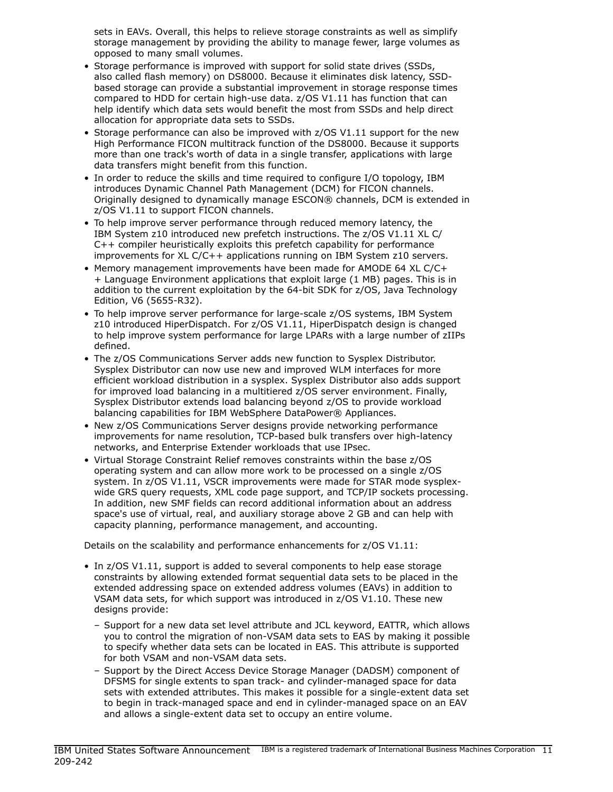sets in EAVs. Overall, this helps to relieve storage constraints as well as simplify storage management by providing the ability to manage fewer, large volumes as opposed to many small volumes.

- Storage performance is improved with support for solid state drives (SSDs, also called flash memory) on DS8000. Because it eliminates disk latency, SSDbased storage can provide a substantial improvement in storage response times compared to HDD for certain high-use data. z/OS V1.11 has function that can help identify which data sets would benefit the most from SSDs and help direct allocation for appropriate data sets to SSDs.
- Storage performance can also be improved with z/OS V1.11 support for the new High Performance FICON multitrack function of the DS8000. Because it supports more than one track's worth of data in a single transfer, applications with large data transfers might benefit from this function.
- In order to reduce the skills and time required to configure I/O topology, IBM introduces Dynamic Channel Path Management (DCM) for FICON channels. Originally designed to dynamically manage ESCON® channels, DCM is extended in z/OS V1.11 to support FICON channels.
- To help improve server performance through reduced memory latency, the IBM System z10 introduced new prefetch instructions. The z/OS V1.11 XL C/ C++ compiler heuristically exploits this prefetch capability for performance improvements for XL C/C++ applications running on IBM System z10 servers.
- Memory management improvements have been made for AMODE 64 XL C/C+ + Language Environment applications that exploit large (1 MB) pages. This is in addition to the current exploitation by the 64-bit SDK for z/OS, Java Technology Edition, V6 (5655-R32).
- To help improve server performance for large-scale z/OS systems, IBM System z10 introduced HiperDispatch. For z/OS V1.11, HiperDispatch design is changed to help improve system performance for large LPARs with a large number of zIIPs defined.
- The z/OS Communications Server adds new function to Sysplex Distributor. Sysplex Distributor can now use new and improved WLM interfaces for more efficient workload distribution in a sysplex. Sysplex Distributor also adds support for improved load balancing in a multitiered z/OS server environment. Finally, Sysplex Distributor extends load balancing beyond z/OS to provide workload balancing capabilities for IBM WebSphere DataPower® Appliances.
- New z/OS Communications Server designs provide networking performance improvements for name resolution, TCP-based bulk transfers over high-latency networks, and Enterprise Extender workloads that use IPsec.
- Virtual Storage Constraint Relief removes constraints within the base z/OS operating system and can allow more work to be processed on a single z/OS system. In z/OS V1.11, VSCR improvements were made for STAR mode sysplexwide GRS query requests, XML code page support, and TCP/IP sockets processing. In addition, new SMF fields can record additional information about an address space's use of virtual, real, and auxiliary storage above 2 GB and can help with capacity planning, performance management, and accounting.

Details on the scalability and performance enhancements for z/OS V1.11:

- In z/OS V1.11, support is added to several components to help ease storage constraints by allowing extended format sequential data sets to be placed in the extended addressing space on extended address volumes (EAVs) in addition to VSAM data sets, for which support was introduced in z/OS V1.10. These new designs provide:
	- Support for a new data set level attribute and JCL keyword, EATTR, which allows you to control the migration of non-VSAM data sets to EAS by making it possible to specify whether data sets can be located in EAS. This attribute is supported for both VSAM and non-VSAM data sets.
	- Support by the Direct Access Device Storage Manager (DADSM) component of DFSMS for single extents to span track- and cylinder-managed space for data sets with extended attributes. This makes it possible for a single-extent data set to begin in track-managed space and end in cylinder-managed space on an EAV and allows a single-extent data set to occupy an entire volume.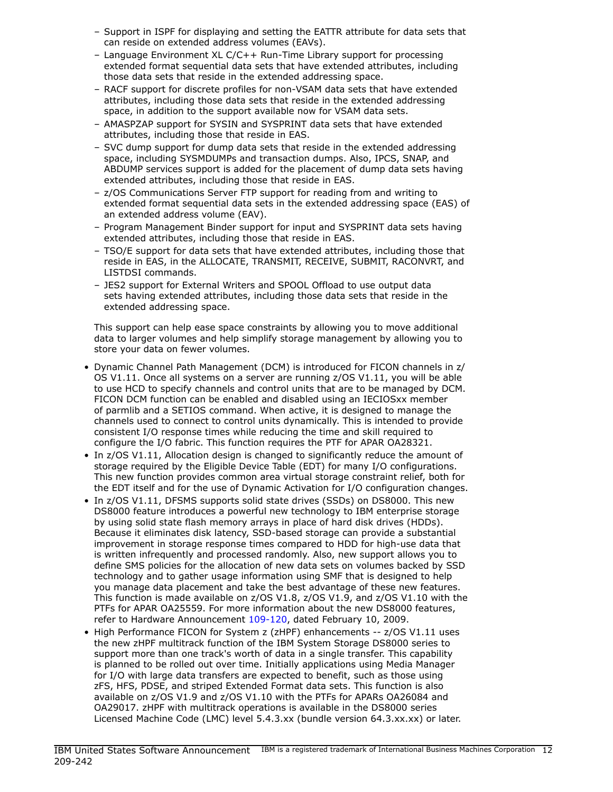- Support in ISPF for displaying and setting the EATTR attribute for data sets that can reside on extended address volumes (EAVs).
- Language Environment XL C/C++ Run-Time Library support for processing extended format sequential data sets that have extended attributes, including those data sets that reside in the extended addressing space.
- RACF support for discrete profiles for non-VSAM data sets that have extended attributes, including those data sets that reside in the extended addressing space, in addition to the support available now for VSAM data sets.
- AMASPZAP support for SYSIN and SYSPRINT data sets that have extended attributes, including those that reside in EAS.
- SVC dump support for dump data sets that reside in the extended addressing space, including SYSMDUMPs and transaction dumps. Also, IPCS, SNAP, and ABDUMP services support is added for the placement of dump data sets having extended attributes, including those that reside in EAS.
- z/OS Communications Server FTP support for reading from and writing to extended format sequential data sets in the extended addressing space (EAS) of an extended address volume (EAV).
- Program Management Binder support for input and SYSPRINT data sets having extended attributes, including those that reside in EAS.
- TSO/E support for data sets that have extended attributes, including those that reside in EAS, in the ALLOCATE, TRANSMIT, RECEIVE, SUBMIT, RACONVRT, and LISTDSI commands.
- JES2 support for External Writers and SPOOL Offload to use output data sets having extended attributes, including those data sets that reside in the extended addressing space.

This support can help ease space constraints by allowing you to move additional data to larger volumes and help simplify storage management by allowing you to store your data on fewer volumes.

- Dynamic Channel Path Management (DCM) is introduced for FICON channels in z/ OS V1.11. Once all systems on a server are running z/OS V1.11, you will be able to use HCD to specify channels and control units that are to be managed by DCM. FICON DCM function can be enabled and disabled using an IECIOSxx member of parmlib and a SETIOS command. When active, it is designed to manage the channels used to connect to control units dynamically. This is intended to provide consistent I/O response times while reducing the time and skill required to configure the I/O fabric. This function requires the PTF for APAR OA28321.
- In z/OS V1.11, Allocation design is changed to significantly reduce the amount of storage required by the Eligible Device Table (EDT) for many I/O configurations. This new function provides common area virtual storage constraint relief, both for the EDT itself and for the use of Dynamic Activation for I/O configuration changes.
- In z/OS V1.11, DFSMS supports solid state drives (SSDs) on DS8000. This new DS8000 feature introduces a powerful new technology to IBM enterprise storage by using solid state flash memory arrays in place of hard disk drives (HDDs). Because it eliminates disk latency, SSD-based storage can provide a substantial improvement in storage response times compared to HDD for high-use data that is written infrequently and processed randomly. Also, new support allows you to define SMS policies for the allocation of new data sets on volumes backed by SSD technology and to gather usage information using SMF that is designed to help you manage data placement and take the best advantage of these new features. This function is made available on z/OS V1.8, z/OS V1.9, and z/OS V1.10 with the PTFs for APAR OA25559. For more information about the new DS8000 features, refer to Hardware Announcement [109-120,](http://www.ibm.com/common/ssi/cgi-bin/ssialias?infotype=an&subtype=ca&appname=gpateam&supplier=897&letternum=ENUS109-120) dated February 10, 2009.
- High Performance FICON for System z (zHPF) enhancements -- z/OS V1.11 uses the new zHPF multitrack function of the IBM System Storage DS8000 series to support more than one track's worth of data in a single transfer. This capability is planned to be rolled out over time. Initially applications using Media Manager for I/O with large data transfers are expected to benefit, such as those using zFS, HFS, PDSE, and striped Extended Format data sets. This function is also available on z/OS V1.9 and z/OS V1.10 with the PTFs for APARs OA26084 and OA29017. zHPF with multitrack operations is available in the DS8000 series Licensed Machine Code (LMC) level 5.4.3.xx (bundle version 64.3.xx.xx) or later.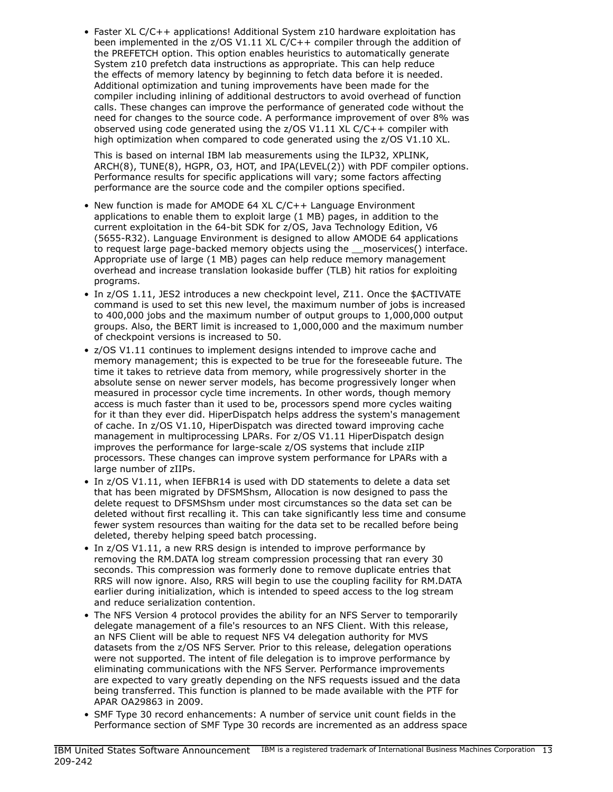• Faster XL C/C++ applications! Additional System z10 hardware exploitation has been implemented in the z/OS V1.11 XL C/C++ compiler through the addition of the PREFETCH option. This option enables heuristics to automatically generate System z10 prefetch data instructions as appropriate. This can help reduce the effects of memory latency by beginning to fetch data before it is needed. Additional optimization and tuning improvements have been made for the compiler including inlining of additional destructors to avoid overhead of function calls. These changes can improve the performance of generated code without the need for changes to the source code. A performance improvement of over 8% was observed using code generated using the  $z/OS$  V1.11 XL  $C/C++$  compiler with high optimization when compared to code generated using the z/OS V1.10 XL.

This is based on internal IBM lab measurements using the ILP32, XPLINK, ARCH(8), TUNE(8), HGPR, O3, HOT, and IPA(LEVEL(2)) with PDF compiler options. Performance results for specific applications will vary; some factors affecting performance are the source code and the compiler options specified.

- New function is made for AMODE 64 XL C/C++ Language Environment applications to enable them to exploit large (1 MB) pages, in addition to the current exploitation in the 64-bit SDK for z/OS, Java Technology Edition, V6 (5655-R32). Language Environment is designed to allow AMODE 64 applications to request large page-backed memory objects using the \_\_moservices() interface. Appropriate use of large (1 MB) pages can help reduce memory management overhead and increase translation lookaside buffer (TLB) hit ratios for exploiting programs.
- In z/OS 1.11, JES2 introduces a new checkpoint level, Z11. Once the \$ACTIVATE command is used to set this new level, the maximum number of jobs is increased to 400,000 jobs and the maximum number of output groups to 1,000,000 output groups. Also, the BERT limit is increased to 1,000,000 and the maximum number of checkpoint versions is increased to 50.
- z/OS V1.11 continues to implement designs intended to improve cache and memory management; this is expected to be true for the foreseeable future. The time it takes to retrieve data from memory, while progressively shorter in the absolute sense on newer server models, has become progressively longer when measured in processor cycle time increments. In other words, though memory access is much faster than it used to be, processors spend more cycles waiting for it than they ever did. HiperDispatch helps address the system's management of cache. In z/OS V1.10, HiperDispatch was directed toward improving cache management in multiprocessing LPARs. For z/OS V1.11 HiperDispatch design improves the performance for large-scale z/OS systems that include zIIP processors. These changes can improve system performance for LPARs with a large number of zIIPs.
- In z/OS V1.11, when IEFBR14 is used with DD statements to delete a data set that has been migrated by DFSMShsm, Allocation is now designed to pass the delete request to DFSMShsm under most circumstances so the data set can be deleted without first recalling it. This can take significantly less time and consume fewer system resources than waiting for the data set to be recalled before being deleted, thereby helping speed batch processing.
- In z/OS V1.11, a new RRS design is intended to improve performance by removing the RM.DATA log stream compression processing that ran every 30 seconds. This compression was formerly done to remove duplicate entries that RRS will now ignore. Also, RRS will begin to use the coupling facility for RM.DATA earlier during initialization, which is intended to speed access to the log stream and reduce serialization contention.
- The NFS Version 4 protocol provides the ability for an NFS Server to temporarily delegate management of a file's resources to an NFS Client. With this release, an NFS Client will be able to request NFS V4 delegation authority for MVS datasets from the z/OS NFS Server. Prior to this release, delegation operations were not supported. The intent of file delegation is to improve performance by eliminating communications with the NFS Server. Performance improvements are expected to vary greatly depending on the NFS requests issued and the data being transferred. This function is planned to be made available with the PTF for APAR OA29863 in 2009.
- SMF Type 30 record enhancements: A number of service unit count fields in the Performance section of SMF Type 30 records are incremented as an address space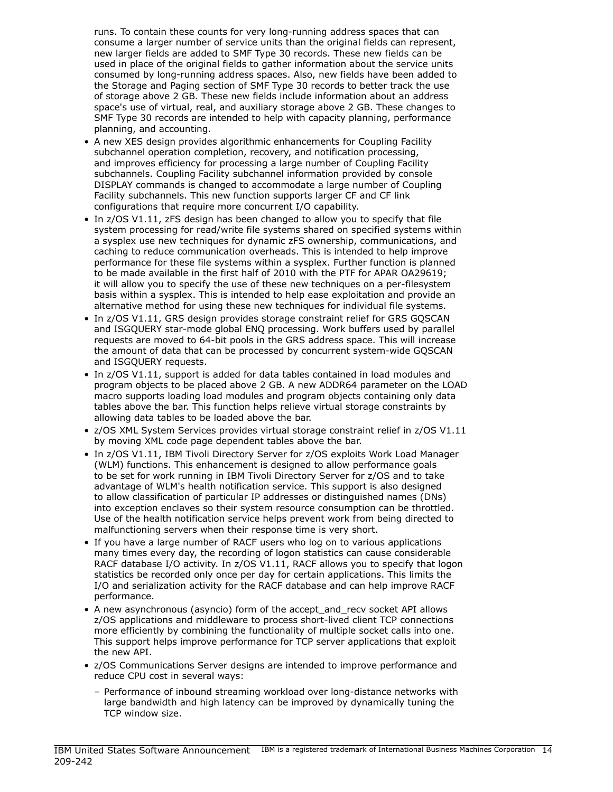runs. To contain these counts for very long-running address spaces that can consume a larger number of service units than the original fields can represent, new larger fields are added to SMF Type 30 records. These new fields can be used in place of the original fields to gather information about the service units consumed by long-running address spaces. Also, new fields have been added to the Storage and Paging section of SMF Type 30 records to better track the use of storage above 2 GB. These new fields include information about an address space's use of virtual, real, and auxiliary storage above 2 GB. These changes to SMF Type 30 records are intended to help with capacity planning, performance planning, and accounting.

- A new XES design provides algorithmic enhancements for Coupling Facility subchannel operation completion, recovery, and notification processing, and improves efficiency for processing a large number of Coupling Facility subchannels. Coupling Facility subchannel information provided by console DISPLAY commands is changed to accommodate a large number of Coupling Facility subchannels. This new function supports larger CF and CF link configurations that require more concurrent I/O capability.
- In z/OS V1.11, zFS design has been changed to allow you to specify that file system processing for read/write file systems shared on specified systems within a sysplex use new techniques for dynamic zFS ownership, communications, and caching to reduce communication overheads. This is intended to help improve performance for these file systems within a sysplex. Further function is planned to be made available in the first half of 2010 with the PTF for APAR OA29619; it will allow you to specify the use of these new techniques on a per-filesystem basis within a sysplex. This is intended to help ease exploitation and provide an alternative method for using these new techniques for individual file systems.
- In z/OS V1.11, GRS design provides storage constraint relief for GRS GQSCAN and ISGQUERY star-mode global ENQ processing. Work buffers used by parallel requests are moved to 64-bit pools in the GRS address space. This will increase the amount of data that can be processed by concurrent system-wide GQSCAN and ISGQUERY requests.
- In z/OS V1.11, support is added for data tables contained in load modules and program objects to be placed above 2 GB. A new ADDR64 parameter on the LOAD macro supports loading load modules and program objects containing only data tables above the bar. This function helps relieve virtual storage constraints by allowing data tables to be loaded above the bar.
- z/OS XML System Services provides virtual storage constraint relief in z/OS V1.11 by moving XML code page dependent tables above the bar.
- In z/OS V1.11, IBM Tivoli Directory Server for z/OS exploits Work Load Manager (WLM) functions. This enhancement is designed to allow performance goals to be set for work running in IBM Tivoli Directory Server for z/OS and to take advantage of WLM's health notification service. This support is also designed to allow classification of particular IP addresses or distinguished names (DNs) into exception enclaves so their system resource consumption can be throttled. Use of the health notification service helps prevent work from being directed to malfunctioning servers when their response time is very short.
- If you have a large number of RACF users who log on to various applications many times every day, the recording of logon statistics can cause considerable RACF database I/O activity. In z/OS V1.11, RACF allows you to specify that logon statistics be recorded only once per day for certain applications. This limits the I/O and serialization activity for the RACF database and can help improve RACF performance.
- A new asynchronous (asyncio) form of the accept\_and\_recv socket API allows z/OS applications and middleware to process short-lived client TCP connections more efficiently by combining the functionality of multiple socket calls into one. This support helps improve performance for TCP server applications that exploit the new API.
- z/OS Communications Server designs are intended to improve performance and reduce CPU cost in several ways:
	- Performance of inbound streaming workload over long-distance networks with large bandwidth and high latency can be improved by dynamically tuning the TCP window size.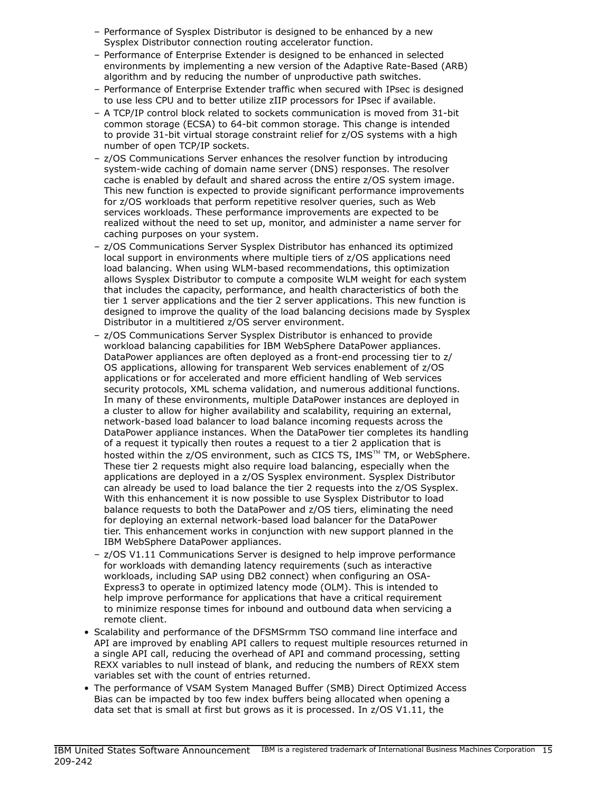- Performance of Sysplex Distributor is designed to be enhanced by a new Sysplex Distributor connection routing accelerator function.
- Performance of Enterprise Extender is designed to be enhanced in selected environments by implementing a new version of the Adaptive Rate-Based (ARB) algorithm and by reducing the number of unproductive path switches.
- Performance of Enterprise Extender traffic when secured with IPsec is designed to use less CPU and to better utilize zIIP processors for IPsec if available.
- A TCP/IP control block related to sockets communication is moved from 31-bit common storage (ECSA) to 64-bit common storage. This change is intended to provide 31-bit virtual storage constraint relief for z/OS systems with a high number of open TCP/IP sockets.
- z/OS Communications Server enhances the resolver function by introducing system-wide caching of domain name server (DNS) responses. The resolver cache is enabled by default and shared across the entire z/OS system image. This new function is expected to provide significant performance improvements for z/OS workloads that perform repetitive resolver queries, such as Web services workloads. These performance improvements are expected to be realized without the need to set up, monitor, and administer a name server for caching purposes on your system.
- z/OS Communications Server Sysplex Distributor has enhanced its optimized local support in environments where multiple tiers of z/OS applications need load balancing. When using WLM-based recommendations, this optimization allows Sysplex Distributor to compute a composite WLM weight for each system that includes the capacity, performance, and health characteristics of both the tier 1 server applications and the tier 2 server applications. This new function is designed to improve the quality of the load balancing decisions made by Sysplex Distributor in a multitiered z/OS server environment.
- z/OS Communications Server Sysplex Distributor is enhanced to provide workload balancing capabilities for IBM WebSphere DataPower appliances. DataPower appliances are often deployed as a front-end processing tier to z/ OS applications, allowing for transparent Web services enablement of z/OS applications or for accelerated and more efficient handling of Web services security protocols, XML schema validation, and numerous additional functions. In many of these environments, multiple DataPower instances are deployed in a cluster to allow for higher availability and scalability, requiring an external, network-based load balancer to load balance incoming requests across the DataPower appliance instances. When the DataPower tier completes its handling of a request it typically then routes a request to a tier 2 application that is hosted within the  $z/OS$  environment, such as CICS TS, IMS<sup>TM</sup> TM, or WebSphere. These tier 2 requests might also require load balancing, especially when the applications are deployed in a z/OS Sysplex environment. Sysplex Distributor can already be used to load balance the tier 2 requests into the z/OS Sysplex. With this enhancement it is now possible to use Sysplex Distributor to load balance requests to both the DataPower and z/OS tiers, eliminating the need for deploying an external network-based load balancer for the DataPower tier. This enhancement works in conjunction with new support planned in the IBM WebSphere DataPower appliances.
- z/OS V1.11 Communications Server is designed to help improve performance for workloads with demanding latency requirements (such as interactive workloads, including SAP using DB2 connect) when configuring an OSA-Express3 to operate in optimized latency mode (OLM). This is intended to help improve performance for applications that have a critical requirement to minimize response times for inbound and outbound data when servicing a remote client.
- Scalability and performance of the DFSMSrmm TSO command line interface and API are improved by enabling API callers to request multiple resources returned in a single API call, reducing the overhead of API and command processing, setting REXX variables to null instead of blank, and reducing the numbers of REXX stem variables set with the count of entries returned.
- The performance of VSAM System Managed Buffer (SMB) Direct Optimized Access Bias can be impacted by too few index buffers being allocated when opening a data set that is small at first but grows as it is processed. In z/OS V1.11, the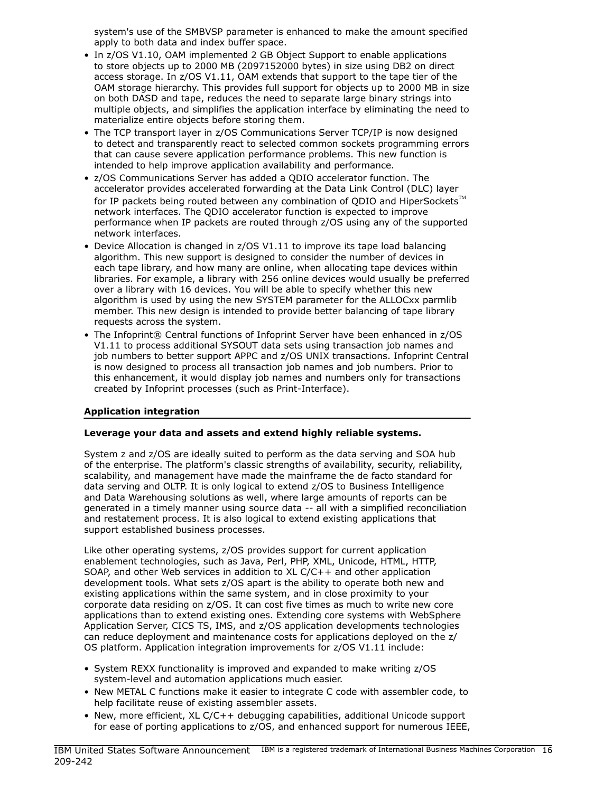system's use of the SMBVSP parameter is enhanced to make the amount specified apply to both data and index buffer space.

- In z/OS V1.10, OAM implemented 2 GB Object Support to enable applications to store objects up to 2000 MB (2097152000 bytes) in size using DB2 on direct access storage. In z/OS V1.11, OAM extends that support to the tape tier of the OAM storage hierarchy. This provides full support for objects up to 2000 MB in size on both DASD and tape, reduces the need to separate large binary strings into multiple objects, and simplifies the application interface by eliminating the need to materialize entire objects before storing them.
- The TCP transport layer in z/OS Communications Server TCP/IP is now designed to detect and transparently react to selected common sockets programming errors that can cause severe application performance problems. This new function is intended to help improve application availability and performance.
- z/OS Communications Server has added a QDIO accelerator function. The accelerator provides accelerated forwarding at the Data Link Control (DLC) layer for IP packets being routed between any combination of ODIO and HiperSockets $TM$ network interfaces. The QDIO accelerator function is expected to improve performance when IP packets are routed through z/OS using any of the supported network interfaces.
- Device Allocation is changed in z/OS V1.11 to improve its tape load balancing algorithm. This new support is designed to consider the number of devices in each tape library, and how many are online, when allocating tape devices within libraries. For example, a library with 256 online devices would usually be preferred over a library with 16 devices. You will be able to specify whether this new algorithm is used by using the new SYSTEM parameter for the ALLOCxx parmlib member. This new design is intended to provide better balancing of tape library requests across the system.
- The Infoprint® Central functions of Infoprint Server have been enhanced in z/OS V1.11 to process additional SYSOUT data sets using transaction job names and job numbers to better support APPC and z/OS UNIX transactions. Infoprint Central is now designed to process all transaction job names and job numbers. Prior to this enhancement, it would display job names and numbers only for transactions created by Infoprint processes (such as Print-Interface).

## Application integration

## Leverage your data and assets and extend highly reliable systems.

System z and z/OS are ideally suited to perform as the data serving and SOA hub of the enterprise. The platform's classic strengths of availability, security, reliability, scalability, and management have made the mainframe the de facto standard for data serving and OLTP. It is only logical to extend z/OS to Business Intelligence and Data Warehousing solutions as well, where large amounts of reports can be generated in a timely manner using source data -- all with a simplified reconciliation and restatement process. It is also logical to extend existing applications that support established business processes.

Like other operating systems, z/OS provides support for current application enablement technologies, such as Java, Perl, PHP, XML, Unicode, HTML, HTTP, SOAP, and other Web services in addition to XL C/C++ and other application development tools. What sets z/OS apart is the ability to operate both new and existing applications within the same system, and in close proximity to your corporate data residing on z/OS. It can cost five times as much to write new core applications than to extend existing ones. Extending core systems with WebSphere Application Server, CICS TS, IMS, and z/OS application developments technologies can reduce deployment and maintenance costs for applications deployed on the z/ OS platform. Application integration improvements for z/OS V1.11 include:

- System REXX functionality is improved and expanded to make writing z/OS system-level and automation applications much easier.
- New METAL C functions make it easier to integrate C code with assembler code, to help facilitate reuse of existing assembler assets.
- New, more efficient, XL C/C++ debugging capabilities, additional Unicode support for ease of porting applications to z/OS, and enhanced support for numerous IEEE,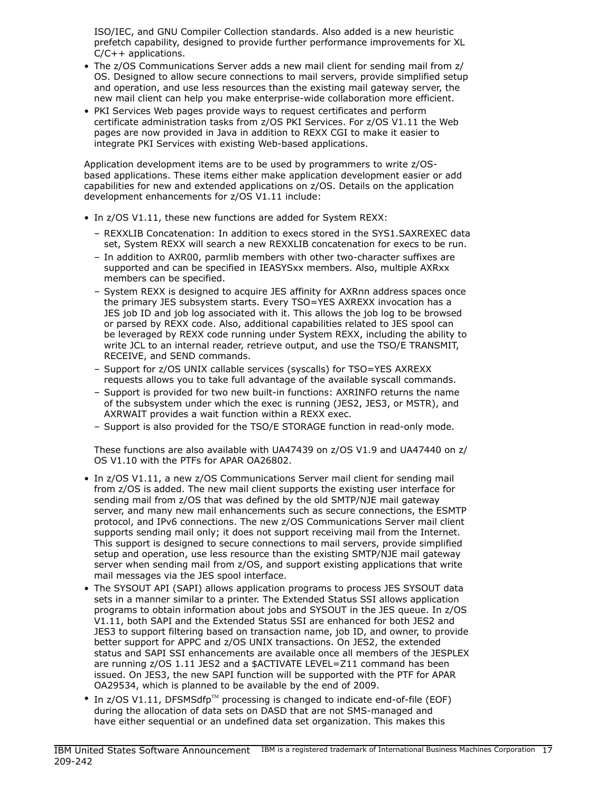ISO/IEC, and GNU Compiler Collection standards. Also added is a new heuristic prefetch capability, designed to provide further performance improvements for XL C/C++ applications.

- The z/OS Communications Server adds a new mail client for sending mail from z/ OS. Designed to allow secure connections to mail servers, provide simplified setup and operation, and use less resources than the existing mail gateway server, the new mail client can help you make enterprise-wide collaboration more efficient.
- PKI Services Web pages provide ways to request certificates and perform certificate administration tasks from z/OS PKI Services. For z/OS V1.11 the Web pages are now provided in Java in addition to REXX CGI to make it easier to integrate PKI Services with existing Web-based applications.

Application development items are to be used by programmers to write z/OSbased applications. These items either make application development easier or add capabilities for new and extended applications on z/OS. Details on the application development enhancements for z/OS V1.11 include:

- In z/OS V1.11, these new functions are added for System REXX:
	- REXXLIB Concatenation: In addition to execs stored in the SYS1.SAXREXEC data set, System REXX will search a new REXXLIB concatenation for execs to be run.
	- In addition to AXR00, parmlib members with other two-character suffixes are supported and can be specified in IEASYSxx members. Also, multiple AXRxx members can be specified.
	- System REXX is designed to acquire JES affinity for AXRnn address spaces once the primary JES subsystem starts. Every TSO=YES AXREXX invocation has a JES job ID and job log associated with it. This allows the job log to be browsed or parsed by REXX code. Also, additional capabilities related to JES spool can be leveraged by REXX code running under System REXX, including the ability to write JCL to an internal reader, retrieve output, and use the TSO/E TRANSMIT, RECEIVE, and SEND commands.
	- Support for z/OS UNIX callable services (syscalls) for TSO=YES AXREXX requests allows you to take full advantage of the available syscall commands.
	- Support is provided for two new built-in functions: AXRINFO returns the name of the subsystem under which the exec is running (JES2, JES3, or MSTR), and AXRWAIT provides a wait function within a REXX exec.
	- Support is also provided for the TSO/E STORAGE function in read-only mode.

These functions are also available with UA47439 on z/OS V1.9 and UA47440 on z/ OS V1.10 with the PTFs for APAR OA26802.

- In z/OS V1.11, a new z/OS Communications Server mail client for sending mail from z/OS is added. The new mail client supports the existing user interface for sending mail from z/OS that was defined by the old SMTP/NJE mail gateway server, and many new mail enhancements such as secure connections, the ESMTP protocol, and IPv6 connections. The new z/OS Communications Server mail client supports sending mail only; it does not support receiving mail from the Internet. This support is designed to secure connections to mail servers, provide simplified setup and operation, use less resource than the existing SMTP/NJE mail gateway server when sending mail from z/OS, and support existing applications that write mail messages via the JES spool interface.
- The SYSOUT API (SAPI) allows application programs to process JES SYSOUT data sets in a manner similar to a printer. The Extended Status SSI allows application programs to obtain information about jobs and SYSOUT in the JES queue. In z/OS V1.11, both SAPI and the Extended Status SSI are enhanced for both JES2 and JES3 to support filtering based on transaction name, job ID, and owner, to provide better support for APPC and z/OS UNIX transactions. On JES2, the extended status and SAPI SSI enhancements are available once all members of the JESPLEX are running z/OS 1.11 JES2 and a \$ACTIVATE LEVEL=Z11 command has been issued. On JES3, the new SAPI function will be supported with the PTF for APAR OA29534, which is planned to be available by the end of 2009.
- In  $z$ /OS V1.11, DFSMSdfp<sup>TM</sup> processing is changed to indicate end-of-file (EOF) during the allocation of data sets on DASD that are not SMS-managed and have either sequential or an undefined data set organization. This makes this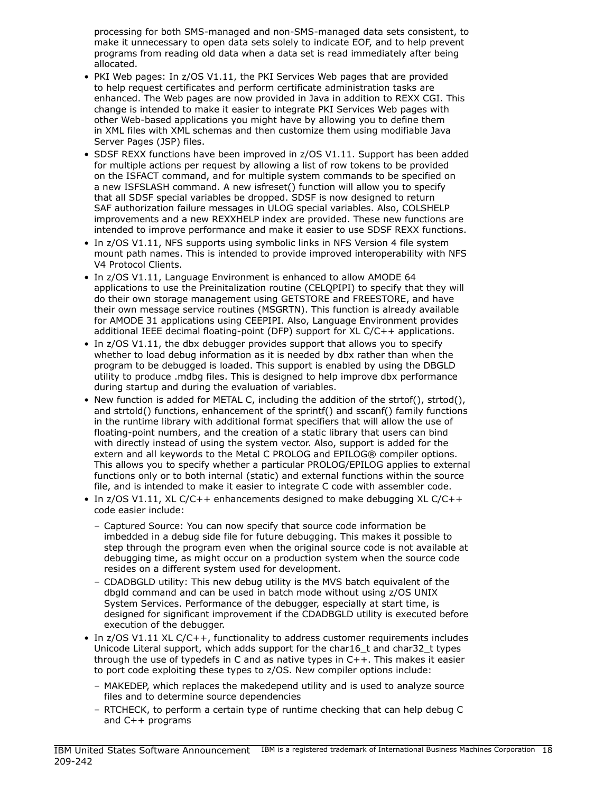processing for both SMS-managed and non-SMS-managed data sets consistent, to make it unnecessary to open data sets solely to indicate EOF, and to help prevent programs from reading old data when a data set is read immediately after being allocated.

- PKI Web pages: In z/OS V1.11, the PKI Services Web pages that are provided to help request certificates and perform certificate administration tasks are enhanced. The Web pages are now provided in Java in addition to REXX CGI. This change is intended to make it easier to integrate PKI Services Web pages with other Web-based applications you might have by allowing you to define them in XML files with XML schemas and then customize them using modifiable Java Server Pages (JSP) files.
- SDSF REXX functions have been improved in z/OS V1.11. Support has been added for multiple actions per request by allowing a list of row tokens to be provided on the ISFACT command, and for multiple system commands to be specified on a new ISFSLASH command. A new isfreset() function will allow you to specify that all SDSF special variables be dropped. SDSF is now designed to return SAF authorization failure messages in ULOG special variables. Also, COLSHELP improvements and a new REXXHELP index are provided. These new functions are intended to improve performance and make it easier to use SDSF REXX functions.
- In z/OS V1.11, NFS supports using symbolic links in NFS Version 4 file system mount path names. This is intended to provide improved interoperability with NFS V4 Protocol Clients.
- In z/OS V1.11, Language Environment is enhanced to allow AMODE 64 applications to use the Preinitalization routine (CELQPIPI) to specify that they will do their own storage management using GETSTORE and FREESTORE, and have their own message service routines (MSGRTN). This function is already available for AMODE 31 applications using CEEPIPI. Also, Language Environment provides additional IEEE decimal floating-point (DFP) support for XL C/C++ applications.
- In z/OS V1.11, the dbx debugger provides support that allows you to specify whether to load debug information as it is needed by dbx rather than when the program to be debugged is loaded. This support is enabled by using the DBGLD utility to produce .mdbg files. This is designed to help improve dbx performance during startup and during the evaluation of variables.
- New function is added for METAL C, including the addition of the strtof(), strtod(), and strtold() functions, enhancement of the sprintf() and sscanf() family functions in the runtime library with additional format specifiers that will allow the use of floating-point numbers, and the creation of a static library that users can bind with directly instead of using the system vector. Also, support is added for the extern and all keywords to the Metal C PROLOG and EPILOG® compiler options. This allows you to specify whether a particular PROLOG/EPILOG applies to external functions only or to both internal (static) and external functions within the source file, and is intended to make it easier to integrate C code with assembler code.
- In z/OS V1.11, XL C/C++ enhancements designed to make debugging XL C/C++ code easier include:
	- Captured Source: You can now specify that source code information be imbedded in a debug side file for future debugging. This makes it possible to step through the program even when the original source code is not available at debugging time, as might occur on a production system when the source code resides on a different system used for development.
	- CDADBGLD utility: This new debug utility is the MVS batch equivalent of the dbgld command and can be used in batch mode without using z/OS UNIX System Services. Performance of the debugger, especially at start time, is designed for significant improvement if the CDADBGLD utility is executed before execution of the debugger.
- In z/OS V1.11 XL C/C++, functionality to address customer requirements includes Unicode Literal support, which adds support for the char16\_t and char32\_t types through the use of typedefs in C and as native types in C++. This makes it easier to port code exploiting these types to z/OS. New compiler options include:
	- MAKEDEP, which replaces the makedepend utility and is used to analyze source files and to determine source dependencies
	- RTCHECK, to perform a certain type of runtime checking that can help debug C and C++ programs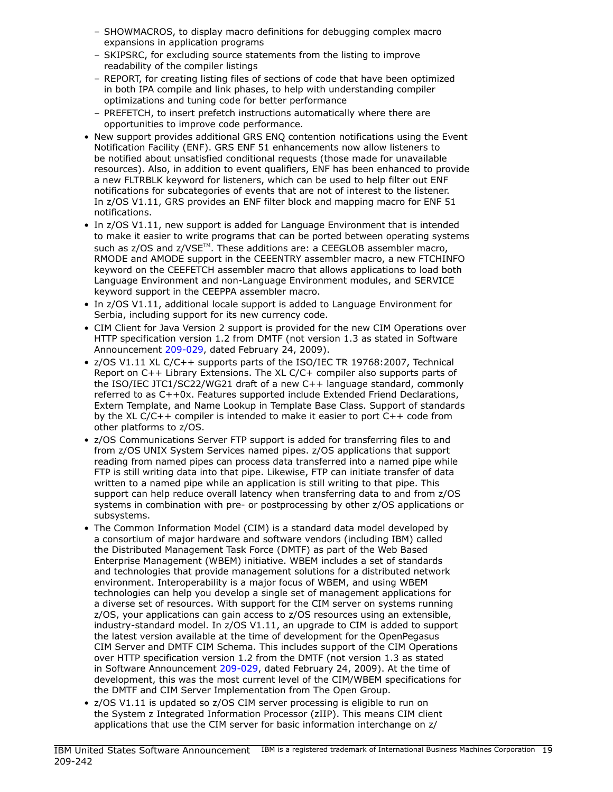- SHOWMACROS, to display macro definitions for debugging complex macro expansions in application programs
- SKIPSRC, for excluding source statements from the listing to improve readability of the compiler listings
- REPORT, for creating listing files of sections of code that have been optimized in both IPA compile and link phases, to help with understanding compiler optimizations and tuning code for better performance
- PREFETCH, to insert prefetch instructions automatically where there are opportunities to improve code performance.
- New support provides additional GRS ENQ contention notifications using the Event Notification Facility (ENF). GRS ENF 51 enhancements now allow listeners to be notified about unsatisfied conditional requests (those made for unavailable resources). Also, in addition to event qualifiers, ENF has been enhanced to provide a new FLTRBLK keyword for listeners, which can be used to help filter out ENF notifications for subcategories of events that are not of interest to the listener. In z/OS V1.11, GRS provides an ENF filter block and mapping macro for ENF 51 notifications.
- In z/OS V1.11, new support is added for Language Environment that is intended to make it easier to write programs that can be ported between operating systems such as z/OS and z/VSE<sup>TM</sup>. These additions are: a CEEGLOB assembler macro, RMODE and AMODE support in the CEEENTRY assembler macro, a new FTCHINFO keyword on the CEEFETCH assembler macro that allows applications to load both Language Environment and non-Language Environment modules, and SERVICE keyword support in the CEEPPA assembler macro.
- In z/OS V1.11, additional locale support is added to Language Environment for Serbia, including support for its new currency code.
- CIM Client for Java Version 2 support is provided for the new CIM Operations over HTTP specification version 1.2 from DMTF (not version 1.3 as stated in Software Announcement [209-029](http://www.ibm.com/common/ssi/cgi-bin/ssialias?infotype=an&subtype=ca&appname=gpateam&supplier=897&letternum=ENUS209-029), dated February 24, 2009).
- z/OS V1.11 XL C/C++ supports parts of the ISO/IEC TR 19768:2007, Technical Report on C++ Library Extensions. The XL C/C+ compiler also supports parts of the ISO/IEC JTC1/SC22/WG21 draft of a new C++ language standard, commonly referred to as C++0x. Features supported include Extended Friend Declarations, Extern Template, and Name Lookup in Template Base Class. Support of standards by the XL C/C++ compiler is intended to make it easier to port C++ code from other platforms to z/OS.
- z/OS Communications Server FTP support is added for transferring files to and from z/OS UNIX System Services named pipes. z/OS applications that support reading from named pipes can process data transferred into a named pipe while FTP is still writing data into that pipe. Likewise, FTP can initiate transfer of data written to a named pipe while an application is still writing to that pipe. This support can help reduce overall latency when transferring data to and from z/OS systems in combination with pre- or postprocessing by other z/OS applications or subsystems.
- The Common Information Model (CIM) is a standard data model developed by a consortium of major hardware and software vendors (including IBM) called the Distributed Management Task Force (DMTF) as part of the Web Based Enterprise Management (WBEM) initiative. WBEM includes a set of standards and technologies that provide management solutions for a distributed network environment. Interoperability is a major focus of WBEM, and using WBEM technologies can help you develop a single set of management applications for a diverse set of resources. With support for the CIM server on systems running z/OS, your applications can gain access to z/OS resources using an extensible, industry-standard model. In z/OS V1.11, an upgrade to CIM is added to support the latest version available at the time of development for the OpenPegasus CIM Server and DMTF CIM Schema. This includes support of the CIM Operations over HTTP specification version 1.2 from the DMTF (not version 1.3 as stated in Software Announcement [209-029,](http://www.ibm.com/common/ssi/cgi-bin/ssialias?infotype=an&subtype=ca&appname=gpateam&supplier=897&letternum=ENUS209-029) dated February 24, 2009). At the time of development, this was the most current level of the CIM/WBEM specifications for the DMTF and CIM Server Implementation from The Open Group.
- z/OS V1.11 is updated so z/OS CIM server processing is eligible to run on the System z Integrated Information Processor (zIIP). This means CIM client applications that use the CIM server for basic information interchange on z/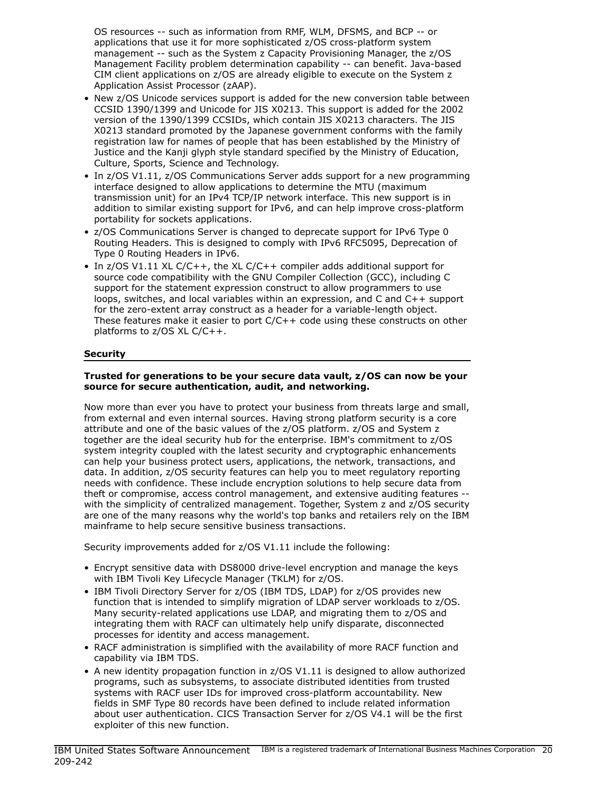OS resources -- such as information from RMF, WLM, DFSMS, and BCP -- or applications that use it for more sophisticated z/OS cross-platform system management -- such as the System z Capacity Provisioning Manager, the z/OS Management Facility problem determination capability -- can benefit. Java-based CIM client applications on z/OS are already eligible to execute on the System z Application Assist Processor (zAAP).

- New z/OS Unicode services support is added for the new conversion table between CCSID 1390/1399 and Unicode for JIS X0213. This support is added for the 2002 version of the 1390/1399 CCSIDs, which contain JIS X0213 characters. The JIS X0213 standard promoted by the Japanese government conforms with the family registration law for names of people that has been established by the Ministry of Justice and the Kanji glyph style standard specified by the Ministry of Education, Culture, Sports, Science and Technology.
- In z/OS V1.11, z/OS Communications Server adds support for a new programming interface designed to allow applications to determine the MTU (maximum transmission unit) for an IPv4 TCP/IP network interface. This new support is in addition to similar existing support for IPv6, and can help improve cross-platform portability for sockets applications.
- z/OS Communications Server is changed to deprecate support for IPv6 Type 0 Routing Headers. This is designed to comply with IPv6 RFC5095, Deprecation of Type 0 Routing Headers in IPv6.
- In z/OS V1.11 XL C/C++, the XL C/C++ compiler adds additional support for source code compatibility with the GNU Compiler Collection (GCC), including C support for the statement expression construct to allow programmers to use loops, switches, and local variables within an expression, and C and C++ support for the zero-extent array construct as a header for a variable-length object. These features make it easier to port  $C/C++$  code using these constructs on other platforms to z/OS XL C/C++.

## <span id="page-19-0"></span>**Security**

## Trusted for generations to be your secure data vault, z/OS can now be your source for secure authentication, audit, and networking.

Now more than ever you have to protect your business from threats large and small, from external and even internal sources. Having strong platform security is a core attribute and one of the basic values of the z/OS platform. z/OS and System z together are the ideal security hub for the enterprise. IBM's commitment to z/OS system integrity coupled with the latest security and cryptographic enhancements can help your business protect users, applications, the network, transactions, and data. In addition, z/OS security features can help you to meet regulatory reporting needs with confidence. These include encryption solutions to help secure data from theft or compromise, access control management, and extensive auditing features - with the simplicity of centralized management. Together, System z and z/OS security are one of the many reasons why the world's top banks and retailers rely on the IBM mainframe to help secure sensitive business transactions.

Security improvements added for z/OS V1.11 include the following:

- Encrypt sensitive data with DS8000 drive-level encryption and manage the keys with IBM Tivoli Key Lifecycle Manager (TKLM) for z/OS.
- IBM Tivoli Directory Server for z/OS (IBM TDS, LDAP) for z/OS provides new function that is intended to simplify migration of LDAP server workloads to z/OS. Many security-related applications use LDAP, and migrating them to z/OS and integrating them with RACF can ultimately help unify disparate, disconnected processes for identity and access management.
- RACF administration is simplified with the availability of more RACF function and capability via IBM TDS.
- A new identity propagation function in z/OS V1.11 is designed to allow authorized programs, such as subsystems, to associate distributed identities from trusted systems with RACF user IDs for improved cross-platform accountability. New fields in SMF Type 80 records have been defined to include related information about user authentication. CICS Transaction Server for z/OS V4.1 will be the first exploiter of this new function.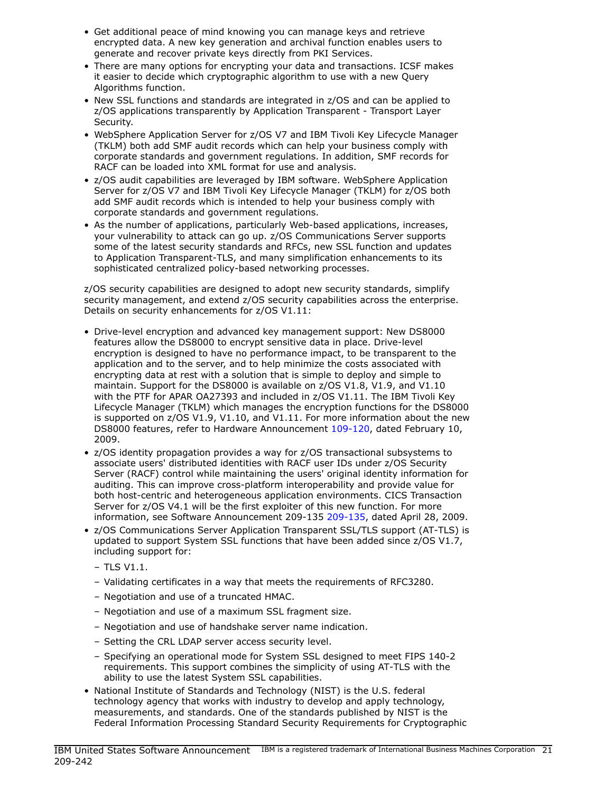- Get additional peace of mind knowing you can manage keys and retrieve encrypted data. A new key generation and archival function enables users to generate and recover private keys directly from PKI Services.
- There are many options for encrypting your data and transactions. ICSF makes it easier to decide which cryptographic algorithm to use with a new Query Algorithms function.
- New SSL functions and standards are integrated in z/OS and can be applied to z/OS applications transparently by Application Transparent - Transport Layer Security.
- WebSphere Application Server for z/OS V7 and IBM Tivoli Key Lifecycle Manager (TKLM) both add SMF audit records which can help your business comply with corporate standards and government regulations. In addition, SMF records for RACF can be loaded into XML format for use and analysis.
- z/OS audit capabilities are leveraged by IBM software. WebSphere Application Server for z/OS V7 and IBM Tivoli Key Lifecycle Manager (TKLM) for z/OS both add SMF audit records which is intended to help your business comply with corporate standards and government regulations.
- As the number of applications, particularly Web-based applications, increases, your vulnerability to attack can go up. z/OS Communications Server supports some of the latest security standards and RFCs, new SSL function and updates to Application Transparent-TLS, and many simplification enhancements to its sophisticated centralized policy-based networking processes.

z/OS security capabilities are designed to adopt new security standards, simplify security management, and extend z/OS security capabilities across the enterprise. Details on security enhancements for z/OS V1.11:

- Drive-level encryption and advanced key management support: New DS8000 features allow the DS8000 to encrypt sensitive data in place. Drive-level encryption is designed to have no performance impact, to be transparent to the application and to the server, and to help minimize the costs associated with encrypting data at rest with a solution that is simple to deploy and simple to maintain. Support for the DS8000 is available on z/OS V1.8, V1.9, and V1.10 with the PTF for APAR OA27393 and included in z/OS V1.11. The IBM Tivoli Key Lifecycle Manager (TKLM) which manages the encryption functions for the DS8000 is supported on z/OS V1.9, V1.10, and V1.11. For more information about the new DS8000 features, refer to Hardware Announcement [109-120](http://www.ibm.com/common/ssi/cgi-bin/ssialias?infotype=an&subtype=ca&appname=gpateam&supplier=897&letternum=ENUS109-120), dated February 10, 2009.
- z/OS identity propagation provides a way for z/OS transactional subsystems to associate users' distributed identities with RACF user IDs under z/OS Security Server (RACF) control while maintaining the users' original identity information for auditing. This can improve cross-platform interoperability and provide value for both host-centric and heterogeneous application environments. CICS Transaction Server for z/OS V4.1 will be the first exploiter of this new function. For more information, see Software Announcement 209-135 [209-135](http://www.ibm.com/common/ssi/cgi-bin/ssialias?infotype=an&subtype=ca&appname=gpateam&supplier=897&letternum=ENUS209-135), dated April 28, 2009.
- z/OS Communications Server Application Transparent SSL/TLS support (AT-TLS) is updated to support System SSL functions that have been added since z/OS V1.7, including support for:
	- TLS V1.1.
	- Validating certificates in a way that meets the requirements of RFC3280.
	- Negotiation and use of a truncated HMAC.
	- Negotiation and use of a maximum SSL fragment size.
	- Negotiation and use of handshake server name indication.
	- Setting the CRL LDAP server access security level.
	- Specifying an operational mode for System SSL designed to meet FIPS 140-2 requirements. This support combines the simplicity of using AT-TLS with the ability to use the latest System SSL capabilities.
- National Institute of Standards and Technology (NIST) is the U.S. federal technology agency that works with industry to develop and apply technology, measurements, and standards. One of the standards published by NIST is the Federal Information Processing Standard Security Requirements for Cryptographic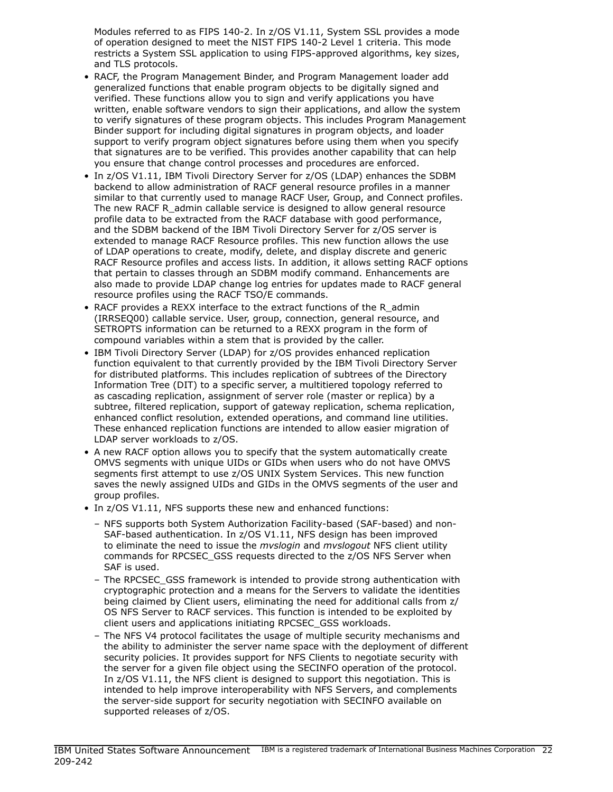Modules referred to as FIPS 140-2. In z/OS V1.11, System SSL provides a mode of operation designed to meet the NIST FIPS 140-2 Level 1 criteria. This mode restricts a System SSL application to using FIPS-approved algorithms, key sizes, and TLS protocols.

- RACF, the Program Management Binder, and Program Management loader add generalized functions that enable program objects to be digitally signed and verified. These functions allow you to sign and verify applications you have written, enable software vendors to sign their applications, and allow the system to verify signatures of these program objects. This includes Program Management Binder support for including digital signatures in program objects, and loader support to verify program object signatures before using them when you specify that signatures are to be verified. This provides another capability that can help you ensure that change control processes and procedures are enforced.
- In z/OS V1.11, IBM Tivoli Directory Server for z/OS (LDAP) enhances the SDBM backend to allow administration of RACF general resource profiles in a manner similar to that currently used to manage RACF User, Group, and Connect profiles. The new RACF R\_admin callable service is designed to allow general resource profile data to be extracted from the RACF database with good performance, and the SDBM backend of the IBM Tivoli Directory Server for z/OS server is extended to manage RACF Resource profiles. This new function allows the use of LDAP operations to create, modify, delete, and display discrete and generic RACF Resource profiles and access lists. In addition, it allows setting RACF options that pertain to classes through an SDBM modify command. Enhancements are also made to provide LDAP change log entries for updates made to RACF general resource profiles using the RACF TSO/E commands.
- RACF provides a REXX interface to the extract functions of the R\_admin (IRRSEQ00) callable service. User, group, connection, general resource, and SETROPTS information can be returned to a REXX program in the form of compound variables within a stem that is provided by the caller.
- IBM Tivoli Directory Server (LDAP) for z/OS provides enhanced replication function equivalent to that currently provided by the IBM Tivoli Directory Server for distributed platforms. This includes replication of subtrees of the Directory Information Tree (DIT) to a specific server, a multitiered topology referred to as cascading replication, assignment of server role (master or replica) by a subtree, filtered replication, support of gateway replication, schema replication, enhanced conflict resolution, extended operations, and command line utilities. These enhanced replication functions are intended to allow easier migration of LDAP server workloads to z/OS.
- A new RACF option allows you to specify that the system automatically create OMVS segments with unique UIDs or GIDs when users who do not have OMVS segments first attempt to use z/OS UNIX System Services. This new function saves the newly assigned UIDs and GIDs in the OMVS segments of the user and group profiles.
- In z/OS V1.11, NFS supports these new and enhanced functions:
	- NFS supports both System Authorization Facility-based (SAF-based) and non-SAF-based authentication. In z/OS V1.11, NFS design has been improved to eliminate the need to issue the *mvslogin* and *mvslogout* NFS client utility commands for RPCSEC\_GSS requests directed to the z/OS NFS Server when SAF is used.
	- The RPCSEC\_GSS framework is intended to provide strong authentication with cryptographic protection and a means for the Servers to validate the identities being claimed by Client users, eliminating the need for additional calls from z/ OS NFS Server to RACF services. This function is intended to be exploited by client users and applications initiating RPCSEC\_GSS workloads.
	- The NFS V4 protocol facilitates the usage of multiple security mechanisms and the ability to administer the server name space with the deployment of different security policies. It provides support for NFS Clients to negotiate security with the server for a given file object using the SECINFO operation of the protocol. In z/OS V1.11, the NFS client is designed to support this negotiation. This is intended to help improve interoperability with NFS Servers, and complements the server-side support for security negotiation with SECINFO available on supported releases of z/OS.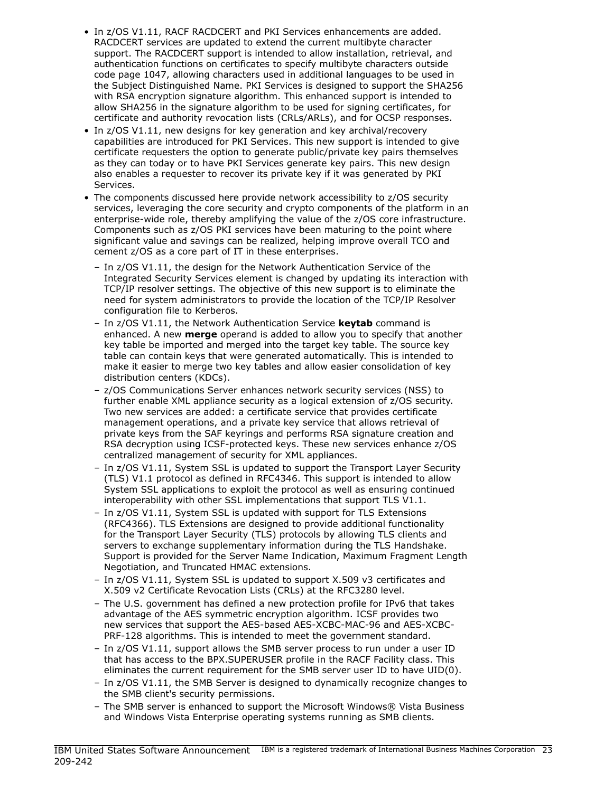- In z/OS V1.11, RACF RACDCERT and PKI Services enhancements are added. RACDCERT services are updated to extend the current multibyte character support. The RACDCERT support is intended to allow installation, retrieval, and authentication functions on certificates to specify multibyte characters outside code page 1047, allowing characters used in additional languages to be used in the Subject Distinguished Name. PKI Services is designed to support the SHA256 with RSA encryption signature algorithm. This enhanced support is intended to allow SHA256 in the signature algorithm to be used for signing certificates, for certificate and authority revocation lists (CRLs/ARLs), and for OCSP responses.
- In z/OS V1.11, new designs for key generation and key archival/recovery capabilities are introduced for PKI Services. This new support is intended to give certificate requesters the option to generate public/private key pairs themselves as they can today or to have PKI Services generate key pairs. This new design also enables a requester to recover its private key if it was generated by PKI Services.
- The components discussed here provide network accessibility to z/OS security services, leveraging the core security and crypto components of the platform in an enterprise-wide role, thereby amplifying the value of the z/OS core infrastructure. Components such as z/OS PKI services have been maturing to the point where significant value and savings can be realized, helping improve overall TCO and cement z/OS as a core part of IT in these enterprises.
	- In z/OS V1.11, the design for the Network Authentication Service of the Integrated Security Services element is changed by updating its interaction with TCP/IP resolver settings. The objective of this new support is to eliminate the need for system administrators to provide the location of the TCP/IP Resolver configuration file to Kerberos.
	- In z/OS V1.11, the Network Authentication Service keytab command is enhanced. A new **merge** operand is added to allow you to specify that another key table be imported and merged into the target key table. The source key table can contain keys that were generated automatically. This is intended to make it easier to merge two key tables and allow easier consolidation of key distribution centers (KDCs).
	- z/OS Communications Server enhances network security services (NSS) to further enable XML appliance security as a logical extension of z/OS security. Two new services are added: a certificate service that provides certificate management operations, and a private key service that allows retrieval of private keys from the SAF keyrings and performs RSA signature creation and RSA decryption using ICSF-protected keys. These new services enhance z/OS centralized management of security for XML appliances.
	- In z/OS V1.11, System SSL is updated to support the Transport Layer Security (TLS) V1.1 protocol as defined in RFC4346. This support is intended to allow System SSL applications to exploit the protocol as well as ensuring continued interoperability with other SSL implementations that support TLS V1.1.
	- In z/OS V1.11, System SSL is updated with support for TLS Extensions (RFC4366). TLS Extensions are designed to provide additional functionality for the Transport Layer Security (TLS) protocols by allowing TLS clients and servers to exchange supplementary information during the TLS Handshake. Support is provided for the Server Name Indication, Maximum Fragment Length Negotiation, and Truncated HMAC extensions.
	- In z/OS V1.11, System SSL is updated to support X.509 v3 certificates and X.509 v2 Certificate Revocation Lists (CRLs) at the RFC3280 level.
	- The U.S. government has defined a new protection profile for IPv6 that takes advantage of the AES symmetric encryption algorithm. ICSF provides two new services that support the AES-based AES-XCBC-MAC-96 and AES-XCBC-PRF-128 algorithms. This is intended to meet the government standard.
	- In z/OS V1.11, support allows the SMB server process to run under a user ID that has access to the BPX.SUPERUSER profile in the RACF Facility class. This eliminates the current requirement for the SMB server user ID to have UID(0).
	- In z/OS V1.11, the SMB Server is designed to dynamically recognize changes to the SMB client's security permissions.
	- The SMB server is enhanced to support the Microsoft Windows® Vista Business and Windows Vista Enterprise operating systems running as SMB clients.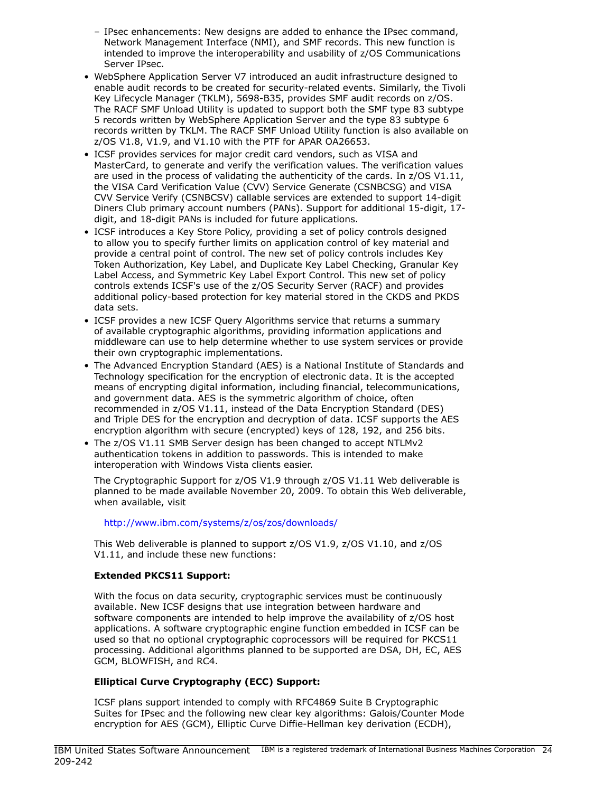- IPsec enhancements: New designs are added to enhance the IPsec command, Network Management Interface (NMI), and SMF records. This new function is intended to improve the interoperability and usability of z/OS Communications Server IPsec.
- WebSphere Application Server V7 introduced an audit infrastructure designed to enable audit records to be created for security-related events. Similarly, the Tivoli Key Lifecycle Manager (TKLM), 5698-B35, provides SMF audit records on z/OS. The RACF SMF Unload Utility is updated to support both the SMF type 83 subtype 5 records written by WebSphere Application Server and the type 83 subtype 6 records written by TKLM. The RACF SMF Unload Utility function is also available on z/OS V1.8, V1.9, and V1.10 with the PTF for APAR OA26653.
- ICSF provides services for major credit card vendors, such as VISA and MasterCard, to generate and verify the verification values. The verification values are used in the process of validating the authenticity of the cards. In z/OS V1.11, the VISA Card Verification Value (CVV) Service Generate (CSNBCSG) and VISA CVV Service Verify (CSNBCSV) callable services are extended to support 14-digit Diners Club primary account numbers (PANs). Support for additional 15-digit, 17 digit, and 18-digit PANs is included for future applications.
- ICSF introduces a Key Store Policy, providing a set of policy controls designed to allow you to specify further limits on application control of key material and provide a central point of control. The new set of policy controls includes Key Token Authorization, Key Label, and Duplicate Key Label Checking, Granular Key Label Access, and Symmetric Key Label Export Control. This new set of policy controls extends ICSF's use of the z/OS Security Server (RACF) and provides additional policy-based protection for key material stored in the CKDS and PKDS data sets.
- ICSF provides a new ICSF Query Algorithms service that returns a summary of available cryptographic algorithms, providing information applications and middleware can use to help determine whether to use system services or provide their own cryptographic implementations.
- The Advanced Encryption Standard (AES) is a National Institute of Standards and Technology specification for the encryption of electronic data. It is the accepted means of encrypting digital information, including financial, telecommunications, and government data. AES is the symmetric algorithm of choice, often recommended in z/OS V1.11, instead of the Data Encryption Standard (DES) and Triple DES for the encryption and decryption of data. ICSF supports the AES encryption algorithm with secure (encrypted) keys of 128, 192, and 256 bits.
- The z/OS V1.11 SMB Server design has been changed to accept NTLMv2 authentication tokens in addition to passwords. This is intended to make interoperation with Windows Vista clients easier.

The Cryptographic Support for z/OS V1.9 through z/OS V1.11 Web deliverable is planned to be made available November 20, 2009. To obtain this Web deliverable, when available, visit

<http://www.ibm.com/systems/z/os/zos/downloads/>

This Web deliverable is planned to support z/OS V1.9, z/OS V1.10, and z/OS V1.11, and include these new functions:

## Extended PKCS11 Support:

With the focus on data security, cryptographic services must be continuously available. New ICSF designs that use integration between hardware and software components are intended to help improve the availability of z/OS host applications. A software cryptographic engine function embedded in ICSF can be used so that no optional cryptographic coprocessors will be required for PKCS11 processing. Additional algorithms planned to be supported are DSA, DH, EC, AES GCM, BLOWFISH, and RC4.

## Elliptical Curve Cryptography (ECC) Support:

ICSF plans support intended to comply with RFC4869 Suite B Cryptographic Suites for IPsec and the following new clear key algorithms: Galois/Counter Mode encryption for AES (GCM), Elliptic Curve Diffie-Hellman key derivation (ECDH),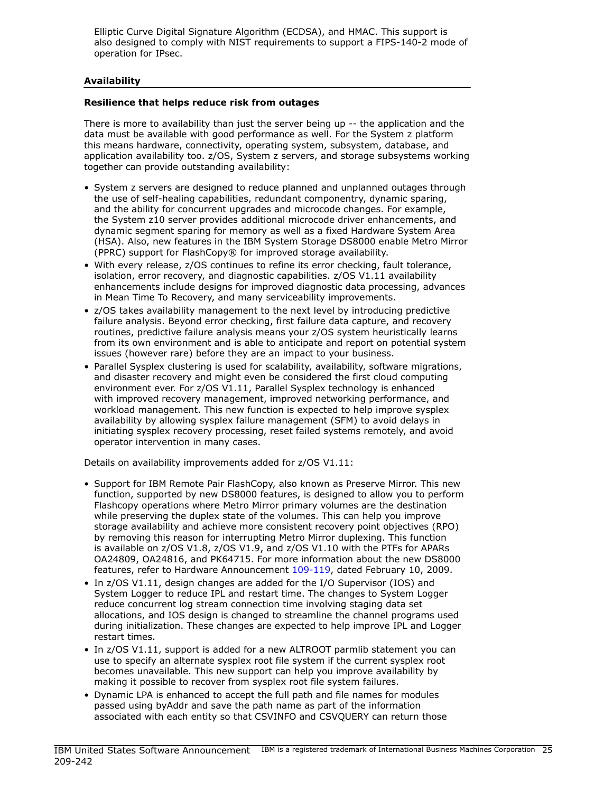Elliptic Curve Digital Signature Algorithm (ECDSA), and HMAC. This support is also designed to comply with NIST requirements to support a FIPS-140-2 mode of operation for IPsec.

## <span id="page-24-0"></span>Availability

## Resilience that helps reduce risk from outages

There is more to availability than just the server being up -- the application and the data must be available with good performance as well. For the System z platform this means hardware, connectivity, operating system, subsystem, database, and application availability too. z/OS, System z servers, and storage subsystems working together can provide outstanding availability:

- System z servers are designed to reduce planned and unplanned outages through the use of self-healing capabilities, redundant componentry, dynamic sparing, and the ability for concurrent upgrades and microcode changes. For example, the System z10 server provides additional microcode driver enhancements, and dynamic segment sparing for memory as well as a fixed Hardware System Area (HSA). Also, new features in the IBM System Storage DS8000 enable Metro Mirror (PPRC) support for FlashCopy® for improved storage availability.
- With every release, z/OS continues to refine its error checking, fault tolerance, isolation, error recovery, and diagnostic capabilities. z/OS V1.11 availability enhancements include designs for improved diagnostic data processing, advances in Mean Time To Recovery, and many serviceability improvements.
- z/OS takes availability management to the next level by introducing predictive failure analysis. Beyond error checking, first failure data capture, and recovery routines, predictive failure analysis means your z/OS system heuristically learns from its own environment and is able to anticipate and report on potential system issues (however rare) before they are an impact to your business.
- Parallel Sysplex clustering is used for scalability, availability, software migrations, and disaster recovery and might even be considered the first cloud computing environment ever. For z/OS V1.11, Parallel Sysplex technology is enhanced with improved recovery management, improved networking performance, and workload management. This new function is expected to help improve sysplex availability by allowing sysplex failure management (SFM) to avoid delays in initiating sysplex recovery processing, reset failed systems remotely, and avoid operator intervention in many cases.

Details on availability improvements added for z/OS V1.11:

- Support for IBM Remote Pair FlashCopy, also known as Preserve Mirror. This new function, supported by new DS8000 features, is designed to allow you to perform Flashcopy operations where Metro Mirror primary volumes are the destination while preserving the duplex state of the volumes. This can help you improve storage availability and achieve more consistent recovery point objectives (RPO) by removing this reason for interrupting Metro Mirror duplexing. This function is available on z/OS V1.8, z/OS V1.9, and z/OS V1.10 with the PTFs for APARs OA24809, OA24816, and PK64715. For more information about the new DS8000 features, refer to Hardware Announcement [109-119](http://www.ibm.com/common/ssi/cgi-bin/ssialias?infotype=an&subtype=ca&appname=gpateam&supplier=897&letternum=ENUS109-119), dated February 10, 2009.
- In z/OS V1.11, design changes are added for the I/O Supervisor (IOS) and System Logger to reduce IPL and restart time. The changes to System Logger reduce concurrent log stream connection time involving staging data set allocations, and IOS design is changed to streamline the channel programs used during initialization. These changes are expected to help improve IPL and Logger restart times.
- In z/OS V1.11, support is added for a new ALTROOT parmlib statement you can use to specify an alternate sysplex root file system if the current sysplex root becomes unavailable. This new support can help you improve availability by making it possible to recover from sysplex root file system failures.
- Dynamic LPA is enhanced to accept the full path and file names for modules passed using byAddr and save the path name as part of the information associated with each entity so that CSVINFO and CSVQUERY can return those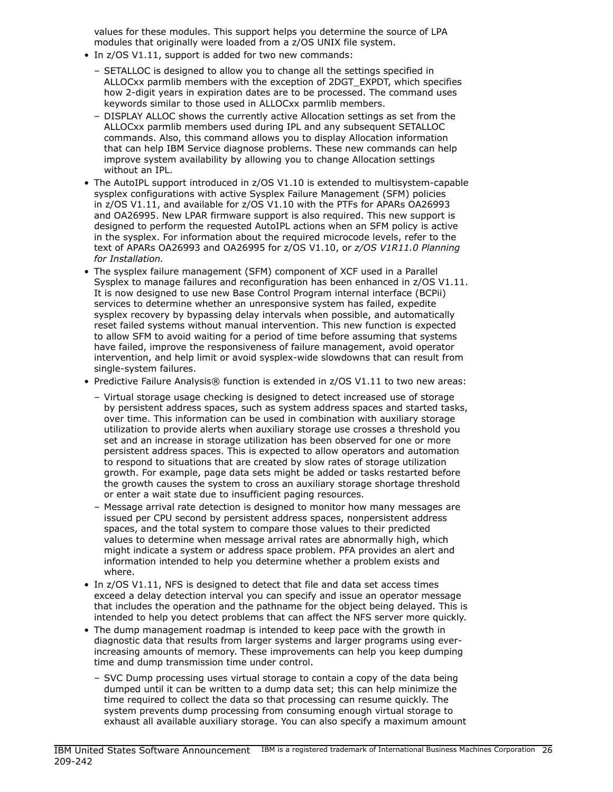values for these modules. This support helps you determine the source of LPA modules that originally were loaded from a z/OS UNIX file system.

- In z/OS V1.11, support is added for two new commands:
	- SETALLOC is designed to allow you to change all the settings specified in ALLOCxx parmlib members with the exception of 2DGT\_EXPDT, which specifies how 2-digit years in expiration dates are to be processed. The command uses keywords similar to those used in ALLOCxx parmlib members.
	- DISPLAY ALLOC shows the currently active Allocation settings as set from the ALLOCxx parmlib members used during IPL and any subsequent SETALLOC commands. Also, this command allows you to display Allocation information that can help IBM Service diagnose problems. These new commands can help improve system availability by allowing you to change Allocation settings without an IPL.
- The AutoIPL support introduced in z/OS V1.10 is extended to multisystem-capable sysplex configurations with active Sysplex Failure Management (SFM) policies in z/OS V1.11, and available for z/OS V1.10 with the PTFs for APARs OA26993 and OA26995. New LPAR firmware support is also required. This new support is designed to perform the requested AutoIPL actions when an SFM policy is active in the sysplex. For information about the required microcode levels, refer to the text of APARs OA26993 and OA26995 for z/OS V1.10, or *z/OS V1R11.0 Planning for Installation.*
- The sysplex failure management (SFM) component of XCF used in a Parallel Sysplex to manage failures and reconfiguration has been enhanced in z/OS V1.11. It is now designed to use new Base Control Program internal interface (BCPii) services to determine whether an unresponsive system has failed, expedite sysplex recovery by bypassing delay intervals when possible, and automatically reset failed systems without manual intervention. This new function is expected to allow SFM to avoid waiting for a period of time before assuming that systems have failed, improve the responsiveness of failure management, avoid operator intervention, and help limit or avoid sysplex-wide slowdowns that can result from single-system failures.
- Predictive Failure Analysis® function is extended in z/OS V1.11 to two new areas:
	- Virtual storage usage checking is designed to detect increased use of storage by persistent address spaces, such as system address spaces and started tasks, over time. This information can be used in combination with auxiliary storage utilization to provide alerts when auxiliary storage use crosses a threshold you set and an increase in storage utilization has been observed for one or more persistent address spaces. This is expected to allow operators and automation to respond to situations that are created by slow rates of storage utilization growth. For example, page data sets might be added or tasks restarted before the growth causes the system to cross an auxiliary storage shortage threshold or enter a wait state due to insufficient paging resources.
	- Message arrival rate detection is designed to monitor how many messages are issued per CPU second by persistent address spaces, nonpersistent address spaces, and the total system to compare those values to their predicted values to determine when message arrival rates are abnormally high, which might indicate a system or address space problem. PFA provides an alert and information intended to help you determine whether a problem exists and where.
- In z/OS V1.11, NFS is designed to detect that file and data set access times exceed a delay detection interval you can specify and issue an operator message that includes the operation and the pathname for the object being delayed. This is intended to help you detect problems that can affect the NFS server more quickly.
- The dump management roadmap is intended to keep pace with the growth in diagnostic data that results from larger systems and larger programs using everincreasing amounts of memory. These improvements can help you keep dumping time and dump transmission time under control.
	- SVC Dump processing uses virtual storage to contain a copy of the data being dumped until it can be written to a dump data set; this can help minimize the time required to collect the data so that processing can resume quickly. The system prevents dump processing from consuming enough virtual storage to exhaust all available auxiliary storage. You can also specify a maximum amount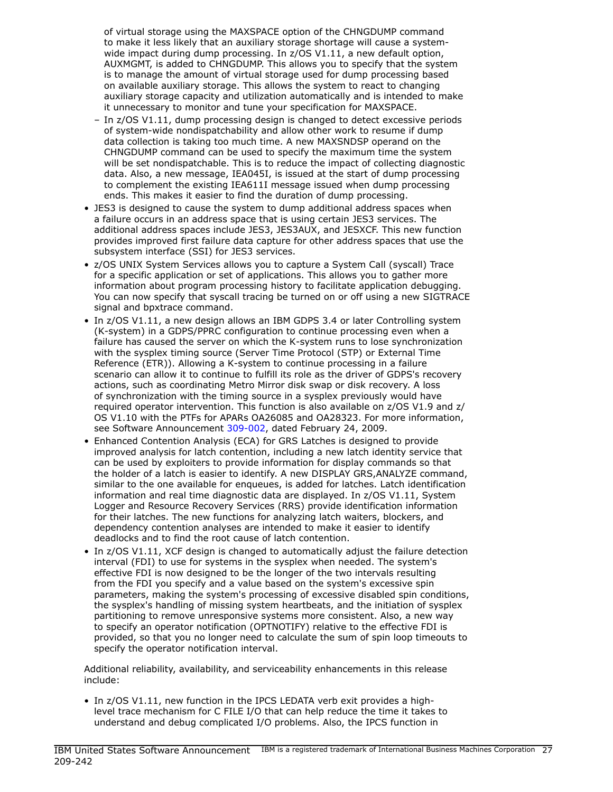of virtual storage using the MAXSPACE option of the CHNGDUMP command to make it less likely that an auxiliary storage shortage will cause a systemwide impact during dump processing. In z/OS V1.11, a new default option, AUXMGMT, is added to CHNGDUMP. This allows you to specify that the system is to manage the amount of virtual storage used for dump processing based on available auxiliary storage. This allows the system to react to changing auxiliary storage capacity and utilization automatically and is intended to make it unnecessary to monitor and tune your specification for MAXSPACE.

- In z/OS V1.11, dump processing design is changed to detect excessive periods of system-wide nondispatchability and allow other work to resume if dump data collection is taking too much time. A new MAXSNDSP operand on the CHNGDUMP command can be used to specify the maximum time the system will be set nondispatchable. This is to reduce the impact of collecting diagnostic data. Also, a new message, IEA045I, is issued at the start of dump processing to complement the existing IEA611I message issued when dump processing ends. This makes it easier to find the duration of dump processing.
- JES3 is designed to cause the system to dump additional address spaces when a failure occurs in an address space that is using certain JES3 services. The additional address spaces include JES3, JES3AUX, and JESXCF. This new function provides improved first failure data capture for other address spaces that use the subsystem interface (SSI) for JES3 services.
- z/OS UNIX System Services allows you to capture a System Call (syscall) Trace for a specific application or set of applications. This allows you to gather more information about program processing history to facilitate application debugging. You can now specify that syscall tracing be turned on or off using a new SIGTRACE signal and bpxtrace command.
- In z/OS V1.11, a new design allows an IBM GDPS 3.4 or later Controlling system (K-system) in a GDPS/PPRC configuration to continue processing even when a failure has caused the server on which the K-system runs to lose synchronization with the sysplex timing source (Server Time Protocol (STP) or External Time Reference (ETR)). Allowing a K-system to continue processing in a failure scenario can allow it to continue to fulfill its role as the driver of GDPS's recovery actions, such as coordinating Metro Mirror disk swap or disk recovery. A loss of synchronization with the timing source in a sysplex previously would have required operator intervention. This function is also available on z/OS V1.9 and z/ OS V1.10 with the PTFs for APARs OA26085 and OA28323. For more information, see Software Announcement [309-002](http://www.ibm.com/common/ssi/cgi-bin/ssialias?infotype=an&subtype=ca&appname=gpateam&supplier=897&letternum=ENUS309-002), dated February 24, 2009.
- Enhanced Contention Analysis (ECA) for GRS Latches is designed to provide improved analysis for latch contention, including a new latch identity service that can be used by exploiters to provide information for display commands so that the holder of a latch is easier to identify. A new DISPLAY GRS,ANALYZE command, similar to the one available for enqueues, is added for latches. Latch identification information and real time diagnostic data are displayed. In z/OS V1.11, System Logger and Resource Recovery Services (RRS) provide identification information for their latches. The new functions for analyzing latch waiters, blockers, and dependency contention analyses are intended to make it easier to identify deadlocks and to find the root cause of latch contention.
- In z/OS V1.11, XCF design is changed to automatically adjust the failure detection interval (FDI) to use for systems in the sysplex when needed. The system's effective FDI is now designed to be the longer of the two intervals resulting from the FDI you specify and a value based on the system's excessive spin parameters, making the system's processing of excessive disabled spin conditions, the sysplex's handling of missing system heartbeats, and the initiation of sysplex partitioning to remove unresponsive systems more consistent. Also, a new way to specify an operator notification (OPTNOTIFY) relative to the effective FDI is provided, so that you no longer need to calculate the sum of spin loop timeouts to specify the operator notification interval.

Additional reliability, availability, and serviceability enhancements in this release include:

• In z/OS V1.11, new function in the IPCS LEDATA verb exit provides a highlevel trace mechanism for C FILE I/O that can help reduce the time it takes to understand and debug complicated I/O problems. Also, the IPCS function in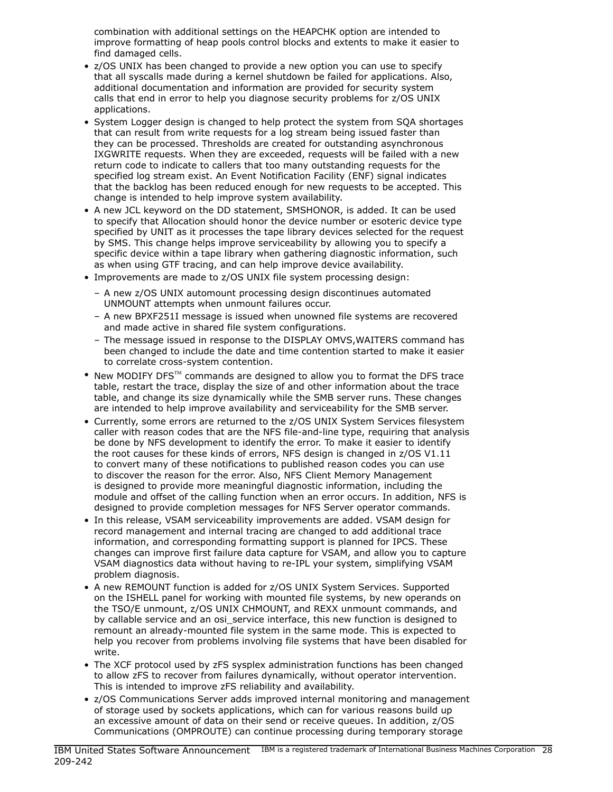combination with additional settings on the HEAPCHK option are intended to improve formatting of heap pools control blocks and extents to make it easier to find damaged cells.

- z/OS UNIX has been changed to provide a new option you can use to specify that all syscalls made during a kernel shutdown be failed for applications. Also, additional documentation and information are provided for security system calls that end in error to help you diagnose security problems for z/OS UNIX applications.
- System Logger design is changed to help protect the system from SQA shortages that can result from write requests for a log stream being issued faster than they can be processed. Thresholds are created for outstanding asynchronous IXGWRITE requests. When they are exceeded, requests will be failed with a new return code to indicate to callers that too many outstanding requests for the specified log stream exist. An Event Notification Facility (ENF) signal indicates that the backlog has been reduced enough for new requests to be accepted. This change is intended to help improve system availability.
- A new JCL keyword on the DD statement, SMSHONOR, is added. It can be used to specify that Allocation should honor the device number or esoteric device type specified by UNIT as it processes the tape library devices selected for the request by SMS. This change helps improve serviceability by allowing you to specify a specific device within a tape library when gathering diagnostic information, such as when using GTF tracing, and can help improve device availability.
- Improvements are made to z/OS UNIX file system processing design:
	- A new z/OS UNIX automount processing design discontinues automated UNMOUNT attempts when unmount failures occur.
	- A new BPXF251I message is issued when unowned file systems are recovered and made active in shared file system configurations.
	- The message issued in response to the DISPLAY OMVS,WAITERS command has been changed to include the date and time contention started to make it easier to correlate cross-system contention.
- New MODIFY DFS<sup>TM</sup> commands are designed to allow you to format the DFS trace table, restart the trace, display the size of and other information about the trace table, and change its size dynamically while the SMB server runs. These changes are intended to help improve availability and serviceability for the SMB server.
- Currently, some errors are returned to the z/OS UNIX System Services filesystem caller with reason codes that are the NFS file-and-line type, requiring that analysis be done by NFS development to identify the error. To make it easier to identify the root causes for these kinds of errors, NFS design is changed in z/OS V1.11 to convert many of these notifications to published reason codes you can use to discover the reason for the error. Also, NFS Client Memory Management is designed to provide more meaningful diagnostic information, including the module and offset of the calling function when an error occurs. In addition, NFS is designed to provide completion messages for NFS Server operator commands.
- In this release, VSAM serviceability improvements are added. VSAM design for record management and internal tracing are changed to add additional trace information, and corresponding formatting support is planned for IPCS. These changes can improve first failure data capture for VSAM, and allow you to capture VSAM diagnostics data without having to re-IPL your system, simplifying VSAM problem diagnosis.
- A new REMOUNT function is added for z/OS UNIX System Services. Supported on the ISHELL panel for working with mounted file systems, by new operands on the TSO/E unmount, z/OS UNIX CHMOUNT, and REXX unmount commands, and by callable service and an osi\_service interface, this new function is designed to remount an already-mounted file system in the same mode. This is expected to help you recover from problems involving file systems that have been disabled for write.
- The XCF protocol used by zFS sysplex administration functions has been changed to allow zFS to recover from failures dynamically, without operator intervention. This is intended to improve zFS reliability and availability.
- z/OS Communications Server adds improved internal monitoring and management of storage used by sockets applications, which can for various reasons build up an excessive amount of data on their send or receive queues. In addition, z/OS Communications (OMPROUTE) can continue processing during temporary storage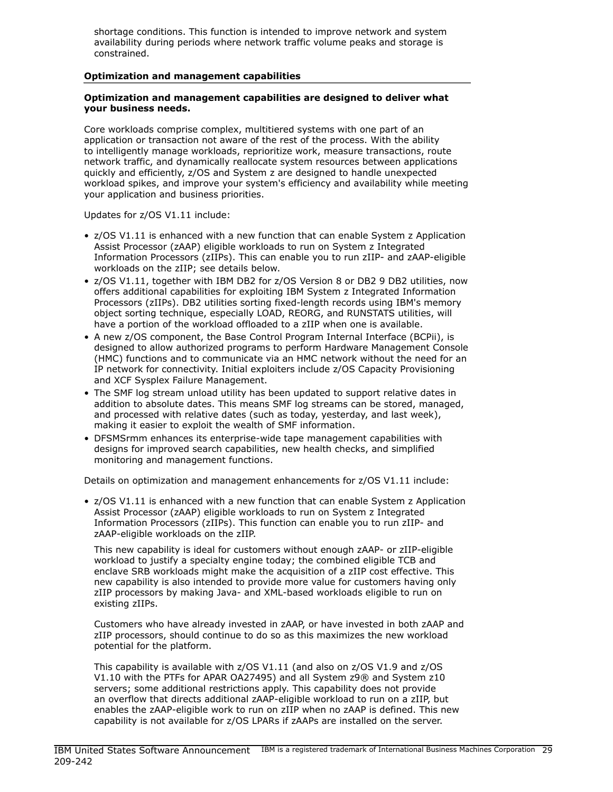shortage conditions. This function is intended to improve network and system availability during periods where network traffic volume peaks and storage is constrained.

#### <span id="page-28-0"></span>Optimization and management capabilities

## Optimization and management capabilities are designed to deliver what your business needs.

Core workloads comprise complex, multitiered systems with one part of an application or transaction not aware of the rest of the process. With the ability to intelligently manage workloads, reprioritize work, measure transactions, route network traffic, and dynamically reallocate system resources between applications quickly and efficiently, z/OS and System z are designed to handle unexpected workload spikes, and improve your system's efficiency and availability while meeting your application and business priorities.

Updates for z/OS V1.11 include:

- z/OS V1.11 is enhanced with a new function that can enable System z Application Assist Processor (zAAP) eligible workloads to run on System z Integrated Information Processors (zIIPs). This can enable you to run zIIP- and zAAP-eligible workloads on the zIIP; see details below.
- z/OS V1.11, together with IBM DB2 for z/OS Version 8 or DB2 9 DB2 utilities, now offers additional capabilities for exploiting IBM System z Integrated Information Processors (zIIPs). DB2 utilities sorting fixed-length records using IBM's memory object sorting technique, especially LOAD, REORG, and RUNSTATS utilities, will have a portion of the workload offloaded to a zIIP when one is available.
- A new z/OS component, the Base Control Program Internal Interface (BCPii), is designed to allow authorized programs to perform Hardware Management Console (HMC) functions and to communicate via an HMC network without the need for an IP network for connectivity. Initial exploiters include z/OS Capacity Provisioning and XCF Sysplex Failure Management.
- The SMF log stream unload utility has been updated to support relative dates in addition to absolute dates. This means SMF log streams can be stored, managed, and processed with relative dates (such as today, yesterday, and last week), making it easier to exploit the wealth of SMF information.
- DFSMSrmm enhances its enterprise-wide tape management capabilities with designs for improved search capabilities, new health checks, and simplified monitoring and management functions.

Details on optimization and management enhancements for z/OS V1.11 include:

• z/OS V1.11 is enhanced with a new function that can enable System z Application Assist Processor (zAAP) eligible workloads to run on System z Integrated Information Processors (zIIPs). This function can enable you to run zIIP- and zAAP-eligible workloads on the zIIP.

This new capability is ideal for customers without enough zAAP- or zIIP-eligible workload to justify a specialty engine today; the combined eligible TCB and enclave SRB workloads might make the acquisition of a zIIP cost effective. This new capability is also intended to provide more value for customers having only zIIP processors by making Java- and XML-based workloads eligible to run on existing zIIPs.

Customers who have already invested in zAAP, or have invested in both zAAP and zIIP processors, should continue to do so as this maximizes the new workload potential for the platform.

This capability is available with z/OS V1.11 (and also on z/OS V1.9 and z/OS V1.10 with the PTFs for APAR OA27495) and all System z9® and System z10 servers; some additional restrictions apply. This capability does not provide an overflow that directs additional zAAP-eligible workload to run on a zIIP, but enables the zAAP-eligible work to run on zIIP when no zAAP is defined. This new capability is not available for z/OS LPARs if zAAPs are installed on the server.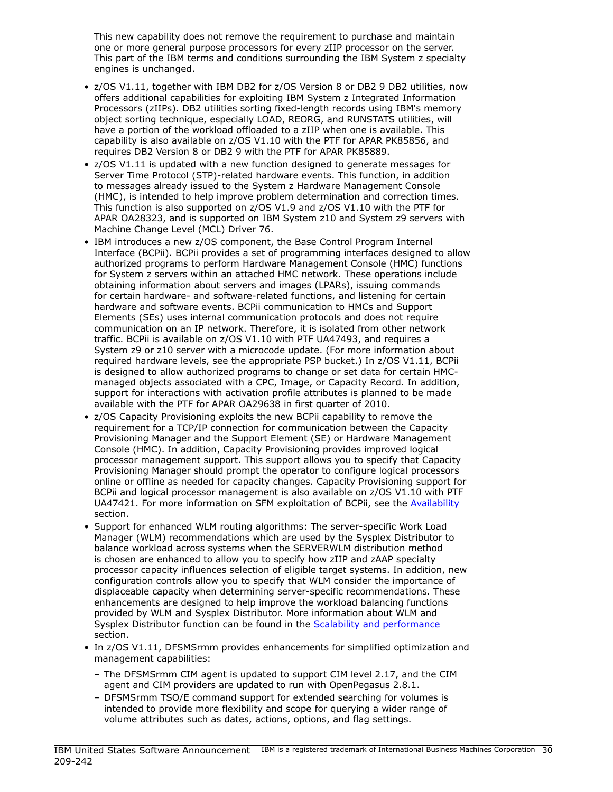This new capability does not remove the requirement to purchase and maintain one or more general purpose processors for every zIIP processor on the server. This part of the IBM terms and conditions surrounding the IBM System z specialty engines is unchanged.

- z/OS V1.11, together with IBM DB2 for z/OS Version 8 or DB2 9 DB2 utilities, now offers additional capabilities for exploiting IBM System z Integrated Information Processors (zIIPs). DB2 utilities sorting fixed-length records using IBM's memory object sorting technique, especially LOAD, REORG, and RUNSTATS utilities, will have a portion of the workload offloaded to a zIIP when one is available. This capability is also available on z/OS V1.10 with the PTF for APAR PK85856, and requires DB2 Version 8 or DB2 9 with the PTF for APAR PK85889.
- z/OS V1.11 is updated with a new function designed to generate messages for Server Time Protocol (STP)-related hardware events. This function, in addition to messages already issued to the System z Hardware Management Console (HMC), is intended to help improve problem determination and correction times. This function is also supported on z/OS V1.9 and z/OS V1.10 with the PTF for APAR OA28323, and is supported on IBM System z10 and System z9 servers with Machine Change Level (MCL) Driver 76.
- IBM introduces a new z/OS component, the Base Control Program Internal Interface (BCPii). BCPii provides a set of programming interfaces designed to allow authorized programs to perform Hardware Management Console (HMC) functions for System z servers within an attached HMC network. These operations include obtaining information about servers and images (LPARs), issuing commands for certain hardware- and software-related functions, and listening for certain hardware and software events. BCPii communication to HMCs and Support Elements (SEs) uses internal communication protocols and does not require communication on an IP network. Therefore, it is isolated from other network traffic. BCPii is available on z/OS V1.10 with PTF UA47493, and requires a System z9 or z10 server with a microcode update. (For more information about required hardware levels, see the appropriate PSP bucket.) In z/OS V1.11, BCPii is designed to allow authorized programs to change or set data for certain HMCmanaged objects associated with a CPC, Image, or Capacity Record. In addition, support for interactions with activation profile attributes is planned to be made available with the PTF for APAR OA29638 in first quarter of 2010.
- z/OS Capacity Provisioning exploits the new BCPii capability to remove the requirement for a TCP/IP connection for communication between the Capacity Provisioning Manager and the Support Element (SE) or Hardware Management Console (HMC). In addition, Capacity Provisioning provides improved logical processor management support. This support allows you to specify that Capacity Provisioning Manager should prompt the operator to configure logical processors online or offline as needed for capacity changes. Capacity Provisioning support for BCPii and logical processor management is also available on z/OS V1.10 with PTF UA47421. For more information on SFM exploitation of BCPii, see the [Availability](#page-24-0) section.
- Support for enhanced WLM routing algorithms: The server-specific Work Load Manager (WLM) recommendations which are used by the Sysplex Distributor to balance workload across systems when the SERVERWLM distribution method is chosen are enhanced to allow you to specify how zIIP and zAAP specialty processor capacity influences selection of eligible target systems. In addition, new configuration controls allow you to specify that WLM consider the importance of displaceable capacity when determining server-specific recommendations. These enhancements are designed to help improve the workload balancing functions provided by WLM and Sysplex Distributor. More information about WLM and Sysplex Distributor function can be found in the [Scalability and performance](#page-9-0) section.
- In z/OS V1.11, DFSMSrmm provides enhancements for simplified optimization and management capabilities:
	- The DFSMSrmm CIM agent is updated to support CIM level 2.17, and the CIM agent and CIM providers are updated to run with OpenPegasus 2.8.1.
	- DFSMSrmm TSO/E command support for extended searching for volumes is intended to provide more flexibility and scope for querying a wider range of volume attributes such as dates, actions, options, and flag settings.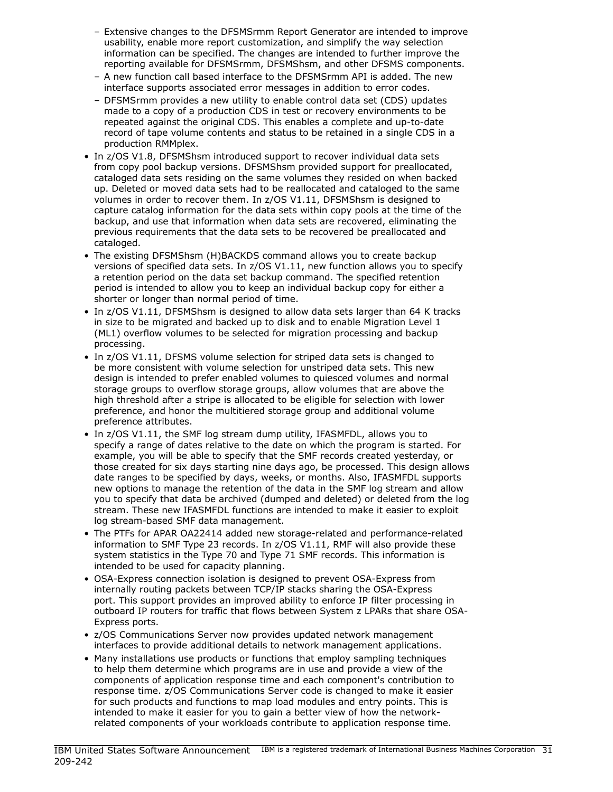- Extensive changes to the DFSMSrmm Report Generator are intended to improve usability, enable more report customization, and simplify the way selection information can be specified. The changes are intended to further improve the reporting available for DFSMSrmm, DFSMShsm, and other DFSMS components.
- A new function call based interface to the DFSMSrmm API is added. The new interface supports associated error messages in addition to error codes.
- DFSMSrmm provides a new utility to enable control data set (CDS) updates made to a copy of a production CDS in test or recovery environments to be repeated against the original CDS. This enables a complete and up-to-date record of tape volume contents and status to be retained in a single CDS in a production RMMplex.
- In z/OS V1.8, DFSMShsm introduced support to recover individual data sets from copy pool backup versions. DFSMShsm provided support for preallocated, cataloged data sets residing on the same volumes they resided on when backed up. Deleted or moved data sets had to be reallocated and cataloged to the same volumes in order to recover them. In z/OS V1.11, DFSMShsm is designed to capture catalog information for the data sets within copy pools at the time of the backup, and use that information when data sets are recovered, eliminating the previous requirements that the data sets to be recovered be preallocated and cataloged.
- The existing DFSMShsm (H)BACKDS command allows you to create backup versions of specified data sets. In z/OS V1.11, new function allows you to specify a retention period on the data set backup command. The specified retention period is intended to allow you to keep an individual backup copy for either a shorter or longer than normal period of time.
- In z/OS V1.11, DFSMShsm is designed to allow data sets larger than 64 K tracks in size to be migrated and backed up to disk and to enable Migration Level 1 (ML1) overflow volumes to be selected for migration processing and backup processing.
- In z/OS V1.11, DFSMS volume selection for striped data sets is changed to be more consistent with volume selection for unstriped data sets. This new design is intended to prefer enabled volumes to quiesced volumes and normal storage groups to overflow storage groups, allow volumes that are above the high threshold after a stripe is allocated to be eligible for selection with lower preference, and honor the multitiered storage group and additional volume preference attributes.
- In z/OS V1.11, the SMF log stream dump utility, IFASMFDL, allows you to specify a range of dates relative to the date on which the program is started. For example, you will be able to specify that the SMF records created yesterday, or those created for six days starting nine days ago, be processed. This design allows date ranges to be specified by days, weeks, or months. Also, IFASMFDL supports new options to manage the retention of the data in the SMF log stream and allow you to specify that data be archived (dumped and deleted) or deleted from the log stream. These new IFASMFDL functions are intended to make it easier to exploit log stream-based SMF data management.
- The PTFs for APAR OA22414 added new storage-related and performance-related information to SMF Type 23 records. In z/OS V1.11, RMF will also provide these system statistics in the Type 70 and Type 71 SMF records. This information is intended to be used for capacity planning.
- OSA-Express connection isolation is designed to prevent OSA-Express from internally routing packets between TCP/IP stacks sharing the OSA-Express port. This support provides an improved ability to enforce IP filter processing in outboard IP routers for traffic that flows between System z LPARs that share OSA-Express ports.
- z/OS Communications Server now provides updated network management interfaces to provide additional details to network management applications.
- Many installations use products or functions that employ sampling techniques to help them determine which programs are in use and provide a view of the components of application response time and each component's contribution to response time. z/OS Communications Server code is changed to make it easier for such products and functions to map load modules and entry points. This is intended to make it easier for you to gain a better view of how the networkrelated components of your workloads contribute to application response time.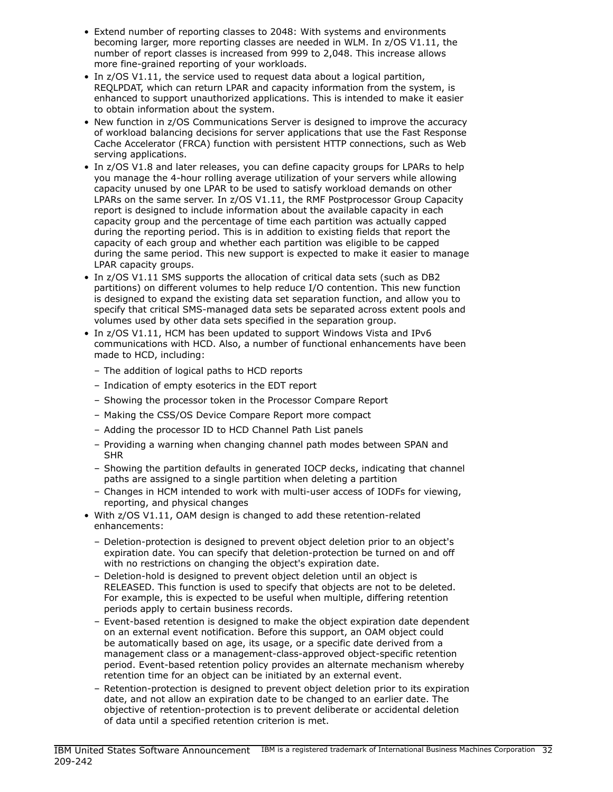- Extend number of reporting classes to 2048: With systems and environments becoming larger, more reporting classes are needed in WLM. In z/OS V1.11, the number of report classes is increased from 999 to 2,048. This increase allows more fine-grained reporting of your workloads.
- In z/OS V1.11, the service used to request data about a logical partition, REQLPDAT, which can return LPAR and capacity information from the system, is enhanced to support unauthorized applications. This is intended to make it easier to obtain information about the system.
- New function in z/OS Communications Server is designed to improve the accuracy of workload balancing decisions for server applications that use the Fast Response Cache Accelerator (FRCA) function with persistent HTTP connections, such as Web serving applications.
- In z/OS V1.8 and later releases, you can define capacity groups for LPARs to help you manage the 4-hour rolling average utilization of your servers while allowing capacity unused by one LPAR to be used to satisfy workload demands on other LPARs on the same server. In z/OS V1.11, the RMF Postprocessor Group Capacity report is designed to include information about the available capacity in each capacity group and the percentage of time each partition was actually capped during the reporting period. This is in addition to existing fields that report the capacity of each group and whether each partition was eligible to be capped during the same period. This new support is expected to make it easier to manage LPAR capacity groups.
- In z/OS V1.11 SMS supports the allocation of critical data sets (such as DB2 partitions) on different volumes to help reduce I/O contention. This new function is designed to expand the existing data set separation function, and allow you to specify that critical SMS-managed data sets be separated across extent pools and volumes used by other data sets specified in the separation group.
- In z/OS V1.11, HCM has been updated to support Windows Vista and IPv6 communications with HCD. Also, a number of functional enhancements have been made to HCD, including:
	- The addition of logical paths to HCD reports
	- Indication of empty esoterics in the EDT report
	- Showing the processor token in the Processor Compare Report
	- Making the CSS/OS Device Compare Report more compact
	- Adding the processor ID to HCD Channel Path List panels
	- Providing a warning when changing channel path modes between SPAN and SHR
	- Showing the partition defaults in generated IOCP decks, indicating that channel paths are assigned to a single partition when deleting a partition
	- Changes in HCM intended to work with multi-user access of IODFs for viewing, reporting, and physical changes
- With z/OS V1.11, OAM design is changed to add these retention-related enhancements:
	- Deletion-protection is designed to prevent object deletion prior to an object's expiration date. You can specify that deletion-protection be turned on and off with no restrictions on changing the object's expiration date.
	- Deletion-hold is designed to prevent object deletion until an object is RELEASED. This function is used to specify that objects are not to be deleted. For example, this is expected to be useful when multiple, differing retention periods apply to certain business records.
	- Event-based retention is designed to make the object expiration date dependent on an external event notification. Before this support, an OAM object could be automatically based on age, its usage, or a specific date derived from a management class or a management-class-approved object-specific retention period. Event-based retention policy provides an alternate mechanism whereby retention time for an object can be initiated by an external event.
	- Retention-protection is designed to prevent object deletion prior to its expiration date, and not allow an expiration date to be changed to an earlier date. The objective of retention-protection is to prevent deliberate or accidental deletion of data until a specified retention criterion is met.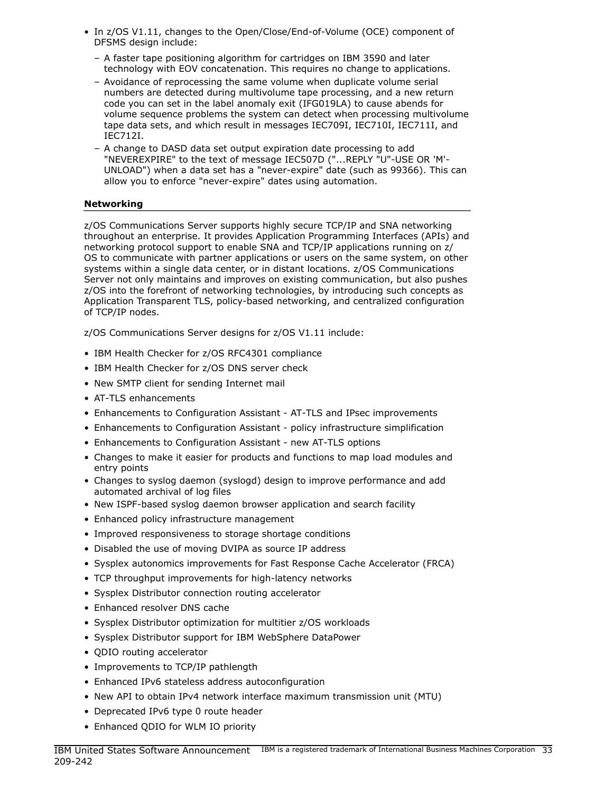- In z/OS V1.11, changes to the Open/Close/End-of-Volume (OCE) component of DFSMS design include:
	- A faster tape positioning algorithm for cartridges on IBM 3590 and later technology with EOV concatenation. This requires no change to applications.
	- Avoidance of reprocessing the same volume when duplicate volume serial numbers are detected during multivolume tape processing, and a new return code you can set in the label anomaly exit (IFG019LA) to cause abends for volume sequence problems the system can detect when processing multivolume tape data sets, and which result in messages IEC709I, IEC710I, IEC711I, and IEC712I.
	- A change to DASD data set output expiration date processing to add "NEVEREXPIRE" to the text of message IEC507D ("...REPLY "U"-USE OR 'M'- UNLOAD") when a data set has a "never-expire" date (such as 99366). This can allow you to enforce "never-expire" dates using automation.

## Networking

z/OS Communications Server supports highly secure TCP/IP and SNA networking throughout an enterprise. It provides Application Programming Interfaces (APIs) and networking protocol support to enable SNA and TCP/IP applications running on z/ OS to communicate with partner applications or users on the same system, on other systems within a single data center, or in distant locations. z/OS Communications Server not only maintains and improves on existing communication, but also pushes z/OS into the forefront of networking technologies, by introducing such concepts as Application Transparent TLS, policy-based networking, and centralized configuration of TCP/IP nodes.

z/OS Communications Server designs for z/OS V1.11 include:

- IBM Health Checker for z/OS RFC4301 compliance
- IBM Health Checker for z/OS DNS server check
- New SMTP client for sending Internet mail
- AT-TLS enhancements
- Enhancements to Configuration Assistant AT-TLS and IPsec improvements
- Enhancements to Configuration Assistant policy infrastructure simplification
- Enhancements to Configuration Assistant new AT-TLS options
- Changes to make it easier for products and functions to map load modules and entry points
- Changes to syslog daemon (syslogd) design to improve performance and add automated archival of log files
- New ISPF-based syslog daemon browser application and search facility
- Enhanced policy infrastructure management
- Improved responsiveness to storage shortage conditions
- Disabled the use of moving DVIPA as source IP address
- Sysplex autonomics improvements for Fast Response Cache Accelerator (FRCA)
- TCP throughput improvements for high-latency networks
- Sysplex Distributor connection routing accelerator
- Enhanced resolver DNS cache
- Sysplex Distributor optimization for multitier z/OS workloads
- Sysplex Distributor support for IBM WebSphere DataPower
- QDIO routing accelerator
- Improvements to TCP/IP pathlength
- Enhanced IPv6 stateless address autoconfiguration
- New API to obtain IPv4 network interface maximum transmission unit (MTU)
- Deprecated IPv6 type 0 route header
- Enhanced QDIO for WLM IO priority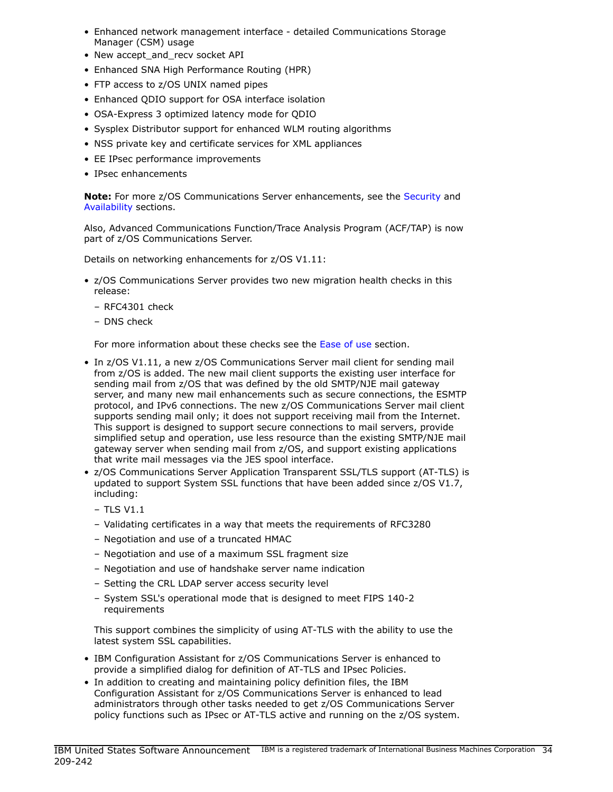- Enhanced network management interface detailed Communications Storage Manager (CSM) usage
- New accept and recv socket API
- Enhanced SNA High Performance Routing (HPR)
- FTP access to z/OS UNIX named pipes
- Enhanced QDIO support for OSA interface isolation
- OSA-Express 3 optimized latency mode for QDIO
- Sysplex Distributor support for enhanced WLM routing algorithms
- NSS private key and certificate services for XML appliances
- EE IPsec performance improvements
- IPsec enhancements

Note: For more z/OS Communications Server enhancements, see the [Security](#page-19-0) and [Availability](#page-24-0) sections.

Also, Advanced Communications Function/Trace Analysis Program (ACF/TAP) is now part of z/OS Communications Server.

Details on networking enhancements for z/OS V1.11:

- z/OS Communications Server provides two new migration health checks in this release:
	- RFC4301 check
	- DNS check

For more information about these checks see the [Ease of use](#page-4-2) section.

- In z/OS V1.11, a new z/OS Communications Server mail client for sending mail from z/OS is added. The new mail client supports the existing user interface for sending mail from z/OS that was defined by the old SMTP/NJE mail gateway server, and many new mail enhancements such as secure connections, the ESMTP protocol, and IPv6 connections. The new z/OS Communications Server mail client supports sending mail only; it does not support receiving mail from the Internet. This support is designed to support secure connections to mail servers, provide simplified setup and operation, use less resource than the existing SMTP/NJE mail gateway server when sending mail from z/OS, and support existing applications that write mail messages via the JES spool interface.
- z/OS Communications Server Application Transparent SSL/TLS support (AT-TLS) is updated to support System SSL functions that have been added since z/OS V1.7, including:
	- TLS V1.1
	- Validating certificates in a way that meets the requirements of RFC3280
	- Negotiation and use of a truncated HMAC
	- Negotiation and use of a maximum SSL fragment size
	- Negotiation and use of handshake server name indication
	- Setting the CRL LDAP server access security level
	- System SSL's operational mode that is designed to meet FIPS 140-2 requirements

This support combines the simplicity of using AT-TLS with the ability to use the latest system SSL capabilities.

- IBM Configuration Assistant for z/OS Communications Server is enhanced to provide a simplified dialog for definition of AT-TLS and IPsec Policies.
- In addition to creating and maintaining policy definition files, the IBM Configuration Assistant for z/OS Communications Server is enhanced to lead administrators through other tasks needed to get z/OS Communications Server policy functions such as IPsec or AT-TLS active and running on the z/OS system.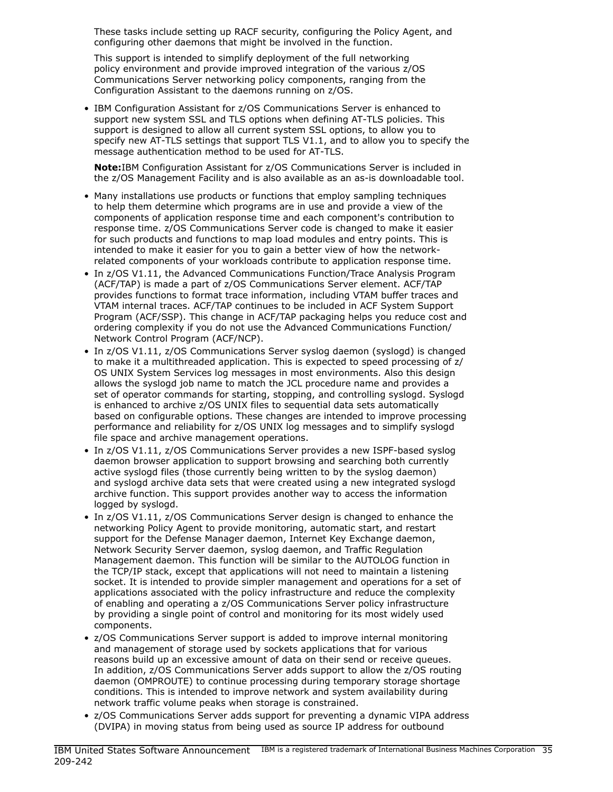These tasks include setting up RACF security, configuring the Policy Agent, and configuring other daemons that might be involved in the function.

This support is intended to simplify deployment of the full networking policy environment and provide improved integration of the various z/OS Communications Server networking policy components, ranging from the Configuration Assistant to the daemons running on z/OS.

• IBM Configuration Assistant for z/OS Communications Server is enhanced to support new system SSL and TLS options when defining AT-TLS policies. This support is designed to allow all current system SSL options, to allow you to specify new AT-TLS settings that support TLS V1.1, and to allow you to specify the message authentication method to be used for AT-TLS.

Note: IBM Configuration Assistant for z/OS Communications Server is included in the z/OS Management Facility and is also available as an as-is downloadable tool.

- Many installations use products or functions that employ sampling techniques to help them determine which programs are in use and provide a view of the components of application response time and each component's contribution to response time. z/OS Communications Server code is changed to make it easier for such products and functions to map load modules and entry points. This is intended to make it easier for you to gain a better view of how the networkrelated components of your workloads contribute to application response time.
- In z/OS V1.11, the Advanced Communications Function/Trace Analysis Program (ACF/TAP) is made a part of z/OS Communications Server element. ACF/TAP provides functions to format trace information, including VTAM buffer traces and VTAM internal traces. ACF/TAP continues to be included in ACF System Support Program (ACF/SSP). This change in ACF/TAP packaging helps you reduce cost and ordering complexity if you do not use the Advanced Communications Function/ Network Control Program (ACF/NCP).
- In z/OS V1.11, z/OS Communications Server syslog daemon (syslogd) is changed to make it a multithreaded application. This is expected to speed processing of z/ OS UNIX System Services log messages in most environments. Also this design allows the syslogd job name to match the JCL procedure name and provides a set of operator commands for starting, stopping, and controlling syslogd. Syslogd is enhanced to archive z/OS UNIX files to sequential data sets automatically based on configurable options. These changes are intended to improve processing performance and reliability for z/OS UNIX log messages and to simplify syslogd file space and archive management operations.
- In z/OS V1.11, z/OS Communications Server provides a new ISPF-based syslog daemon browser application to support browsing and searching both currently active syslogd files (those currently being written to by the syslog daemon) and syslogd archive data sets that were created using a new integrated syslogd archive function. This support provides another way to access the information logged by syslogd.
- In z/OS V1.11, z/OS Communications Server design is changed to enhance the networking Policy Agent to provide monitoring, automatic start, and restart support for the Defense Manager daemon, Internet Key Exchange daemon, Network Security Server daemon, syslog daemon, and Traffic Regulation Management daemon. This function will be similar to the AUTOLOG function in the TCP/IP stack, except that applications will not need to maintain a listening socket. It is intended to provide simpler management and operations for a set of applications associated with the policy infrastructure and reduce the complexity of enabling and operating a z/OS Communications Server policy infrastructure by providing a single point of control and monitoring for its most widely used components.
- z/OS Communications Server support is added to improve internal monitoring and management of storage used by sockets applications that for various reasons build up an excessive amount of data on their send or receive queues. In addition, z/OS Communications Server adds support to allow the z/OS routing daemon (OMPROUTE) to continue processing during temporary storage shortage conditions. This is intended to improve network and system availability during network traffic volume peaks when storage is constrained.
- z/OS Communications Server adds support for preventing a dynamic VIPA address (DVIPA) in moving status from being used as source IP address for outbound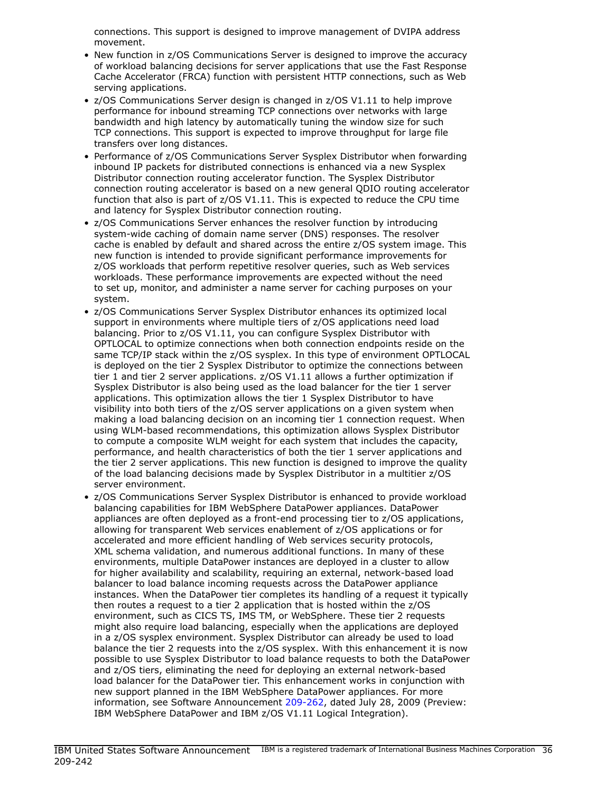connections. This support is designed to improve management of DVIPA address movement.

- New function in z/OS Communications Server is designed to improve the accuracy of workload balancing decisions for server applications that use the Fast Response Cache Accelerator (FRCA) function with persistent HTTP connections, such as Web serving applications.
- z/OS Communications Server design is changed in z/OS V1.11 to help improve performance for inbound streaming TCP connections over networks with large bandwidth and high latency by automatically tuning the window size for such TCP connections. This support is expected to improve throughput for large file transfers over long distances.
- Performance of z/OS Communications Server Sysplex Distributor when forwarding inbound IP packets for distributed connections is enhanced via a new Sysplex Distributor connection routing accelerator function. The Sysplex Distributor connection routing accelerator is based on a new general QDIO routing accelerator function that also is part of z/OS V1.11. This is expected to reduce the CPU time and latency for Sysplex Distributor connection routing.
- z/OS Communications Server enhances the resolver function by introducing system-wide caching of domain name server (DNS) responses. The resolver cache is enabled by default and shared across the entire z/OS system image. This new function is intended to provide significant performance improvements for z/OS workloads that perform repetitive resolver queries, such as Web services workloads. These performance improvements are expected without the need to set up, monitor, and administer a name server for caching purposes on your system.
- z/OS Communications Server Sysplex Distributor enhances its optimized local support in environments where multiple tiers of z/OS applications need load balancing. Prior to z/OS V1.11, you can configure Sysplex Distributor with OPTLOCAL to optimize connections when both connection endpoints reside on the same TCP/IP stack within the z/OS sysplex. In this type of environment OPTLOCAL is deployed on the tier 2 Sysplex Distributor to optimize the connections between tier 1 and tier 2 server applications. z/OS V1.11 allows a further optimization if Sysplex Distributor is also being used as the load balancer for the tier 1 server applications. This optimization allows the tier 1 Sysplex Distributor to have visibility into both tiers of the z/OS server applications on a given system when making a load balancing decision on an incoming tier 1 connection request. When using WLM-based recommendations, this optimization allows Sysplex Distributor to compute a composite WLM weight for each system that includes the capacity, performance, and health characteristics of both the tier 1 server applications and the tier 2 server applications. This new function is designed to improve the quality of the load balancing decisions made by Sysplex Distributor in a multitier z/OS server environment.
- z/OS Communications Server Sysplex Distributor is enhanced to provide workload balancing capabilities for IBM WebSphere DataPower appliances. DataPower appliances are often deployed as a front-end processing tier to z/OS applications, allowing for transparent Web services enablement of z/OS applications or for accelerated and more efficient handling of Web services security protocols, XML schema validation, and numerous additional functions. In many of these environments, multiple DataPower instances are deployed in a cluster to allow for higher availability and scalability, requiring an external, network-based load balancer to load balance incoming requests across the DataPower appliance instances. When the DataPower tier completes its handling of a request it typically then routes a request to a tier 2 application that is hosted within the z/OS environment, such as CICS TS, IMS TM, or WebSphere. These tier 2 requests might also require load balancing, especially when the applications are deployed in a z/OS sysplex environment. Sysplex Distributor can already be used to load balance the tier 2 requests into the z/OS sysplex. With this enhancement it is now possible to use Sysplex Distributor to load balance requests to both the DataPower and z/OS tiers, eliminating the need for deploying an external network-based load balancer for the DataPower tier. This enhancement works in conjunction with new support planned in the IBM WebSphere DataPower appliances. For more information, see Software Announcement [209-262](http://www.ibm.com/common/ssi/cgi-bin/ssialias?infotype=an&subtype=ca&appname=gpateam&supplier=897&letternum=ENUS209-262), dated July 28, 2009 (Preview: IBM WebSphere DataPower and IBM z/OS V1.11 Logical Integration).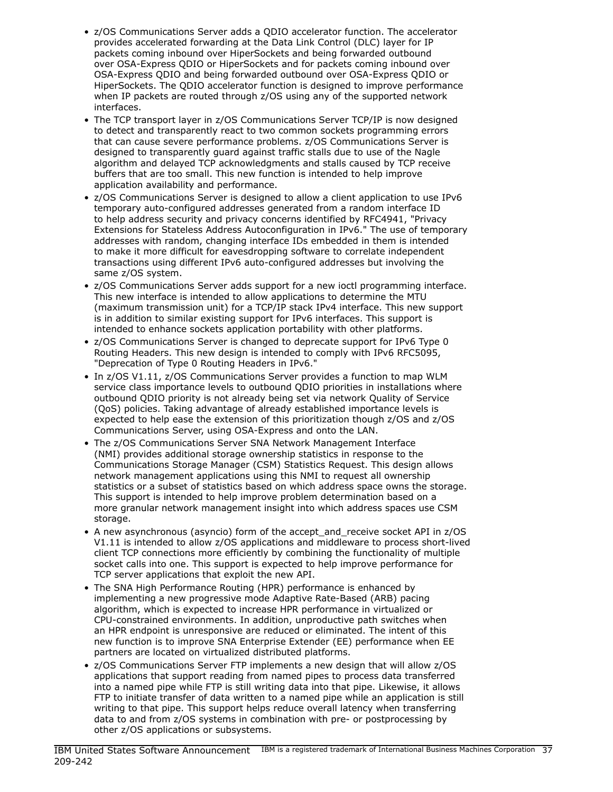- z/OS Communications Server adds a QDIO accelerator function. The accelerator provides accelerated forwarding at the Data Link Control (DLC) layer for IP packets coming inbound over HiperSockets and being forwarded outbound over OSA-Express QDIO or HiperSockets and for packets coming inbound over OSA-Express QDIO and being forwarded outbound over OSA-Express QDIO or HiperSockets. The QDIO accelerator function is designed to improve performance when IP packets are routed through z/OS using any of the supported network interfaces.
- The TCP transport layer in z/OS Communications Server TCP/IP is now designed to detect and transparently react to two common sockets programming errors that can cause severe performance problems. z/OS Communications Server is designed to transparently guard against traffic stalls due to use of the Nagle algorithm and delayed TCP acknowledgments and stalls caused by TCP receive buffers that are too small. This new function is intended to help improve application availability and performance.
- z/OS Communications Server is designed to allow a client application to use IPv6 temporary auto-configured addresses generated from a random interface ID to help address security and privacy concerns identified by RFC4941, "Privacy Extensions for Stateless Address Autoconfiguration in IPv6." The use of temporary addresses with random, changing interface IDs embedded in them is intended to make it more difficult for eavesdropping software to correlate independent transactions using different IPv6 auto-configured addresses but involving the same z/OS system.
- z/OS Communications Server adds support for a new ioctl programming interface. This new interface is intended to allow applications to determine the MTU (maximum transmission unit) for a TCP/IP stack IPv4 interface. This new support is in addition to similar existing support for IPv6 interfaces. This support is intended to enhance sockets application portability with other platforms.
- z/OS Communications Server is changed to deprecate support for IPv6 Type 0 Routing Headers. This new design is intended to comply with IPv6 RFC5095, "Deprecation of Type 0 Routing Headers in IPv6."
- In z/OS V1.11, z/OS Communications Server provides a function to map WLM service class importance levels to outbound QDIO priorities in installations where outbound QDIO priority is not already being set via network Quality of Service (QoS) policies. Taking advantage of already established importance levels is expected to help ease the extension of this prioritization though z/OS and z/OS Communications Server, using OSA-Express and onto the LAN.
- The z/OS Communications Server SNA Network Management Interface (NMI) provides additional storage ownership statistics in response to the Communications Storage Manager (CSM) Statistics Request. This design allows network management applications using this NMI to request all ownership statistics or a subset of statistics based on which address space owns the storage. This support is intended to help improve problem determination based on a more granular network management insight into which address spaces use CSM storage.
- A new asynchronous (asyncio) form of the accept\_and\_receive socket API in z/OS V1.11 is intended to allow z/OS applications and middleware to process short-lived client TCP connections more efficiently by combining the functionality of multiple socket calls into one. This support is expected to help improve performance for TCP server applications that exploit the new API.
- The SNA High Performance Routing (HPR) performance is enhanced by implementing a new progressive mode Adaptive Rate-Based (ARB) pacing algorithm, which is expected to increase HPR performance in virtualized or CPU-constrained environments. In addition, unproductive path switches when an HPR endpoint is unresponsive are reduced or eliminated. The intent of this new function is to improve SNA Enterprise Extender (EE) performance when EE partners are located on virtualized distributed platforms.
- z/OS Communications Server FTP implements a new design that will allow z/OS applications that support reading from named pipes to process data transferred into a named pipe while FTP is still writing data into that pipe. Likewise, it allows FTP to initiate transfer of data written to a named pipe while an application is still writing to that pipe. This support helps reduce overall latency when transferring data to and from z/OS systems in combination with pre- or postprocessing by other z/OS applications or subsystems.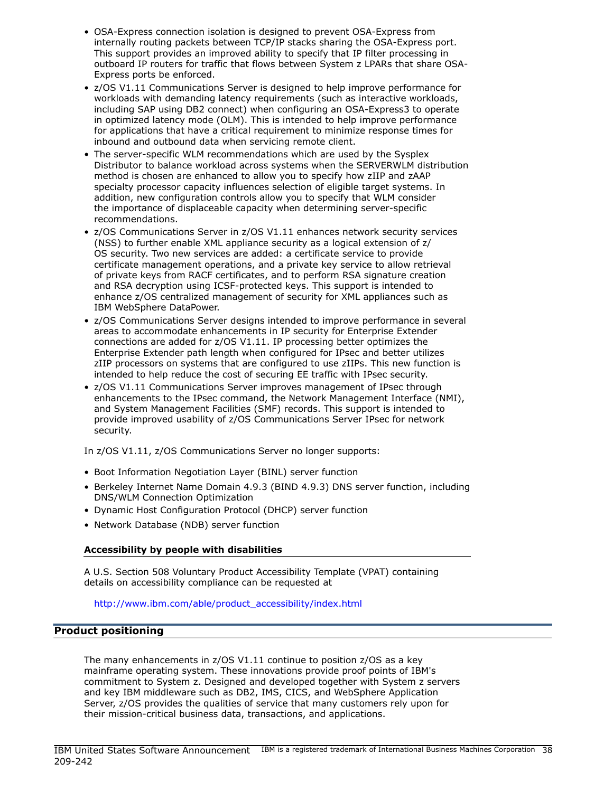- OSA-Express connection isolation is designed to prevent OSA-Express from internally routing packets between TCP/IP stacks sharing the OSA-Express port. This support provides an improved ability to specify that IP filter processing in outboard IP routers for traffic that flows between System z LPARs that share OSA-Express ports be enforced.
- z/OS V1.11 Communications Server is designed to help improve performance for workloads with demanding latency requirements (such as interactive workloads, including SAP using DB2 connect) when configuring an OSA-Express3 to operate in optimized latency mode (OLM). This is intended to help improve performance for applications that have a critical requirement to minimize response times for inbound and outbound data when servicing remote client.
- The server-specific WLM recommendations which are used by the Sysplex Distributor to balance workload across systems when the SERVERWLM distribution method is chosen are enhanced to allow you to specify how zIIP and zAAP specialty processor capacity influences selection of eligible target systems. In addition, new configuration controls allow you to specify that WLM consider the importance of displaceable capacity when determining server-specific recommendations.
- z/OS Communications Server in z/OS V1.11 enhances network security services (NSS) to further enable XML appliance security as a logical extension of z/ OS security. Two new services are added: a certificate service to provide certificate management operations, and a private key service to allow retrieval of private keys from RACF certificates, and to perform RSA signature creation and RSA decryption using ICSF-protected keys. This support is intended to enhance z/OS centralized management of security for XML appliances such as IBM WebSphere DataPower.
- z/OS Communications Server designs intended to improve performance in several areas to accommodate enhancements in IP security for Enterprise Extender connections are added for z/OS V1.11. IP processing better optimizes the Enterprise Extender path length when configured for IPsec and better utilizes zIIP processors on systems that are configured to use zIIPs. This new function is intended to help reduce the cost of securing EE traffic with IPsec security.
- z/OS V1.11 Communications Server improves management of IPsec through enhancements to the IPsec command, the Network Management Interface (NMI), and System Management Facilities (SMF) records. This support is intended to provide improved usability of z/OS Communications Server IPsec for network security.

In z/OS V1.11, z/OS Communications Server no longer supports:

- Boot Information Negotiation Layer (BINL) server function
- Berkeley Internet Name Domain 4.9.3 (BIND 4.9.3) DNS server function, including DNS/WLM Connection Optimization
- Dynamic Host Configuration Protocol (DHCP) server function
- Network Database (NDB) server function

## Accessibility by people with disabilities

A U.S. Section 508 Voluntary Product Accessibility Template (VPAT) containing details on accessibility compliance can be requested at

#### [http://www.ibm.com/able/product\\_accessibility/index.html](http://www.ibm.com/able/product_accessibility/index.html)

## <span id="page-37-0"></span>Product positioning

The many enhancements in z/OS V1.11 continue to position z/OS as a key mainframe operating system. These innovations provide proof points of IBM's commitment to System z. Designed and developed together with System z servers and key IBM middleware such as DB2, IMS, CICS, and WebSphere Application Server, z/OS provides the qualities of service that many customers rely upon for their mission-critical business data, transactions, and applications.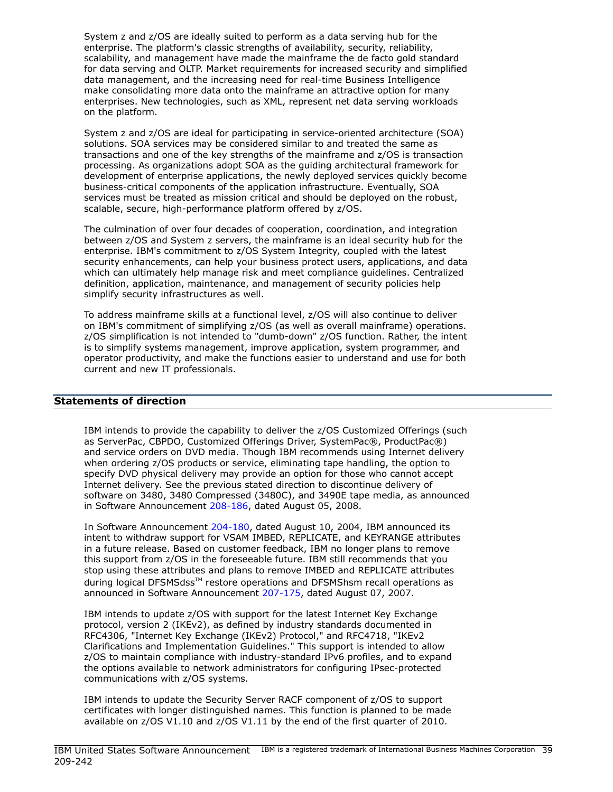System z and z/OS are ideally suited to perform as a data serving hub for the enterprise. The platform's classic strengths of availability, security, reliability, scalability, and management have made the mainframe the de facto gold standard for data serving and OLTP. Market requirements for increased security and simplified data management, and the increasing need for real-time Business Intelligence make consolidating more data onto the mainframe an attractive option for many enterprises. New technologies, such as XML, represent net data serving workloads on the platform.

System z and z/OS are ideal for participating in service-oriented architecture (SOA) solutions. SOA services may be considered similar to and treated the same as transactions and one of the key strengths of the mainframe and z/OS is transaction processing. As organizations adopt SOA as the guiding architectural framework for development of enterprise applications, the newly deployed services quickly become business-critical components of the application infrastructure. Eventually, SOA services must be treated as mission critical and should be deployed on the robust, scalable, secure, high-performance platform offered by z/OS.

The culmination of over four decades of cooperation, coordination, and integration between z/OS and System z servers, the mainframe is an ideal security hub for the enterprise. IBM's commitment to z/OS System Integrity, coupled with the latest security enhancements, can help your business protect users, applications, and data which can ultimately help manage risk and meet compliance guidelines. Centralized definition, application, maintenance, and management of security policies help simplify security infrastructures as well.

To address mainframe skills at a functional level, z/OS will also continue to deliver on IBM's commitment of simplifying z/OS (as well as overall mainframe) operations. z/OS simplification is not intended to "dumb-down" z/OS function. Rather, the intent is to simplify systems management, improve application, system programmer, and operator productivity, and make the functions easier to understand and use for both current and new IT professionals.

## <span id="page-38-0"></span>Statements of direction

IBM intends to provide the capability to deliver the z/OS Customized Offerings (such as ServerPac, CBPDO, Customized Offerings Driver, SystemPac®, ProductPac®) and service orders on DVD media. Though IBM recommends using Internet delivery when ordering z/OS products or service, eliminating tape handling, the option to specify DVD physical delivery may provide an option for those who cannot accept Internet delivery. See the previous stated direction to discontinue delivery of software on 3480, 3480 Compressed (3480C), and 3490E tape media, as announced in Software Announcement [208-186,](http://www.ibm.com/common/ssi/cgi-bin/ssialias?infotype=an&subtype=ca&appname=gpateam&supplier=897&letternum=ENUS208-186) dated August 05, 2008.

In Software Announcement [204-180](http://www.ibm.com/common/ssi/cgi-bin/ssialias?infotype=an&subtype=ca&appname=gpateam&supplier=897&letternum=ENUS204-180), dated August 10, 2004, IBM announced its intent to withdraw support for VSAM IMBED, REPLICATE, and KEYRANGE attributes in a future release. Based on customer feedback, IBM no longer plans to remove this support from z/OS in the foreseeable future. IBM still recommends that you stop using these attributes and plans to remove IMBED and REPLICATE attributes during logical DFSMSdss™ restore operations and DFSMShsm recall operations as announced in Software Announcement [207-175](http://www.ibm.com/common/ssi/cgi-bin/ssialias?infotype=an&subtype=ca&appname=gpateam&supplier=897&letternum=ENUS207-175), dated August 07, 2007.

IBM intends to update z/OS with support for the latest Internet Key Exchange protocol, version 2 (IKEv2), as defined by industry standards documented in RFC4306, "Internet Key Exchange (IKEv2) Protocol," and RFC4718, "IKEv2 Clarifications and Implementation Guidelines." This support is intended to allow z/OS to maintain compliance with industry-standard IPv6 profiles, and to expand the options available to network administrators for configuring IPsec-protected communications with z/OS systems.

IBM intends to update the Security Server RACF component of z/OS to support certificates with longer distinguished names. This function is planned to be made available on z/OS V1.10 and z/OS V1.11 by the end of the first quarter of 2010.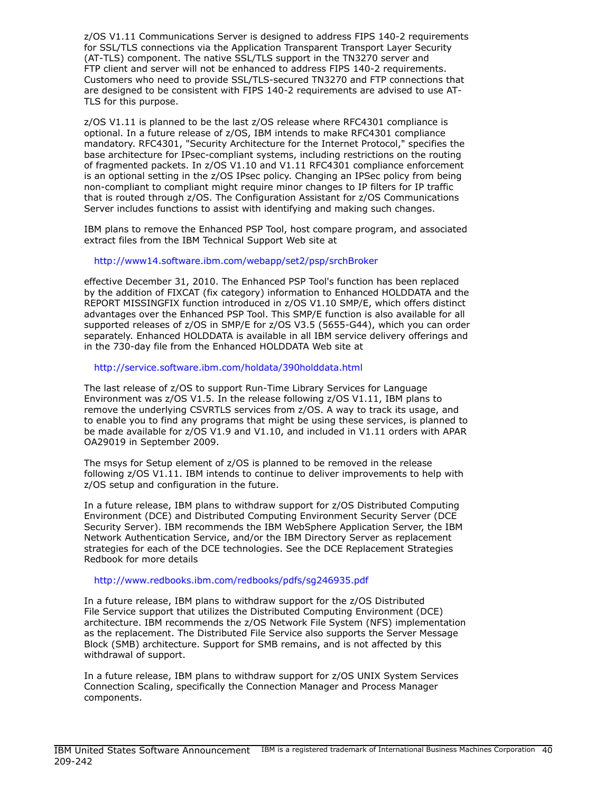z/OS V1.11 Communications Server is designed to address FIPS 140-2 requirements for SSL/TLS connections via the Application Transparent Transport Layer Security (AT-TLS) component. The native SSL/TLS support in the TN3270 server and FTP client and server will not be enhanced to address FIPS 140-2 requirements. Customers who need to provide SSL/TLS-secured TN3270 and FTP connections that are designed to be consistent with FIPS 140-2 requirements are advised to use AT-TLS for this purpose.

z/OS V1.11 is planned to be the last z/OS release where RFC4301 compliance is optional. In a future release of z/OS, IBM intends to make RFC4301 compliance mandatory. RFC4301, "Security Architecture for the Internet Protocol," specifies the base architecture for IPsec-compliant systems, including restrictions on the routing of fragmented packets. In z/OS V1.10 and V1.11 RFC4301 compliance enforcement is an optional setting in the z/OS IPsec policy. Changing an IPSec policy from being non-compliant to compliant might require minor changes to IP filters for IP traffic that is routed through z/OS. The Configuration Assistant for z/OS Communications Server includes functions to assist with identifying and making such changes.

IBM plans to remove the Enhanced PSP Tool, host compare program, and associated extract files from the IBM Technical Support Web site at

## <http://www14.software.ibm.com/webapp/set2/psp/srchBroker>

effective December 31, 2010. The Enhanced PSP Tool's function has been replaced by the addition of FIXCAT (fix category) information to Enhanced HOLDDATA and the REPORT MISSINGFIX function introduced in z/OS V1.10 SMP/E, which offers distinct advantages over the Enhanced PSP Tool. This SMP/E function is also available for all supported releases of z/OS in SMP/E for z/OS V3.5 (5655-G44), which you can order separately. Enhanced HOLDDATA is available in all IBM service delivery offerings and in the 730-day file from the Enhanced HOLDDATA Web site at

#### <http://service.software.ibm.com/holdata/390holddata.html>

The last release of z/OS to support Run-Time Library Services for Language Environment was z/OS V1.5. In the release following z/OS V1.11, IBM plans to remove the underlying CSVRTLS services from z/OS. A way to track its usage, and to enable you to find any programs that might be using these services, is planned to be made available for z/OS V1.9 and V1.10, and included in V1.11 orders with APAR OA29019 in September 2009.

The msys for Setup element of z/OS is planned to be removed in the release following z/OS V1.11. IBM intends to continue to deliver improvements to help with z/OS setup and configuration in the future.

In a future release, IBM plans to withdraw support for z/OS Distributed Computing Environment (DCE) and Distributed Computing Environment Security Server (DCE Security Server). IBM recommends the IBM WebSphere Application Server, the IBM Network Authentication Service, and/or the IBM Directory Server as replacement strategies for each of the DCE technologies. See the DCE Replacement Strategies Redbook for more details

#### <http://www.redbooks.ibm.com/redbooks/pdfs/sg246935.pdf>

In a future release, IBM plans to withdraw support for the z/OS Distributed File Service support that utilizes the Distributed Computing Environment (DCE) architecture. IBM recommends the z/OS Network File System (NFS) implementation as the replacement. The Distributed File Service also supports the Server Message Block (SMB) architecture. Support for SMB remains, and is not affected by this withdrawal of support.

In a future release, IBM plans to withdraw support for z/OS UNIX System Services Connection Scaling, specifically the Connection Manager and Process Manager components.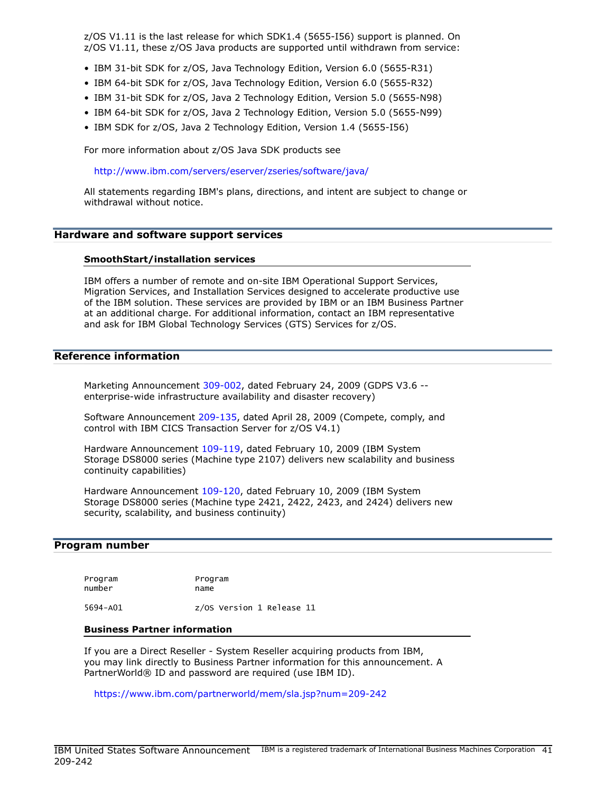z/OS V1.11 is the last release for which SDK1.4 (5655-I56) support is planned. On z/OS V1.11, these z/OS Java products are supported until withdrawn from service:

- IBM 31-bit SDK for z/OS, Java Technology Edition, Version 6.0 (5655-R31)
- IBM 64-bit SDK for z/OS, Java Technology Edition, Version 6.0 (5655-R32)
- IBM 31-bit SDK for z/OS, Java 2 Technology Edition, Version 5.0 (5655-N98)
- IBM 64-bit SDK for z/OS, Java 2 Technology Edition, Version 5.0 (5655-N99)
- IBM SDK for z/OS, Java 2 Technology Edition, Version 1.4 (5655-I56)

For more information about z/OS Java SDK products see

<http://www.ibm.com/servers/eserver/zseries/software/java/>

All statements regarding IBM's plans, directions, and intent are subject to change or withdrawal without notice.

#### <span id="page-40-1"></span>Hardware and software support services

#### SmoothStart/installation services

IBM offers a number of remote and on-site IBM Operational Support Services, Migration Services, and Installation Services designed to accelerate productive use of the IBM solution. These services are provided by IBM or an IBM Business Partner at an additional charge. For additional information, contact an IBM representative and ask for IBM Global Technology Services (GTS) Services for z/OS.

#### <span id="page-40-2"></span>Reference information

Marketing Announcement [309-002](http://www.ibm.com/common/ssi/cgi-bin/ssialias?infotype=an&subtype=ca&appname=gpateam&supplier=897&letternum=ENUS309-002), dated February 24, 2009 (GDPS V3.6 - enterprise-wide infrastructure availability and disaster recovery)

Software Announcement [209-135,](http://www.ibm.com/common/ssi/cgi-bin/ssialias?infotype=an&subtype=ca&appname=gpateam&supplier=897&letternum=ENUS209-135) dated April 28, 2009 (Compete, comply, and control with IBM CICS Transaction Server for z/OS V4.1)

Hardware Announcement [109-119,](http://www.ibm.com/common/ssi/cgi-bin/ssialias?infotype=an&subtype=ca&appname=gpateam&supplier=897&letternum=ENUS109-119) dated February 10, 2009 (IBM System Storage DS8000 series (Machine type 2107) delivers new scalability and business continuity capabilities)

Hardware Announcement [109-120,](http://www.ibm.com/common/ssi/cgi-bin/ssialias?infotype=an&subtype=ca&appname=gpateam&supplier=897&letternum=ENUS109-120) dated February 10, 2009 (IBM System Storage DS8000 series (Machine type 2421, 2422, 2423, and 2424) delivers new security, scalability, and business continuity)

#### <span id="page-40-0"></span>Program number

Program Program number name

5694-A01 z/OS Version 1 Release 11

#### Business Partner information

If you are a Direct Reseller - System Reseller acquiring products from IBM, you may link directly to Business Partner information for this announcement. A PartnerWorld® ID and password are required (use IBM ID).

<https://www.ibm.com/partnerworld/mem/sla.jsp?num=209-242>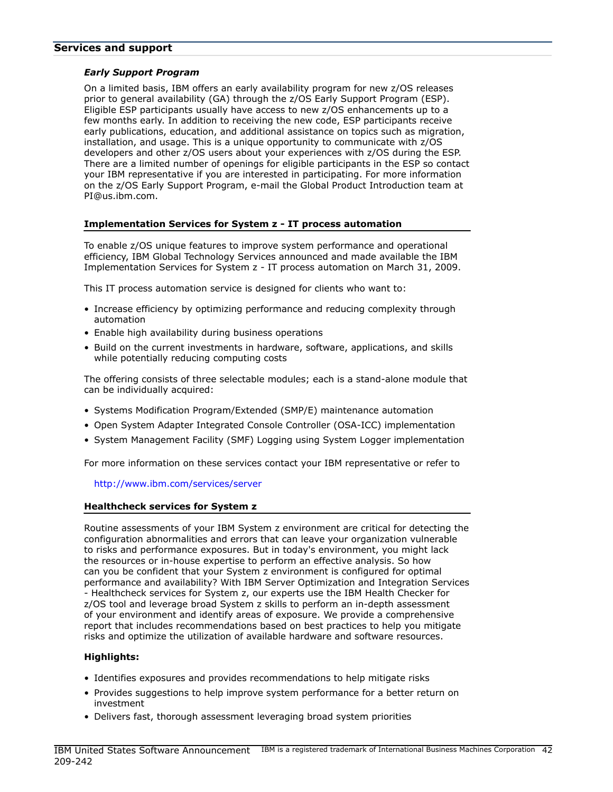#### <span id="page-41-0"></span>Services and support

## *Early Support Program*

On a limited basis, IBM offers an early availability program for new z/OS releases prior to general availability (GA) through the z/OS Early Support Program (ESP). Eligible ESP participants usually have access to new z/OS enhancements up to a few months early. In addition to receiving the new code, ESP participants receive early publications, education, and additional assistance on topics such as migration, installation, and usage. This is a unique opportunity to communicate with z/OS developers and other z/OS users about your experiences with z/OS during the ESP. There are a limited number of openings for eligible participants in the ESP so contact your IBM representative if you are interested in participating. For more information on the z/OS Early Support Program, e-mail the Global Product Introduction team at PI@us.ibm.com.

## Implementation Services for System z - IT process automation

To enable z/OS unique features to improve system performance and operational efficiency, IBM Global Technology Services announced and made available the IBM Implementation Services for System z - IT process automation on March 31, 2009.

This IT process automation service is designed for clients who want to:

- Increase efficiency by optimizing performance and reducing complexity through automation
- Enable high availability during business operations
- Build on the current investments in hardware, software, applications, and skills while potentially reducing computing costs

The offering consists of three selectable modules; each is a stand-alone module that can be individually acquired:

- Systems Modification Program/Extended (SMP/E) maintenance automation
- Open System Adapter Integrated Console Controller (OSA-ICC) implementation
- System Management Facility (SMF) Logging using System Logger implementation

For more information on these services contact your IBM representative or refer to

#### <http://www.ibm.com/services/server>

#### Healthcheck services for System z

Routine assessments of your IBM System z environment are critical for detecting the configuration abnormalities and errors that can leave your organization vulnerable to risks and performance exposures. But in today's environment, you might lack the resources or in-house expertise to perform an effective analysis. So how can you be confident that your System z environment is configured for optimal performance and availability? With IBM Server Optimization and Integration Services - Healthcheck services for System z, our experts use the IBM Health Checker for z/OS tool and leverage broad System z skills to perform an in-depth assessment of your environment and identify areas of exposure. We provide a comprehensive report that includes recommendations based on best practices to help you mitigate risks and optimize the utilization of available hardware and software resources.

## Highlights:

- Identifies exposures and provides recommendations to help mitigate risks
- Provides suggestions to help improve system performance for a better return on investment
- Delivers fast, thorough assessment leveraging broad system priorities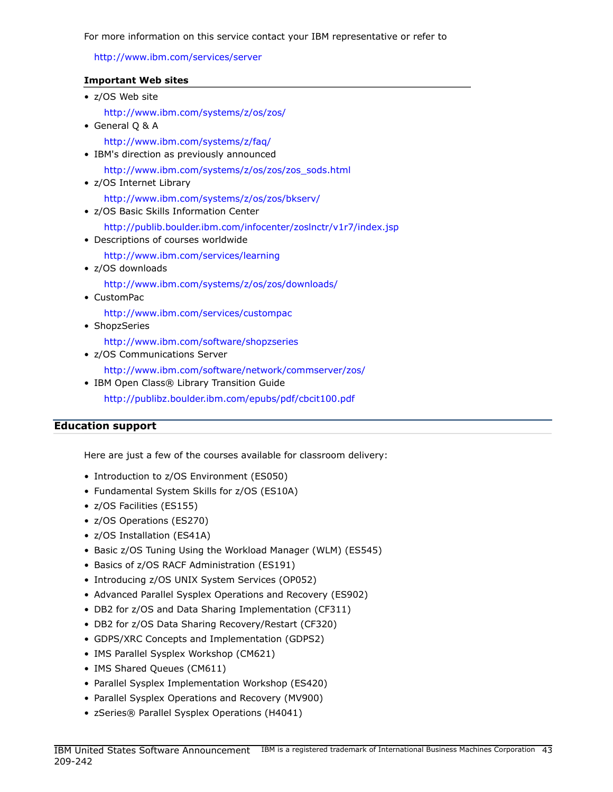For more information on this service contact your IBM representative or refer to

## <http://www.ibm.com/services/server>

## Important Web sites

| • z/OS Web site                                                                                         |
|---------------------------------------------------------------------------------------------------------|
| http://www.ibm.com/systems/z/os/zos/<br>• General Q & A                                                 |
| http://www.ibm.com/systems/z/faq/<br>• IBM's direction as previously announced                          |
| http://www.ibm.com/systems/z/os/zos/zos_sods.html<br>• z/OS Internet Library                            |
| http://www.ibm.com/systems/z/os/zos/bkserv/<br>• z/OS Basic Skills Information Center                   |
| http://publib.boulder.ibm.com/infocenter/zoslnctr/v1r7/index.jsp<br>• Descriptions of courses worldwide |
| http://www.ibm.com/services/learning<br>• z/OS downloads                                                |
| http://www.ibm.com/systems/z/os/zos/downloads/<br>$\bullet$ CustomPac                                   |
| http://www.ibm.com/services/custompac<br>• ShopzSeries                                                  |
| http://www.ibm.com/software/shopzseries<br>• z/OS Communications Server                                 |
| http://www.ibm.com/software/network/commserver/zos/<br>• IBM Open Class® Library Transition Guide       |
|                                                                                                         |

<http://publibz.boulder.ibm.com/epubs/pdf/cbcit100.pdf>

## <span id="page-42-0"></span>Education support

Here are just a few of the courses available for classroom delivery:

- Introduction to z/OS Environment (ES050)
- Fundamental System Skills for z/OS (ES10A)
- z/OS Facilities (ES155)
- z/OS Operations (ES270)
- z/OS Installation (ES41A)
- Basic z/OS Tuning Using the Workload Manager (WLM) (ES545)
- Basics of z/OS RACF Administration (ES191)
- Introducing z/OS UNIX System Services (OP052)
- Advanced Parallel Sysplex Operations and Recovery (ES902)
- DB2 for z/OS and Data Sharing Implementation (CF311)
- DB2 for z/OS Data Sharing Recovery/Restart (CF320)
- GDPS/XRC Concepts and Implementation (GDPS2)
- IMS Parallel Sysplex Workshop (CM621)
- IMS Shared Queues (CM611)
- Parallel Sysplex Implementation Workshop (ES420)
- Parallel Sysplex Operations and Recovery (MV900)
- zSeries® Parallel Sysplex Operations (H4041)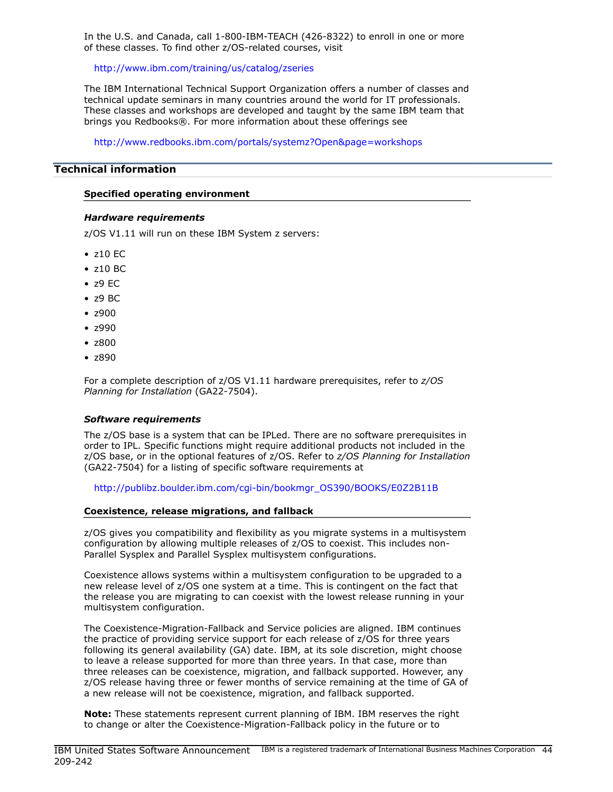In the U.S. and Canada, call 1-800-IBM-TEACH (426-8322) to enroll in one or more of these classes. To find other z/OS-related courses, visit

<http://www.ibm.com/training/us/catalog/zseries>

The IBM International Technical Support Organization offers a number of classes and technical update seminars in many countries around the world for IT professionals. These classes and workshops are developed and taught by the same IBM team that brings you Redbooks®. For more information about these offerings see

<http://www.redbooks.ibm.com/portals/systemz?Open&page=workshops>

## <span id="page-43-0"></span>Technical information

#### Specified operating environment

#### *Hardware requirements*

z/OS V1.11 will run on these IBM System z servers:

- z10 EC
- z10 BC
- z9 EC
- z9 BC
- z900
- z990
- z800
- z890

For a complete description of z/OS V1.11 hardware prerequisites, refer to *z/OS Planning for Installation* (GA22-7504).

## *Software requirements*

The z/OS base is a system that can be IPLed. There are no software prerequisites in order to IPL. Specific functions might require additional products not included in the z/OS base, or in the optional features of z/OS. Refer to *z/OS Planning for Installation* (GA22-7504) for a listing of specific software requirements at

[http://publibz.boulder.ibm.com/cgi-bin/bookmgr\\_OS390/BOOKS/E0Z2B11B](http://publibz.boulder.ibm.com/cgi-bin/bookmgr_OS390/BOOKS/E0Z2B11B)

#### Coexistence, release migrations, and fallback

z/OS gives you compatibility and flexibility as you migrate systems in a multisystem configuration by allowing multiple releases of z/OS to coexist. This includes non-Parallel Sysplex and Parallel Sysplex multisystem configurations.

Coexistence allows systems within a multisystem configuration to be upgraded to a new release level of z/OS one system at a time. This is contingent on the fact that the release you are migrating to can coexist with the lowest release running in your multisystem configuration.

The Coexistence-Migration-Fallback and Service policies are aligned. IBM continues the practice of providing service support for each release of z/OS for three years following its general availability (GA) date. IBM, at its sole discretion, might choose to leave a release supported for more than three years. In that case, more than three releases can be coexistence, migration, and fallback supported. However, any z/OS release having three or fewer months of service remaining at the time of GA of a new release will not be coexistence, migration, and fallback supported.

Note: These statements represent current planning of IBM. IBM reserves the right to change or alter the Coexistence-Migration-Fallback policy in the future or to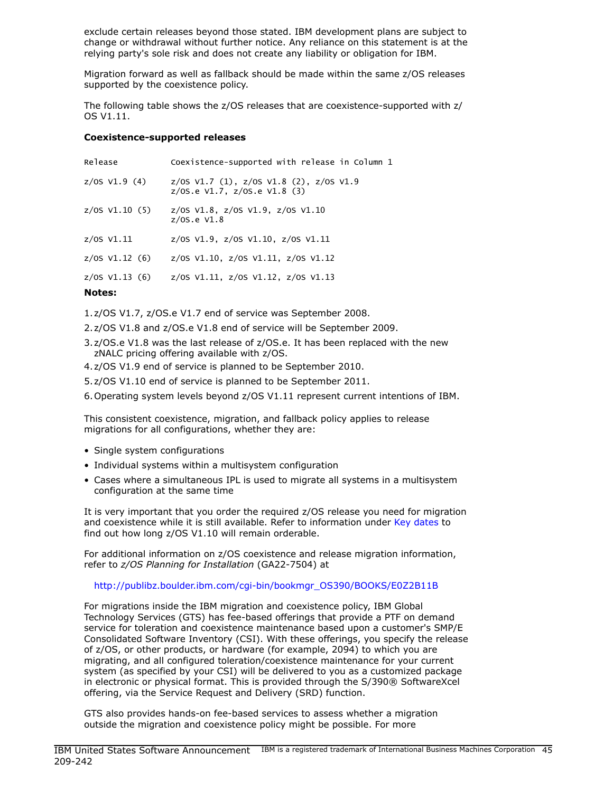exclude certain releases beyond those stated. IBM development plans are subject to change or withdrawal without further notice. Any reliance on this statement is at the relying party's sole risk and does not create any liability or obligation for IBM.

Migration forward as well as fallback should be made within the same z/OS releases supported by the coexistence policy.

The following table shows the z/OS releases that are coexistence-supported with z/ OS V1.11.

#### Coexistence-supported releases

| Notes:          |                                                                                     |
|-----------------|-------------------------------------------------------------------------------------|
| z/OS V1.13 (6)  | z/0S $V1.11$ , z/0S $V1.12$ , z/0S $V1.13$                                          |
| z/0S V1.12 (6)  | z/0S V1.10, z/0S V1.11, z/0S V1.12                                                  |
| $z/05$ $V1.11$  | $z/0$ S V1.9, $z/0$ S V1.10, $z/0$ S V1.11                                          |
| z/0S V1.10 (5)  | $z/05$ V1.8, $z/05$ V1.9, $z/05$ V1.10<br>$z/0$ S.e V1.8                            |
| $z/0s$ V1.9 (4) | $z/05$ V1.7 (1), $z/05$ V1.8 (2), $z/05$ V1.9<br>$z/0$ S.e V1.7, $z/0$ S.e V1.8 (3) |
| Release         | Coexistence-supported with release in Column 1                                      |

1.z/OS V1.7, z/OS.e V1.7 end of service was September 2008.

2.z/OS V1.8 and z/OS.e V1.8 end of service will be September 2009.

- 3.z/OS.e V1.8 was the last release of z/OS.e. It has been replaced with the new zNALC pricing offering available with z/OS.
- 4.z/OS V1.9 end of service is planned to be September 2010.
- 5.z/OS V1.10 end of service is planned to be September 2011.

6.Operating system levels beyond z/OS V1.11 represent current intentions of IBM.

This consistent coexistence, migration, and fallback policy applies to release migrations for all configurations, whether they are:

- Single system configurations
- Individual systems within a multisystem configuration
- Cases where a simultaneous IPL is used to migrate all systems in a multisystem configuration at the same time

It is very important that you order the required z/OS release you need for migration and coexistence while it is still available. Refer to information under [Key dates](#page-46-1) to find out how long z/OS V1.10 will remain orderable.

For additional information on z/OS coexistence and release migration information, refer to *z/OS Planning for Installation* (GA22-7504) at

#### [http://publibz.boulder.ibm.com/cgi-bin/bookmgr\\_OS390/BOOKS/E0Z2B11B](http://publibz.boulder.ibm.com/cgi-bin/bookmgr_OS390/BOOKS/E0Z2B11B)

For migrations inside the IBM migration and coexistence policy, IBM Global Technology Services (GTS) has fee-based offerings that provide a PTF on demand service for toleration and coexistence maintenance based upon a customer's SMP/E Consolidated Software Inventory (CSI). With these offerings, you specify the release of z/OS, or other products, or hardware (for example, 2094) to which you are migrating, and all configured toleration/coexistence maintenance for your current system (as specified by your CSI) will be delivered to you as a customized package in electronic or physical format. This is provided through the S/390® SoftwareXcel offering, via the Service Request and Delivery (SRD) function.

GTS also provides hands-on fee-based services to assess whether a migration outside the migration and coexistence policy might be possible. For more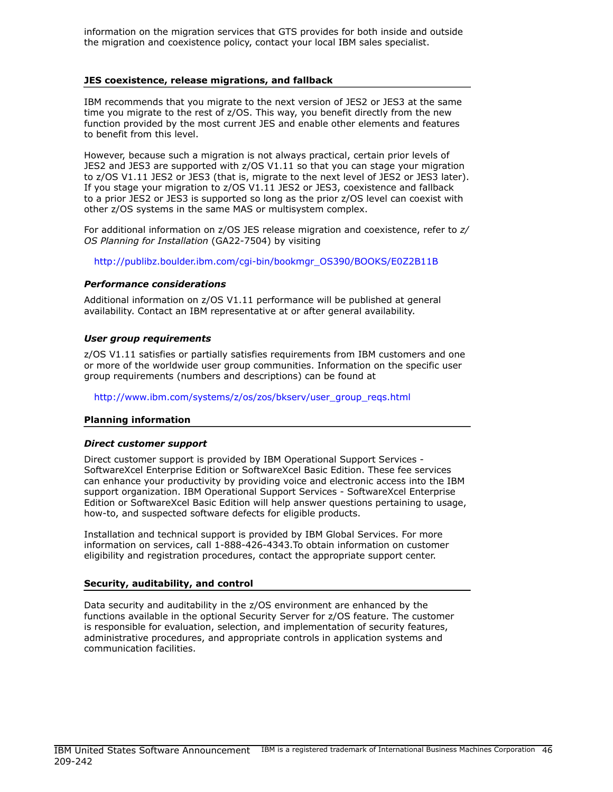information on the migration services that GTS provides for both inside and outside the migration and coexistence policy, contact your local IBM sales specialist.

#### JES coexistence, release migrations, and fallback

IBM recommends that you migrate to the next version of JES2 or JES3 at the same time you migrate to the rest of z/OS. This way, you benefit directly from the new function provided by the most current JES and enable other elements and features to benefit from this level.

However, because such a migration is not always practical, certain prior levels of JES2 and JES3 are supported with z/OS V1.11 so that you can stage your migration to z/OS V1.11 JES2 or JES3 (that is, migrate to the next level of JES2 or JES3 later). If you stage your migration to z/OS V1.11 JES2 or JES3, coexistence and fallback to a prior JES2 or JES3 is supported so long as the prior z/OS level can coexist with other z/OS systems in the same MAS or multisystem complex.

For additional information on z/OS JES release migration and coexistence, refer to *z/ OS Planning for Installation* (GA22-7504) by visiting

[http://publibz.boulder.ibm.com/cgi-bin/bookmgr\\_OS390/BOOKS/E0Z2B11B](http://publibz.boulder.ibm.com/cgi-bin/bookmgr_OS390/BOOKS/E0Z2B11B)

#### *Performance considerations*

Additional information on z/OS V1.11 performance will be published at general availability. Contact an IBM representative at or after general availability.

#### *User group requirements*

z/OS V1.11 satisfies or partially satisfies requirements from IBM customers and one or more of the worldwide user group communities. Information on the specific user group requirements (numbers and descriptions) can be found at

[http://www.ibm.com/systems/z/os/zos/bkserv/user\\_group\\_reqs.html](http://www.ibm.com/systems/z/os/zos/bkserv/user_group_reqs.html)

#### Planning information

#### *Direct customer support*

Direct customer support is provided by IBM Operational Support Services - SoftwareXcel Enterprise Edition or SoftwareXcel Basic Edition. These fee services can enhance your productivity by providing voice and electronic access into the IBM support organization. IBM Operational Support Services - SoftwareXcel Enterprise Edition or SoftwareXcel Basic Edition will help answer questions pertaining to usage, how-to, and suspected software defects for eligible products.

Installation and technical support is provided by IBM Global Services. For more information on services, call 1-888-426-4343.To obtain information on customer eligibility and registration procedures, contact the appropriate support center.

#### Security, auditability, and control

Data security and auditability in the z/OS environment are enhanced by the functions available in the optional Security Server for z/OS feature. The customer is responsible for evaluation, selection, and implementation of security features, administrative procedures, and appropriate controls in application systems and communication facilities.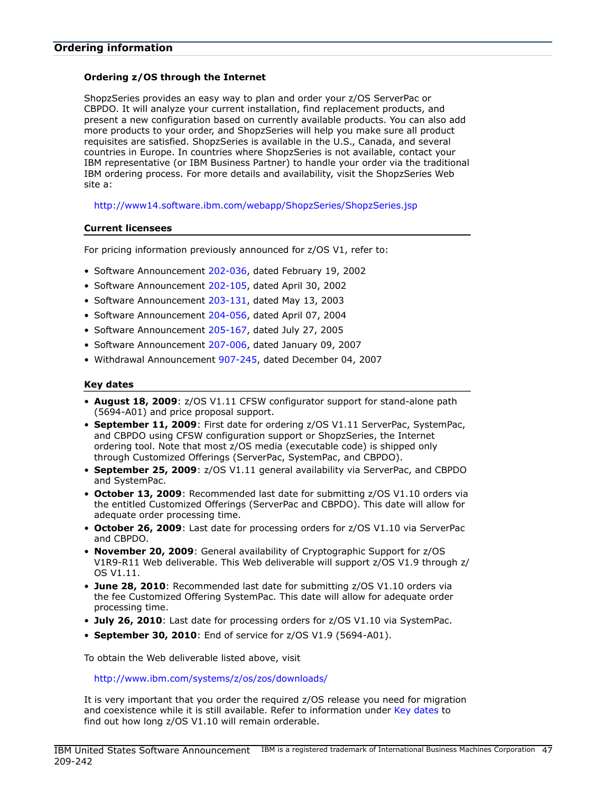## <span id="page-46-0"></span>Ordering z/OS through the Internet

ShopzSeries provides an easy way to plan and order your z/OS ServerPac or CBPDO. It will analyze your current installation, find replacement products, and present a new configuration based on currently available products. You can also add more products to your order, and ShopzSeries will help you make sure all product requisites are satisfied. ShopzSeries is available in the U.S., Canada, and several countries in Europe. In countries where ShopzSeries is not available, contact your IBM representative (or IBM Business Partner) to handle your order via the traditional IBM ordering process. For more details and availability, visit the ShopzSeries Web site a:

<http://www14.software.ibm.com/webapp/ShopzSeries/ShopzSeries.jsp>

## Current licensees

For pricing information previously announced for z/OS V1, refer to:

- Software Announcement [202-036,](http://www.ibm.com/common/ssi/cgi-bin/ssialias?infotype=an&subtype=ca&appname=gpateam&supplier=897&letternum=ENUS202-036) dated February 19, 2002
- Software Announcement [202-105,](http://www.ibm.com/common/ssi/cgi-bin/ssialias?infotype=an&subtype=ca&appname=gpateam&supplier=897&letternum=ENUS202-105) dated April 30, 2002
- Software Announcement [203-131,](http://www.ibm.com/common/ssi/cgi-bin/ssialias?infotype=an&subtype=ca&appname=gpateam&supplier=897&letternum=ENUS203-131) dated May 13, 2003
- Software Announcement [204-056,](http://www.ibm.com/common/ssi/cgi-bin/ssialias?infotype=an&subtype=ca&appname=gpateam&supplier=897&letternum=ENUS204-056) dated April 07, 2004
- Software Announcement [205-167,](http://www.ibm.com/common/ssi/cgi-bin/ssialias?infotype=an&subtype=ca&appname=gpateam&supplier=897&letternum=ENUS205-167) dated July 27, 2005
- Software Announcement [207-006,](http://www.ibm.com/common/ssi/cgi-bin/ssialias?infotype=an&subtype=ca&appname=gpateam&supplier=897&letternum=ENUS207-006) dated January 09, 2007
- Withdrawal Announcement [907-245,](http://www.ibm.com/common/ssi/cgi-bin/ssialias?infotype=an&subtype=ca&appname=gpateam&supplier=897&letternum=ENUS907-245) dated December 04, 2007

#### <span id="page-46-1"></span>Key dates

- August 18, 2009:  $z/OS$  V1.11 CFSW configurator support for stand-alone path (5694-A01) and price proposal support.
- September 11, 2009: First date for ordering z/OS V1.11 ServerPac, SystemPac, and CBPDO using CFSW configuration support or ShopzSeries, the Internet ordering tool. Note that most z/OS media (executable code) is shipped only through Customized Offerings (ServerPac, SystemPac, and CBPDO).
- September 25, 2009:  $z/OS$  V1.11 general availability via ServerPac, and CBPDO and SystemPac.
- October 13, 2009: Recommended last date for submitting z/OS V1.10 orders via the entitled Customized Offerings (ServerPac and CBPDO). This date will allow for adequate order processing time.
- October 26, 2009: Last date for processing orders for z/OS V1.10 via ServerPac and CBPDO.
- November 20, 2009: General availability of Cryptographic Support for  $z/OS$ V1R9-R11 Web deliverable. This Web deliverable will support z/OS V1.9 through z/ OS V1.11.
- June 28, 2010: Recommended last date for submitting z/OS V1.10 orders via the fee Customized Offering SystemPac. This date will allow for adequate order processing time.
- July 26, 2010: Last date for processing orders for z/OS V1.10 via SystemPac.
- September 30, 2010: End of service for z/OS V1.9 (5694-A01).

To obtain the Web deliverable listed above, visit

<http://www.ibm.com/systems/z/os/zos/downloads/>

It is very important that you order the required z/OS release you need for migration and coexistence while it is still available. Refer to information under [Key dates](#page-46-1) to find out how long z/OS V1.10 will remain orderable.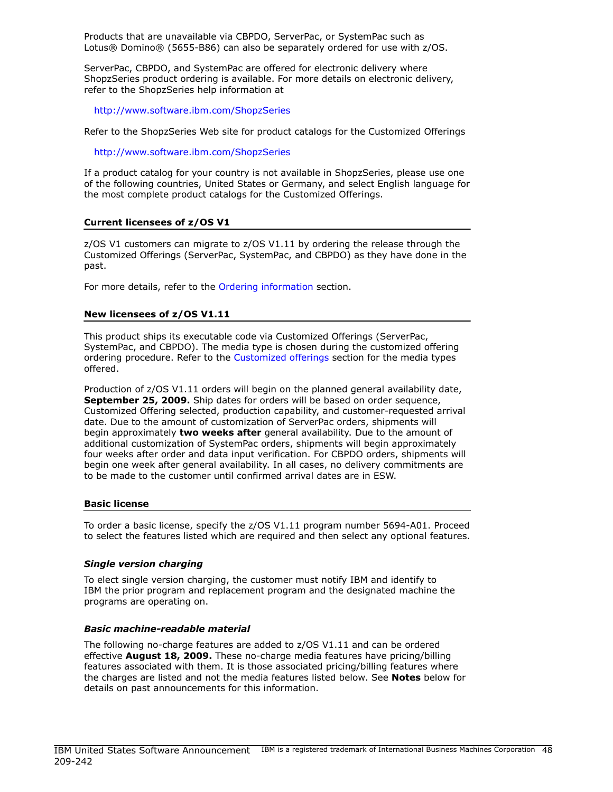Products that are unavailable via CBPDO, ServerPac, or SystemPac such as Lotus® Domino® (5655-B86) can also be separately ordered for use with z/OS.

ServerPac, CBPDO, and SystemPac are offered for electronic delivery where ShopzSeries product ordering is available. For more details on electronic delivery, refer to the ShopzSeries help information at

<http://www.software.ibm.com/ShopzSeries>

Refer to the ShopzSeries Web site for product catalogs for the Customized Offerings

<http://www.software.ibm.com/ShopzSeries>

If a product catalog for your country is not available in ShopzSeries, please use one of the following countries, United States or Germany, and select English language for the most complete product catalogs for the Customized Offerings.

## Current licensees of z/OS V1

z/OS V1 customers can migrate to z/OS V1.11 by ordering the release through the Customized Offerings (ServerPac, SystemPac, and CBPDO) as they have done in the past.

For more details, refer to the [Ordering information](#page-46-0) section.

## New licensees of z/OS V1.11

This product ships its executable code via Customized Offerings (ServerPac, SystemPac, and CBPDO). The media type is chosen during the customized offering ordering procedure. Refer to the [Customized offerings](#page-53-0) section for the media types offered.

Production of z/OS V1.11 orders will begin on the planned general availability date, September 25, 2009. Ship dates for orders will be based on order sequence, Customized Offering selected, production capability, and customer-requested arrival date. Due to the amount of customization of ServerPac orders, shipments will begin approximately two weeks after general availability. Due to the amount of additional customization of SystemPac orders, shipments will begin approximately four weeks after order and data input verification. For CBPDO orders, shipments will begin one week after general availability. In all cases, no delivery commitments are to be made to the customer until confirmed arrival dates are in ESW.

#### Basic license

To order a basic license, specify the z/OS V1.11 program number 5694-A01. Proceed to select the features listed which are required and then select any optional features.

#### *Single version charging*

To elect single version charging, the customer must notify IBM and identify to IBM the prior program and replacement program and the designated machine the programs are operating on.

#### *Basic machine-readable material*

The following no-charge features are added to z/OS V1.11 and can be ordered effective **August 18, 2009.** These no-charge media features have pricing/billing features associated with them. It is those associated pricing/billing features where the charges are listed and not the media features listed below. See Notes below for details on past announcements for this information.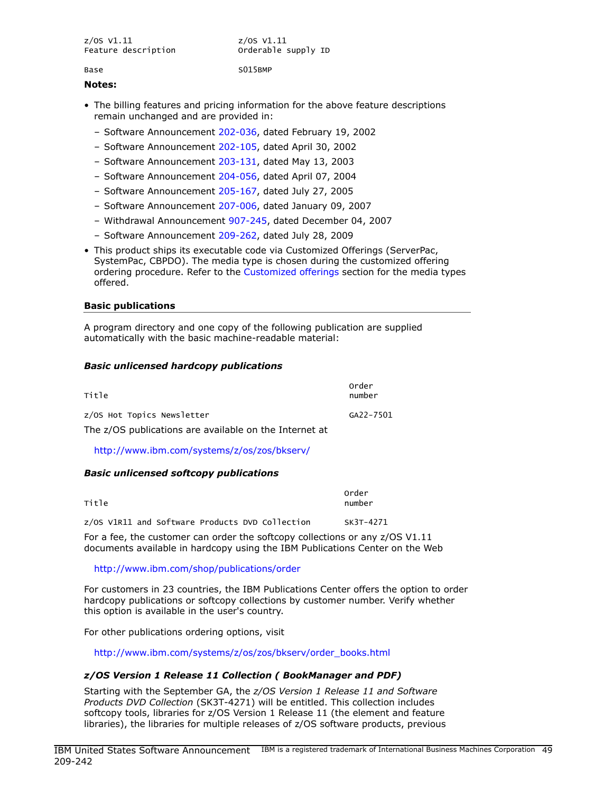| $z/0S$ V1.11        | z/OS V1.11          |
|---------------------|---------------------|
| Feature description | Orderable supply ID |
|                     |                     |

Base S015BMP

#### Notes:

- The billing features and pricing information for the above feature descriptions remain unchanged and are provided in:
	- Software Announcement [202-036,](http://www.ibm.com/common/ssi/cgi-bin/ssialias?infotype=an&subtype=ca&appname=gpateam&supplier=897&letternum=ENUS202-036) dated February 19, 2002
	- Software Announcement [202-105,](http://www.ibm.com/common/ssi/cgi-bin/ssialias?infotype=an&subtype=ca&appname=gpateam&supplier=897&letternum=ENUS202-105) dated April 30, 2002
	- Software Announcement [203-131,](http://www.ibm.com/common/ssi/cgi-bin/ssialias?infotype=an&subtype=ca&appname=gpateam&supplier=897&letternum=ENUS203-131) dated May 13, 2003
	- Software Announcement [204-056,](http://www.ibm.com/common/ssi/cgi-bin/ssialias?infotype=an&subtype=ca&appname=gpateam&supplier=897&letternum=ENUS204-056) dated April 07, 2004
	- Software Announcement [205-167,](http://www.ibm.com/common/ssi/cgi-bin/ssialias?infotype=an&subtype=ca&appname=gpateam&supplier=897&letternum=ENUS205-167) dated July 27, 2005
	- Software Announcement [207-006,](http://www.ibm.com/common/ssi/cgi-bin/ssialias?infotype=an&subtype=ca&appname=gpateam&supplier=897&letternum=ENUS207-006) dated January 09, 2007
	- Withdrawal Announcement [907-245,](http://www.ibm.com/common/ssi/cgi-bin/ssialias?infotype=an&subtype=ca&appname=gpateam&supplier=897&letternum=ENUS907-245) dated December 04, 2007
	- Software Announcement [209-262,](http://www.ibm.com/common/ssi/cgi-bin/ssialias?infotype=an&subtype=ca&appname=gpateam&supplier=897&letternum=ENUS209-262) dated July 28, 2009
- This product ships its executable code via Customized Offerings (ServerPac, SystemPac, CBPDO). The media type is chosen during the customized offering ordering procedure. Refer to the [Customized offerings](#page-53-0) section for the media types offered.

## Basic publications

A program directory and one copy of the following publication are supplied automatically with the basic machine-readable material:

## *Basic unlicensed hardcopy publications*

| Order<br>number |
|-----------------|
| GA22-7501       |
|                 |
|                 |

<http://www.ibm.com/systems/z/os/zos/bkserv/>

## *Basic unlicensed softcopy publications*

| Title |  |                                                 |  |  | Order<br>number |  |
|-------|--|-------------------------------------------------|--|--|-----------------|--|
|       |  | z/OS V1R11 and Software Products DVD Collection |  |  | SK3T-4271       |  |

For a fee, the customer can order the softcopy collections or any z/OS V1.11 documents available in hardcopy using the IBM Publications Center on the Web

## <http://www.ibm.com/shop/publications/order>

For customers in 23 countries, the IBM Publications Center offers the option to order hardcopy publications or softcopy collections by customer number. Verify whether this option is available in the user's country.

For other publications ordering options, visit

[http://www.ibm.com/systems/z/os/zos/bkserv/order\\_books.html](http://www.ibm.com/systems/z/os/zos/bkserv/order_books.html)

## *z/OS Version 1 Release 11 Collection ( BookManager and PDF)*

Starting with the September GA, the *z/OS Version 1 Release 11 and Software Products DVD Collection* (SK3T-4271) will be entitled. This collection includes softcopy tools, libraries for z/OS Version 1 Release 11 (the element and feature libraries), the libraries for multiple releases of z/OS software products, previous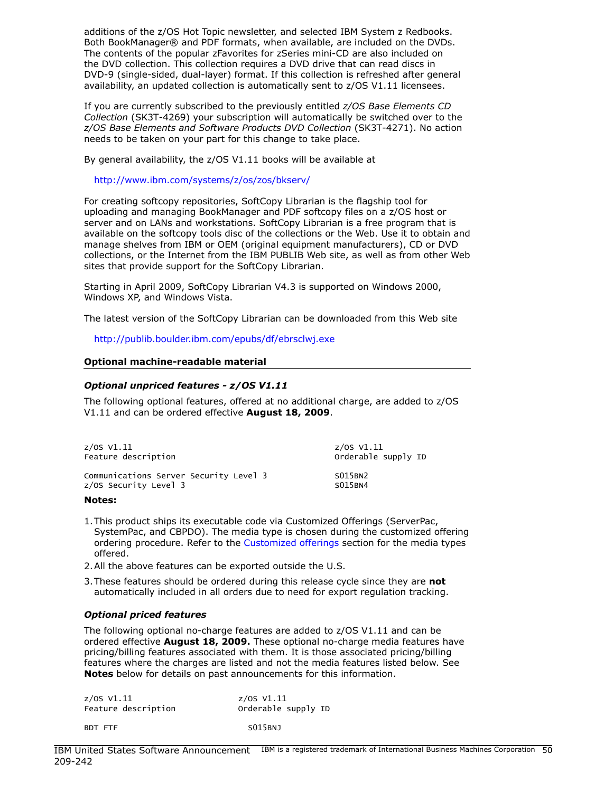additions of the z/OS Hot Topic newsletter, and selected IBM System z Redbooks. Both BookManager® and PDF formats, when available, are included on the DVDs. The contents of the popular zFavorites for zSeries mini-CD are also included on the DVD collection. This collection requires a DVD drive that can read discs in DVD-9 (single-sided, dual-layer) format. If this collection is refreshed after general availability, an updated collection is automatically sent to z/OS V1.11 licensees.

If you are currently subscribed to the previously entitled *z/OS Base Elements CD Collection* (SK3T-4269) your subscription will automatically be switched over to the *z/OS Base Elements and Software Products DVD Collection* (SK3T-4271). No action needs to be taken on your part for this change to take place.

By general availability, the z/OS V1.11 books will be available at

<http://www.ibm.com/systems/z/os/zos/bkserv/>

For creating softcopy repositories, SoftCopy Librarian is the flagship tool for uploading and managing BookManager and PDF softcopy files on a z/OS host or server and on LANs and workstations. SoftCopy Librarian is a free program that is available on the softcopy tools disc of the collections or the Web. Use it to obtain and manage shelves from IBM or OEM (original equipment manufacturers), CD or DVD collections, or the Internet from the IBM PUBLIB Web site, as well as from other Web sites that provide support for the SoftCopy Librarian.

Starting in April 2009, SoftCopy Librarian V4.3 is supported on Windows 2000, Windows XP, and Windows Vista.

The latest version of the SoftCopy Librarian can be downloaded from this Web site

<http://publib.boulder.ibm.com/epubs/df/ebrsclwj.exe>

## Optional machine-readable material

## *Optional unpriced features - z/OS V1.11*

The following optional features, offered at no additional charge, are added to z/OS V1.11 and can be ordered effective August 18, 2009.

| $z/\text{OS}$ V1.11                    | $z/05$ V1.11        |
|----------------------------------------|---------------------|
| Feature description                    | Orderable supply ID |
| Communications Server Security Level 3 | S015BN2             |
| z/OS Security Level 3                  | S015BN4             |

#### Notes:

- 1.This product ships its executable code via Customized Offerings (ServerPac, SystemPac, and CBPDO). The media type is chosen during the customized offering ordering procedure. Refer to the [Customized offerings](#page-53-0) section for the media types offered.
- 2.All the above features can be exported outside the U.S.
- 3. These features should be ordered during this release cycle since they are not automatically included in all orders due to need for export regulation tracking.

## *Optional priced features*

The following optional no-charge features are added to z/OS V1.11 and can be ordered effective **August 18, 2009.** These optional no-charge media features have pricing/billing features associated with them. It is those associated pricing/billing features where the charges are listed and not the media features listed below. See Notes below for details on past announcements for this information.

| z/OS V1.11          | z/OS V1.11          |  |  |
|---------------------|---------------------|--|--|
| Feature description | Orderable supply ID |  |  |
| BDT FTF             | SO15BNJ             |  |  |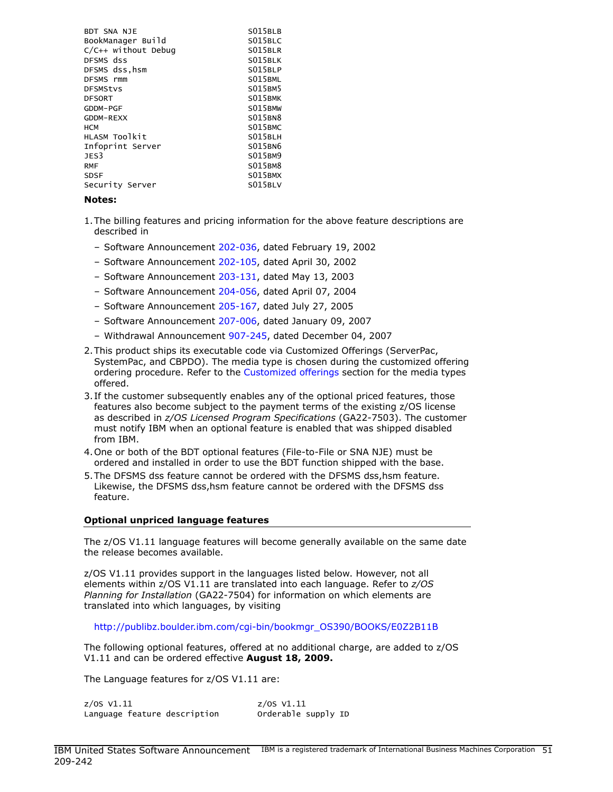| BDT SNA NJE<br>BookManager Build<br>$C/C++$ without Debug<br>DFSMS dss<br>DFSMS dss, hsm<br>DFSMS rmm<br><b>DFSMStvs</b><br><b>DFSORT</b><br>GDDM-PGF<br>GDDM-REXX<br><b>HCM</b><br>HLASM TOO kit<br>Infoprint Server<br>JES3 | S015BLB<br>S015BLC<br>S015BLR<br>S015BLK<br>S015BLP<br>S015BML<br>S015BM5<br>S015BMK<br>S015BMW<br>S015BN8<br>S015BMC<br>S015BLH<br>S015BN6<br>S015BM9 |
|-------------------------------------------------------------------------------------------------------------------------------------------------------------------------------------------------------------------------------|--------------------------------------------------------------------------------------------------------------------------------------------------------|
|                                                                                                                                                                                                                               |                                                                                                                                                        |
| <b>RMF</b>                                                                                                                                                                                                                    | S015BM8                                                                                                                                                |
| SDSF                                                                                                                                                                                                                          | S015BMX                                                                                                                                                |
| Security Server                                                                                                                                                                                                               | S015BLV                                                                                                                                                |

#### Notes:

- 1.The billing features and pricing information for the above feature descriptions are described in
	- Software Announcement [202-036,](http://www.ibm.com/common/ssi/cgi-bin/ssialias?infotype=an&subtype=ca&appname=gpateam&supplier=897&letternum=ENUS202-036) dated February 19, 2002
	- Software Announcement [202-105,](http://www.ibm.com/common/ssi/cgi-bin/ssialias?infotype=an&subtype=ca&appname=gpateam&supplier=897&letternum=ENUS202-105) dated April 30, 2002
	- Software Announcement [203-131,](http://www.ibm.com/common/ssi/cgi-bin/ssialias?infotype=an&subtype=ca&appname=gpateam&supplier=897&letternum=ENUS203-131) dated May 13, 2003
	- Software Announcement [204-056,](http://www.ibm.com/common/ssi/cgi-bin/ssialias?infotype=an&subtype=ca&appname=gpateam&supplier=897&letternum=ENUS204-056) dated April 07, 2004
	- Software Announcement [205-167,](http://www.ibm.com/common/ssi/cgi-bin/ssialias?infotype=an&subtype=ca&appname=gpateam&supplier=897&letternum=ENUS205-167) dated July 27, 2005
	- Software Announcement [207-006,](http://www.ibm.com/common/ssi/cgi-bin/ssialias?infotype=an&subtype=ca&appname=gpateam&supplier=897&letternum=ENUS207-006) dated January 09, 2007
	- Withdrawal Announcement [907-245,](http://www.ibm.com/common/ssi/cgi-bin/ssialias?infotype=an&subtype=ca&appname=gpateam&supplier=897&letternum=ENUS907-245) dated December 04, 2007
- 2.This product ships its executable code via Customized Offerings (ServerPac, SystemPac, and CBPDO). The media type is chosen during the customized offering ordering procedure. Refer to the [Customized offerings](#page-53-0) section for the media types offered.
- 3. If the customer subsequently enables any of the optional priced features, those features also become subject to the payment terms of the existing z/OS license as described in *z/OS Licensed Program Specifications* (GA22-7503). The customer must notify IBM when an optional feature is enabled that was shipped disabled from IBM.
- 4.One or both of the BDT optional features (File-to-File or SNA NJE) must be ordered and installed in order to use the BDT function shipped with the base.
- 5.The DFSMS dss feature cannot be ordered with the DFSMS dss,hsm feature. Likewise, the DFSMS dss,hsm feature cannot be ordered with the DFSMS dss feature.

#### Optional unpriced language features

The z/OS V1.11 language features will become generally available on the same date the release becomes available.

z/OS V1.11 provides support in the languages listed below. However, not all elements within z/OS V1.11 are translated into each language. Refer to *z/OS Planning for Installation* (GA22-7504) for information on which elements are translated into which languages, by visiting

[http://publibz.boulder.ibm.com/cgi-bin/bookmgr\\_OS390/BOOKS/E0Z2B11B](http://publibz.boulder.ibm.com/cgi-bin/bookmgr_OS390/BOOKS/E0Z2B11B)

The following optional features, offered at no additional charge, are added to z/OS V1.11 and can be ordered effective August 18, 2009.

The Language features for z/OS V1.11 are:

| z/OS V1.11                   | z/OS V1.11          |
|------------------------------|---------------------|
| Language feature description | Orderable supply ID |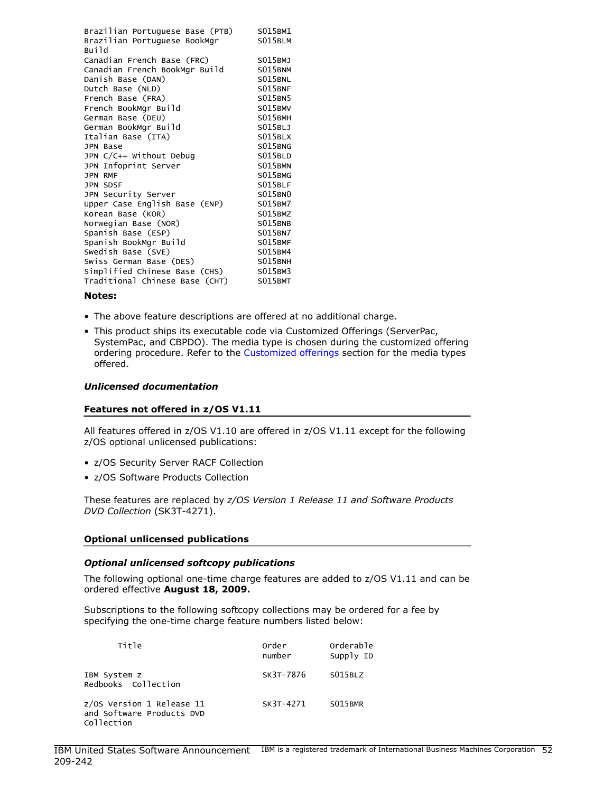| Brazilian Portuguese Base (PTB)       | S015BM1<br>S015BLM |
|---------------------------------------|--------------------|
| Brazilian Portuguese BookMgr<br>Build |                    |
| Canadian French Base (FRC)            | S015BMJ            |
| Canadian French BookMgr Build         | S015BNM            |
| Danish Base (DAN)                     | S015BNL            |
| Dutch Base (NLD)                      | S015BNF            |
| French Base (FRA)                     | S015BN5            |
| French BookMgr Build                  | S015BMV            |
| German Base (DEU)                     | S015BMH            |
| German BookMgr Build                  | S015BLJ            |
| Italian Base (ITA)                    | S015BLX            |
| <b>JPN Base</b>                       | S015BNG            |
| JPN C/C++ Without Debug               | S015BLD            |
| JPN Infoprint Server                  | S015BMN            |
| <b>JPN RMF</b>                        | S015BMG            |
| JPN SDSF                              | S015BLF            |
| JPN Security Server                   | <b>S015BN0</b>     |
| Upper Case English Base (ENP)         | S015BM7            |
| Korean Base (KOR)                     | S015BMZ            |
| Norwegian Base (NOR)                  | S015BNB            |
| Spanish Base (ESP)                    | S015BN7            |
| Spanish BookMgr Build                 | S015BMF            |
| Swedish Base (SVE)                    | S015BM4            |
| Swiss German Base (DES)               | S015BNH            |
| Simplified Chinese Base (CHS)         | S015BM3            |
| Traditional Chinese Base (CHT)        | S015BMT            |

#### Notes:

- The above feature descriptions are offered at no additional charge.
- This product ships its executable code via Customized Offerings (ServerPac, SystemPac, and CBPDO). The media type is chosen during the customized offering ordering procedure. Refer to the [Customized offerings](#page-53-0) section for the media types offered.

#### *Unlicensed documentation*

#### Features not offered in z/OS V1.11

All features offered in z/OS V1.10 are offered in z/OS V1.11 except for the following z/OS optional unlicensed publications:

- z/OS Security Server RACF Collection
- z/OS Software Products Collection

These features are replaced by *z/OS Version 1 Release 11 and Software Products DVD Collection* (SK3T-4271).

#### Optional unlicensed publications

## *Optional unlicensed softcopy publications*

The following optional one-time charge features are added to z/OS V1.11 and can be ordered effective August 18, 2009.

Subscriptions to the following softcopy collections may be ordered for a fee by specifying the one-time charge feature numbers listed below:

| Title                                                                | <b>order</b><br>number | Orderable<br>Supply ID |
|----------------------------------------------------------------------|------------------------|------------------------|
| IBM System z<br>Redbooks Collection                                  | SK3T-7876              | S015BLZ                |
| z/OS Version 1 Release 11<br>and Software Products DVD<br>Collection | SK3T-4271              | S015BMR                |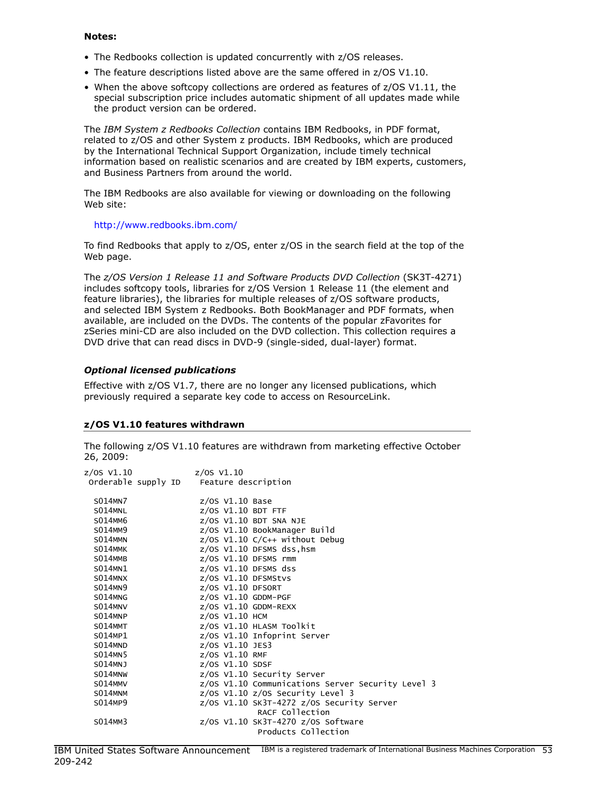#### Notes:

- The Redbooks collection is updated concurrently with z/OS releases.
- The feature descriptions listed above are the same offered in z/OS V1.10.
- When the above softcopy collections are ordered as features of z/OS V1.11, the special subscription price includes automatic shipment of all updates made while the product version can be ordered.

The *IBM System z Redbooks Collection* contains IBM Redbooks, in PDF format, related to z/OS and other System z products. IBM Redbooks, which are produced by the International Technical Support Organization, include timely technical information based on realistic scenarios and are created by IBM experts, customers, and Business Partners from around the world.

The IBM Redbooks are also available for viewing or downloading on the following Web site:

#### <http://www.redbooks.ibm.com/>

To find Redbooks that apply to z/OS, enter z/OS in the search field at the top of the Web page.

The *z/OS Version 1 Release 11 and Software Products DVD Collection* (SK3T-4271) includes softcopy tools, libraries for z/OS Version 1 Release 11 (the element and feature libraries), the libraries for multiple releases of z/OS software products, and selected IBM System z Redbooks. Both BookManager and PDF formats, when available, are included on the DVDs. The contents of the popular zFavorites for zSeries mini-CD are also included on the DVD collection. This collection requires a DVD drive that can read discs in DVD-9 (single-sided, dual-layer) format.

## *Optional licensed publications*

Effective with z/OS V1.7, there are no longer any licensed publications, which previously required a separate key code to access on ResourceLink.

## z/OS V1.10 features withdrawn

The following z/OS V1.10 features are withdrawn from marketing effective October 26, 2009:

| z/OS V1.10 | z/OS V1.10                              |                            |                                                   |
|------------|-----------------------------------------|----------------------------|---------------------------------------------------|
|            | Orderable supply ID Feature description |                            |                                                   |
|            |                                         |                            |                                                   |
| S014MN7    |                                         | $z/OS$ V1.10 Base          |                                                   |
| S014MNL    |                                         | $z/0S$ V1.10 BDT FTF       |                                                   |
| S014MM6    |                                         | $z/OS$ V1.10 BDT SNA NJE   |                                                   |
| S014MM9    |                                         |                            | z/OS V1.10 BookManager Build                      |
| S014MMN    |                                         |                            | $z/0S$ V1.10 C/C++ without Debug                  |
| S014MMK    |                                         |                            | z/OS V1.10 DFSMS dss, hsm                         |
| S014MMB    |                                         | $z/OS$ V1.10 DFSMS rmm     |                                                   |
| S014MN1    |                                         | $z/OS$ V1.10 DFSMS dss     |                                                   |
| S014MNX    |                                         | $z/0S$ V1.10 DFSMStvs      |                                                   |
| S014MN9    |                                         | $z$ /0S V1.10 DFSORT       |                                                   |
| S014MNG    |                                         | $z$ /OS V1.10 GDDM-PGF     |                                                   |
| S014MNV    |                                         | $z$ /OS V $1.10$ GDDM-REXX |                                                   |
| S014MNP    |                                         | z/0S V1.10 HCM             |                                                   |
| S014MMT    |                                         |                            | z/OS V1.10 HLASM Toolkit                          |
| S014MP1    |                                         |                            | z/0S V1.10 Infoprint Server                       |
| S014MND    |                                         | $z/0S$ V1.10 JES3          |                                                   |
| S014MN5    |                                         | z/OS V1.10 RMF             |                                                   |
| S014MNJ    |                                         | $z$ /0S $V1.10$ SDSF       |                                                   |
| S014MNW    |                                         |                            | z/0S V1.10 Security Server                        |
| S014MMV    |                                         |                            | z/OS V1.10 Communications Server Security Level 3 |
| S014MNM    |                                         |                            | $z/0$ S V1.10 $z/0$ S Security Level 3            |
| S014MP9    |                                         |                            | z/0S V1.10 SK3T-4272 z/0S Security Server         |
|            |                                         |                            | RACF Collection                                   |
| S014MM3    |                                         |                            | $z/0$ S V1.10 SK3T-4270 $z/0$ S Software          |
|            |                                         |                            | Products Collection                               |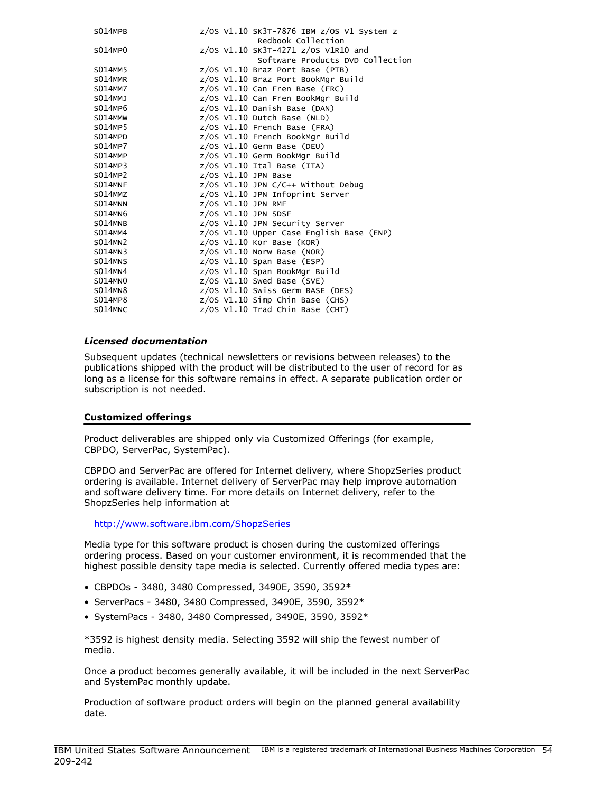| S014MPB |  | z/0S V1.10 SK3T-7876 IBM z/0S V1 System z<br>Redbook Collection |
|---------|--|-----------------------------------------------------------------|
| S014MP0 |  | z/0S V1.10 SK3T-4271 z/0S V1R10 and                             |
|         |  | Software Products DVD Collection                                |
| S014MM5 |  | $z/0S$ V1.10 Braz Port Base (PTB)                               |
| S014MMR |  | z/OS V1.10 Braz Port BookMgr Build                              |
| S014MM7 |  | $z/0S$ V1.10 Can Fren Base (FRC)                                |
| S014MMJ |  | z/OS V1.10 Can Fren BookMgr Build                               |
| S014MP6 |  | $z/0S$ V1.10 Danish Base (DAN)                                  |
| S014MMW |  | $z/0$ S V1.10 Dutch Base (NLD)                                  |
| S014MP5 |  | $z/0S$ V1.10 French Base (FRA)                                  |
| S014MPD |  | z/OS V1.10 French BookMgr Build                                 |
| S014MP7 |  | $z/0S$ V1.10 Germ Base (DEU)                                    |
| S014MMP |  | z/OS V1.10 Germ BookMgr Build                                   |
| S014MP3 |  | $z/0S$ V1.10 Ital Base (ITA)                                    |
| S014MP2 |  | $z/0S$ V1.10 JPN Base                                           |
| S014MNF |  | z/OS V1.10 JPN C/C++ Without Debug                              |
| S014MMZ |  | z/OS V1.10 JPN Infoprint Server                                 |
| S014MNN |  | $z/OS$ V1.10 JPN RMF                                            |
| S014MN6 |  | z/0S V1.10 JPN SDSF                                             |
| S014MNB |  | z/OS V1.10 JPN Security Server                                  |
| S014MM4 |  | z/OS V1.10 Upper Case English Base (ENP)                        |
| S014MN2 |  | $z/0$ S V1.10 Kor Base (KOR)                                    |
| S014MN3 |  | $z/OS$ V1.10 Norw Base (NOR)                                    |
| S014MNS |  | $z/0$ S V1.10 Span Base (ESP)                                   |
| S014MN4 |  | z/OS V1.10 Span BookMgr Build                                   |
| S014MN0 |  | $z/0$ S V1.10 Swed Base (SVE)                                   |
| S014MN8 |  | z/OS V1.10 Swiss Germ BASE (DES)                                |
| S014MP8 |  | $z/OS$ V1.10 Simp Chin Base (CHS)                               |
| S014MNC |  | $z/0S$ V1.10 Trad Chin Base (CHT)                               |
|         |  |                                                                 |

## *Licensed documentation*

Subsequent updates (technical newsletters or revisions between releases) to the publications shipped with the product will be distributed to the user of record for as long as a license for this software remains in effect. A separate publication order or subscription is not needed.

#### <span id="page-53-0"></span>Customized offerings

Product deliverables are shipped only via Customized Offerings (for example, CBPDO, ServerPac, SystemPac).

CBPDO and ServerPac are offered for Internet delivery, where ShopzSeries product ordering is available. Internet delivery of ServerPac may help improve automation and software delivery time. For more details on Internet delivery, refer to the ShopzSeries help information at

#### <http://www.software.ibm.com/ShopzSeries>

Media type for this software product is chosen during the customized offerings ordering process. Based on your customer environment, it is recommended that the highest possible density tape media is selected. Currently offered media types are:

- CBPDOs 3480, 3480 Compressed, 3490E, 3590, 3592\*
- ServerPacs 3480, 3480 Compressed, 3490E, 3590, 3592\*
- SystemPacs 3480, 3480 Compressed, 3490E, 3590, 3592\*

\*3592 is highest density media. Selecting 3592 will ship the fewest number of media.

Once a product becomes generally available, it will be included in the next ServerPac and SystemPac monthly update.

Production of software product orders will begin on the planned general availability date.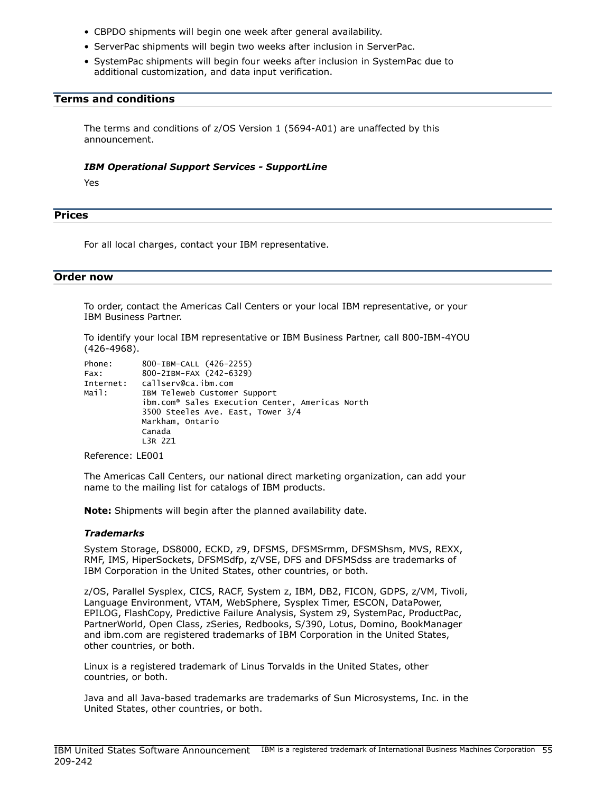- CBPDO shipments will begin one week after general availability.
- ServerPac shipments will begin two weeks after inclusion in ServerPac.
- SystemPac shipments will begin four weeks after inclusion in SystemPac due to additional customization, and data input verification.

## <span id="page-54-0"></span>Terms and conditions

The terms and conditions of z/OS Version 1 (5694-A01) are unaffected by this announcement.

#### *IBM Operational Support Services - SupportLine*

Yes

## <span id="page-54-1"></span>**Prices**

For all local charges, contact your IBM representative.

#### <span id="page-54-2"></span>Order now

To order, contact the Americas Call Centers or your local IBM representative, or your IBM Business Partner.

To identify your local IBM representative or IBM Business Partner, call 800-IBM-4YOU (426-4968).

```
Phone: 800-IBM-CALL (426-2255)
Fax: 800-2IBM-FAX (242-6329)
Internet: callserv@ca.ibm.com
Mail: IBM Teleweb Customer Support
            ibm.com® Sales Execution Center, Americas North
            3500 Steeles Ave. East, Tower 3/4
            Markham, Ontario
            Canada
            L3R 2Z1
```
Reference: LE001

The Americas Call Centers, our national direct marketing organization, can add your name to the mailing list for catalogs of IBM products.

Note: Shipments will begin after the planned availability date.

#### *Trademarks*

System Storage, DS8000, ECKD, z9, DFSMS, DFSMSrmm, DFSMShsm, MVS, REXX, RMF, IMS, HiperSockets, DFSMSdfp, z/VSE, DFS and DFSMSdss are trademarks of IBM Corporation in the United States, other countries, or both.

z/OS, Parallel Sysplex, CICS, RACF, System z, IBM, DB2, FICON, GDPS, z/VM, Tivoli, Language Environment, VTAM, WebSphere, Sysplex Timer, ESCON, DataPower, EPILOG, FlashCopy, Predictive Failure Analysis, System z9, SystemPac, ProductPac, PartnerWorld, Open Class, zSeries, Redbooks, S/390, Lotus, Domino, BookManager and ibm.com are registered trademarks of IBM Corporation in the United States, other countries, or both.

Linux is a registered trademark of Linus Torvalds in the United States, other countries, or both.

Java and all Java-based trademarks are trademarks of Sun Microsystems, Inc. in the United States, other countries, or both.